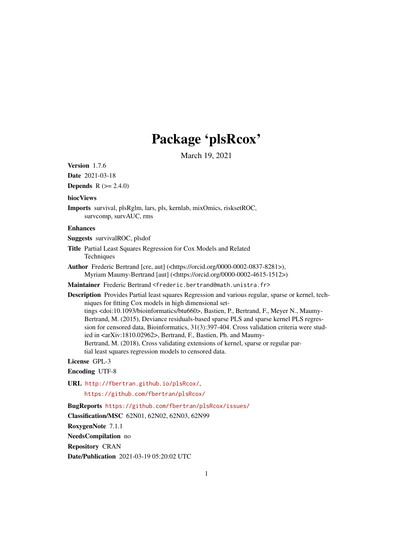# Package 'plsRcox'

March 19, 2021

<span id="page-0-0"></span>Version 1.7.6

Date 2021-03-18

**Depends**  $R (= 2.4.0)$ 

#### biocViews

Imports survival, plsRglm, lars, pls, kernlab, mixOmics, risksetROC, survcomp, survAUC, rms

#### Enhances

Suggests survivalROC, plsdof

- Title Partial Least Squares Regression for Cox Models and Related **Techniques**
- Author Frederic Bertrand [cre, aut] (<https://orcid.org/0000-0002-0837-8281>), Myriam Maumy-Bertrand [aut] (<https://orcid.org/0000-0002-4615-1512>)
- Maintainer Frederic Bertrand <frederic.bertrand@math.unistra.fr>

Description Provides Partial least squares Regression and various regular, sparse or kernel, techniques for fitting Cox models in high dimensional settings <doi:10.1093/bioinformatics/btu660>, Bastien, P., Bertrand, F., Meyer N., Maumy-Bertrand, M. (2015), Deviance residuals-based sparse PLS and sparse kernel PLS regression for censored data, Bioinformatics, 31(3):397-404. Cross validation criteria were studied in <arXiv:1810.02962>, Bertrand, F., Bastien, Ph. and Maumy-Bertrand, M. (2018), Cross validating extensions of kernel, sparse or regular partial least squares regression models to censored data.

#### License GPL-3

#### Encoding UTF-8

URL <http://fbertran.github.io/plsRcox/>,

<https://github.com/fbertran/plsRcox/>

BugReports <https://github.com/fbertran/plsRcox/issues/>

Classification/MSC 62N01, 62N02, 62N03, 62N99

RoxygenNote 7.1.1

NeedsCompilation no

Repository CRAN

Date/Publication 2021-03-19 05:20:02 UTC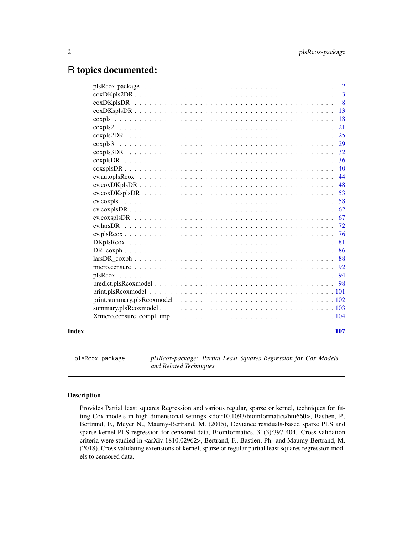# <span id="page-1-0"></span>R topics documented:

|       | $\overline{2}$                                                                                                      |
|-------|---------------------------------------------------------------------------------------------------------------------|
|       | 3                                                                                                                   |
|       | 8                                                                                                                   |
|       | 13                                                                                                                  |
|       | 18                                                                                                                  |
|       | 21                                                                                                                  |
|       | 25                                                                                                                  |
|       | 29                                                                                                                  |
|       | 32                                                                                                                  |
|       | 36                                                                                                                  |
|       | 40                                                                                                                  |
|       | 44                                                                                                                  |
|       | 48                                                                                                                  |
|       | 53                                                                                                                  |
|       | 58                                                                                                                  |
|       | 62                                                                                                                  |
|       | 67                                                                                                                  |
|       | 72                                                                                                                  |
|       | 76                                                                                                                  |
|       | 81                                                                                                                  |
|       | 86                                                                                                                  |
|       | 88                                                                                                                  |
|       | 92                                                                                                                  |
|       | 94                                                                                                                  |
|       | -98                                                                                                                 |
|       | $print.plsRcoxmodel \ldots \ldots \ldots \ldots \ldots \ldots \ldots \ldots \ldots \ldots \ldots \ldots \ldots 101$ |
|       |                                                                                                                     |
|       |                                                                                                                     |
|       |                                                                                                                     |
|       |                                                                                                                     |
| Index | 107                                                                                                                 |

plsRcox-package *plsRcox-package: Partial Least Squares Regression for Cox Models and Related Techniques*

#### Description

Provides Partial least squares Regression and various regular, sparse or kernel, techniques for fitting Cox models in high dimensional settings <doi:10.1093/bioinformatics/btu660>, Bastien, P., Bertrand, F., Meyer N., Maumy-Bertrand, M. (2015), Deviance residuals-based sparse PLS and sparse kernel PLS regression for censored data, Bioinformatics, 31(3):397-404. Cross validation criteria were studied in <arXiv:1810.02962>, Bertrand, F., Bastien, Ph. and Maumy-Bertrand, M. (2018), Cross validating extensions of kernel, sparse or regular partial least squares regression models to censored data.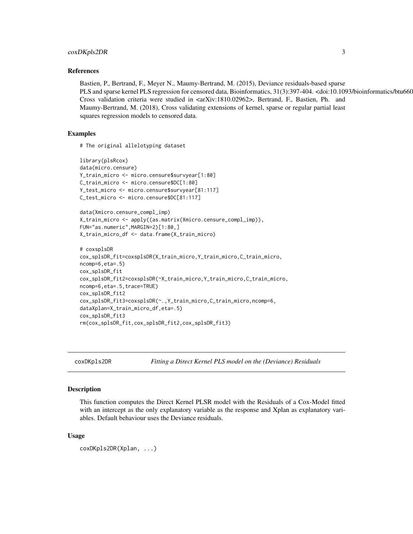#### <span id="page-2-0"></span>coxDKpls2DR 3

#### References

Bastien, P., Bertrand, F., Meyer N., Maumy-Bertrand, M. (2015), Deviance residuals-based sparse PLS and sparse kernel PLS regression for censored data, Bioinformatics, 31(3):397-404. <doi:10.1093/bioinformatics/btu660 Cross validation criteria were studied in <arXiv:1810.02962>, Bertrand, F., Bastien, Ph. and Maumy-Bertrand, M. (2018), Cross validating extensions of kernel, sparse or regular partial least squares regression models to censored data.

#### Examples

# The original allelotyping dataset

```
library(plsRcox)
data(micro.censure)
Y_train_micro <- micro.censure$survyear[1:80]
C_train_micro <- micro.censure$DC[1:80]
Y_test_micro <- micro.censure$survyear[81:117]
C_test_micro <- micro.censure$DC[81:117]
data(Xmicro.censure_compl_imp)
X_train_micro <- apply((as.matrix(Xmicro.censure_compl_imp)),
FUN="as.numeric",MARGIN=2)[1:80,]
X_train_micro_df <- data.frame(X_train_micro)
# coxsplsDR
cox_splsDR_fit=coxsplsDR(X_train_micro,Y_train_micro,C_train_micro,
ncomp=6,eta=.5)
cox_splsDR_fit
cox_splsDR_fit2=coxsplsDR(~X_train_micro,Y_train_micro,C_train_micro,
ncomp=6,eta=.5,trace=TRUE)
cox_splsDR_fit2
cox_splsDR_fit3=coxsplsDR(~.,Y_train_micro,C_train_micro,ncomp=6,
dataXplan=X_train_micro_df,eta=.5)
cox_splsDR_fit3
rm(cox_splsDR_fit,cox_splsDR_fit2,cox_splsDR_fit3)
```
coxDKpls2DR *Fitting a Direct Kernel PLS model on the (Deviance) Residuals*

#### Description

This function computes the Direct Kernel PLSR model with the Residuals of a Cox-Model fitted with an intercept as the only explanatory variable as the response and Xplan as explanatory variables. Default behaviour uses the Deviance residuals.

#### Usage

coxDKpls2DR(Xplan, ...)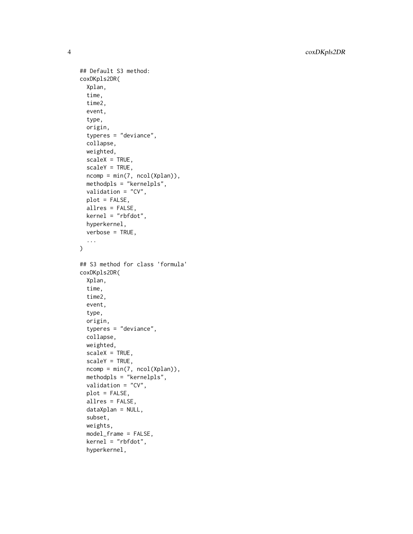4 coxDKpls2DR

```
## Default S3 method:
coxDKpls2DR(
  Xplan,
  time,
  time2,
  event,
  type,
  origin,
  typeres = "deviance",
  collapse,
 weighted,
  scaleX = TRUE,
  scaleY = TRUE,
  ncomp = min(7, ncol(Xplan)),methodpls = "kernelpls",
  validation = "CV",
 plot = FALSE,
  allres = FALSE,
  kernel = "rbfdot",
  hyperkernel,
  verbose = TRUE,
  ...
\mathcal{L}## S3 method for class 'formula'
coxDKpls2DR(
  Xplan,
  time,
  time2,
  event,
  type,
  origin,
  typeres = "deviance",
  collapse,
  weighted,
  scaleX = TRUE,
  scaleY = TRUE,ncomp = min(7, ncol(Xplan)),
  methodpls = "kernelpls",
  validation = "CV",
 plot = FALSE,
  allres = FALSE,
  dataXplan = NULL,
  subset,
  weights,
  model_frame = FALSE,
  kernel = "rbfdot",
```
hyperkernel,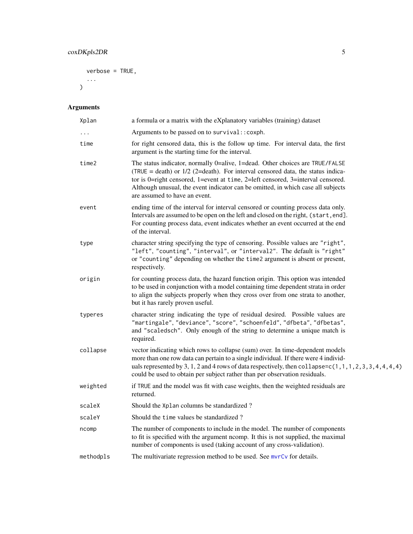```
verbose = TRUE,
```
... )

| Xplan     | a formula or a matrix with the eXplanatory variables (training) dataset                                                                                                                                                                                                                                                                                                   |
|-----------|---------------------------------------------------------------------------------------------------------------------------------------------------------------------------------------------------------------------------------------------------------------------------------------------------------------------------------------------------------------------------|
|           | Arguments to be passed on to survival:: coxph.                                                                                                                                                                                                                                                                                                                            |
| time      | for right censored data, this is the follow up time. For interval data, the first<br>argument is the starting time for the interval.                                                                                                                                                                                                                                      |
| time2     | The status indicator, normally 0=alive, 1=dead. Other choices are TRUE/FALSE<br>(TRUE = death) or $1/2$ (2=death). For interval censored data, the status indica-<br>tor is 0=right censored, 1=event at time, 2=left censored, 3=interval censored.<br>Although unusual, the event indicator can be omitted, in which case all subjects<br>are assumed to have an event. |
| event     | ending time of the interval for interval censored or counting process data only.<br>Intervals are assumed to be open on the left and closed on the right, (start, end].<br>For counting process data, event indicates whether an event occurred at the end<br>of the interval.                                                                                            |
| type      | character string specifying the type of censoring. Possible values are "right",<br>"left", "counting", "interval", or "interval2". The default is "right"<br>or "counting" depending on whether the time2 argument is absent or present,<br>respectively.                                                                                                                 |
| origin    | for counting process data, the hazard function origin. This option was intended<br>to be used in conjunction with a model containing time dependent strata in order<br>to align the subjects properly when they cross over from one strata to another,<br>but it has rarely proven useful.                                                                                |
| typeres   | character string indicating the type of residual desired. Possible values are<br>"martingale", "deviance", "score", "schoenfeld", "dfbeta", "dfbetas",<br>and "scaledsch". Only enough of the string to determine a unique match is<br>required.                                                                                                                          |
| collapse  | vector indicating which rows to collapse (sum) over. In time-dependent models<br>more than one row data can pertain to a single individual. If there were 4 individ-<br>uals represented by 3, 1, 2 and 4 rows of data respectively, then collapse= $c(1, 1, 1, 2, 3, 3, 4, 4, 4, 4)$<br>could be used to obtain per subject rather than per observation residuals.       |
| weighted  | if TRUE and the model was fit with case weights, then the weighted residuals are<br>returned.                                                                                                                                                                                                                                                                             |
| scaleX    | Should the Xplan columns be standardized?                                                                                                                                                                                                                                                                                                                                 |
| scaleY    | Should the time values be standardized?                                                                                                                                                                                                                                                                                                                                   |
| ncomp     | The number of components to include in the model. The number of components<br>to fit is specified with the argument ncomp. It this is not supplied, the maximal<br>number of components is used (taking account of any cross-validation).                                                                                                                                 |
| methodpls | The multivariate regression method to be used. See mvrCv for details.                                                                                                                                                                                                                                                                                                     |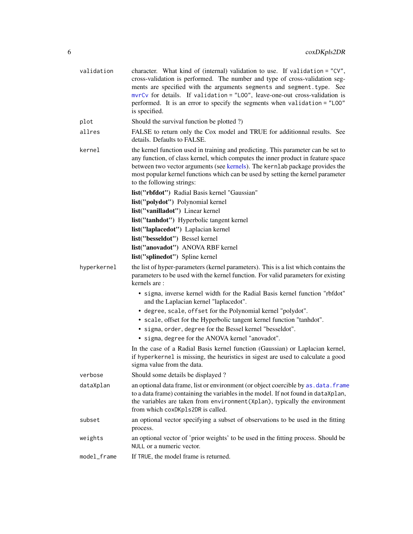| validation  | character. What kind of (internal) validation to use. If validation = "CV",<br>cross-validation is performed. The number and type of cross-validation seg-<br>ments are specified with the arguments segments and segment.type. See<br>$mvrCv$ for details. If validation = "LOO", leave-one-out cross-validation is<br>performed. It is an error to specify the segments when validation = "LOO"<br>is specified. |
|-------------|--------------------------------------------------------------------------------------------------------------------------------------------------------------------------------------------------------------------------------------------------------------------------------------------------------------------------------------------------------------------------------------------------------------------|
| plot        | Should the survival function be plotted ?)                                                                                                                                                                                                                                                                                                                                                                         |
| allres      | FALSE to return only the Cox model and TRUE for additionnal results. See<br>details. Defaults to FALSE.                                                                                                                                                                                                                                                                                                            |
| kernel      | the kernel function used in training and predicting. This parameter can be set to<br>any function, of class kernel, which computes the inner product in feature space<br>between two vector arguments (see kernels). The kernlab package provides the<br>most popular kernel functions which can be used by setting the kernel parameter<br>to the following strings:                                              |
|             | list("rbfdot") Radial Basis kernel "Gaussian"                                                                                                                                                                                                                                                                                                                                                                      |
|             | list("polydot") Polynomial kernel                                                                                                                                                                                                                                                                                                                                                                                  |
|             | list("vanilladot") Linear kernel                                                                                                                                                                                                                                                                                                                                                                                   |
|             | list("tanhdot") Hyperbolic tangent kernel                                                                                                                                                                                                                                                                                                                                                                          |
|             | list("laplacedot") Laplacian kernel                                                                                                                                                                                                                                                                                                                                                                                |
|             | list("besseldot") Bessel kernel                                                                                                                                                                                                                                                                                                                                                                                    |
|             | list("anovadot") ANOVA RBF kernel                                                                                                                                                                                                                                                                                                                                                                                  |
|             | list("splinedot") Spline kernel                                                                                                                                                                                                                                                                                                                                                                                    |
| hyperkernel | the list of hyper-parameters (kernel parameters). This is a list which contains the<br>parameters to be used with the kernel function. For valid parameters for existing<br>kernels are:                                                                                                                                                                                                                           |
|             | • sigma, inverse kernel width for the Radial Basis kernel function "rbfdot"<br>and the Laplacian kernel "laplacedot".                                                                                                                                                                                                                                                                                              |
|             | • degree, scale, offset for the Polynomial kernel "polydot".                                                                                                                                                                                                                                                                                                                                                       |
|             | • scale, offset for the Hyperbolic tangent kernel function "tanhdot".                                                                                                                                                                                                                                                                                                                                              |
|             | • sigma, order, degree for the Bessel kernel "besseldot".                                                                                                                                                                                                                                                                                                                                                          |
|             | • sigma, degree for the ANOVA kernel "anovadot".                                                                                                                                                                                                                                                                                                                                                                   |
|             | In the case of a Radial Basis kernel function (Gaussian) or Laplacian kernel,<br>if hyperkernel is missing, the heuristics in sigest are used to calculate a good<br>sigma value from the data.                                                                                                                                                                                                                    |
| verbose     | Should some details be displayed?                                                                                                                                                                                                                                                                                                                                                                                  |
| dataXplan   | an optional data frame, list or environment (or object coercible by as . data. frame<br>to a data frame) containing the variables in the model. If not found in dataXplan,<br>the variables are taken from environment (Xplan), typically the environment<br>from which coxDKp1s2DR is called.                                                                                                                     |
| subset      | an optional vector specifying a subset of observations to be used in the fitting<br>process.                                                                                                                                                                                                                                                                                                                       |
| weights     | an optional vector of 'prior weights' to be used in the fitting process. Should be<br>NULL or a numeric vector.                                                                                                                                                                                                                                                                                                    |
| model_frame | If TRUE, the model frame is returned.                                                                                                                                                                                                                                                                                                                                                                              |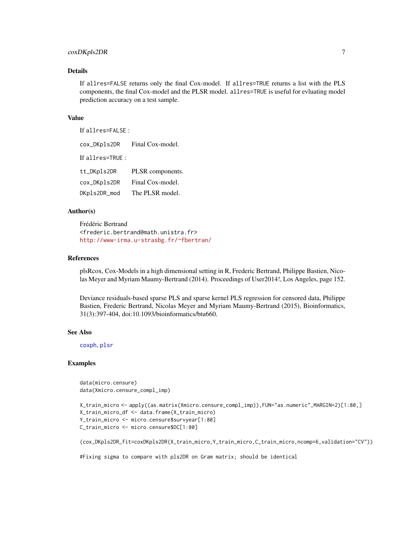#### coxDKpls2DR 7

#### **Details**

If allres=FALSE returns only the final Cox-model. If allres=TRUE returns a list with the PLS components, the final Cox-model and the PLSR model. allres=TRUE is useful for evluating model prediction accuracy on a test sample.

#### Value

If allres=FALSE :

cox\_DKpls2DR Final Cox-model. If allres=TRUE : tt\_DKpls2DR PLSR components. cox\_DKpls2DR Final Cox-model. DKpls2DR\_mod The PLSR model.

#### Author(s)

Frédéric Bertrand <frederic.bertrand@math.unistra.fr> <http://www-irma.u-strasbg.fr/~fbertran/>

#### References

plsRcox, Cox-Models in a high dimensional setting in R, Frederic Bertrand, Philippe Bastien, Nicolas Meyer and Myriam Maumy-Bertrand (2014). Proceedings of User2014!, Los Angeles, page 152.

Deviance residuals-based sparse PLS and sparse kernel PLS regression for censored data, Philippe Bastien, Frederic Bertrand, Nicolas Meyer and Myriam Maumy-Bertrand (2015), Bioinformatics, 31(3):397-404, doi:10.1093/bioinformatics/btu660.

#### See Also

[coxph](#page-0-0), [plsr](#page-0-0)

#### Examples

```
data(micro.censure)
data(Xmicro.censure_compl_imp)
```

```
X_train_micro <- apply((as.matrix(Xmicro.censure_compl_imp)),FUN="as.numeric",MARGIN=2)[1:80,]
X_train_micro_df <- data.frame(X_train_micro)
Y_train_micro <- micro.censure$survyear[1:80]
C_train_micro <- micro.censure$DC[1:80]
```

```
(cox_DKpls2DR_fit=coxDKpls2DR(X_train_micro,Y_train_micro,C_train_micro,ncomp=6,validation="CV"))
```
#Fixing sigma to compare with pls2DR on Gram matrix; should be identical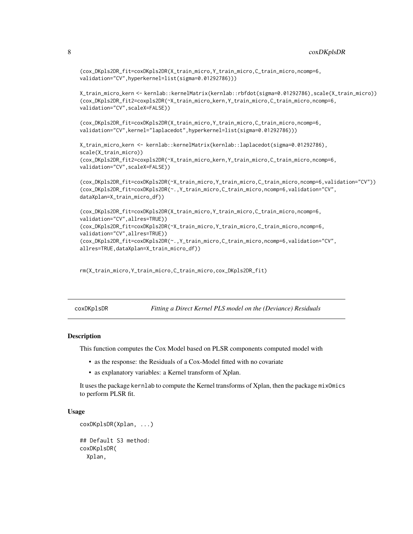```
(cox_DKpls2DR_fit=coxDKpls2DR(X_train_micro,Y_train_micro,C_train_micro,ncomp=6,
validation="CV",hyperkernel=list(sigma=0.01292786)))
```

```
X_train_micro_kern <- kernlab::kernelMatrix(kernlab::rbfdot(sigma=0.01292786),scale(X_train_micro))
(cox_DKpls2DR_fit2=coxpls2DR(~X_train_micro_kern,Y_train_micro,C_train_micro,ncomp=6,
validation="CV",scaleX=FALSE))
```

```
(cox_DKpls2DR_fit=coxDKpls2DR(X_train_micro,Y_train_micro,C_train_micro,ncomp=6,
validation="CV",kernel="laplacedot",hyperkernel=list(sigma=0.01292786)))
```

```
X_train_micro_kern <- kernlab::kernelMatrix(kernlab::laplacedot(sigma=0.01292786),
scale(X_train_micro))
(cox_DKpls2DR_fit2=coxpls2DR(~X_train_micro_kern,Y_train_micro,C_train_micro,ncomp=6,
validation="CV",scaleX=FALSE))
```

```
(cox_DKpls2DR_fit=coxDKpls2DR(~X_train_micro,Y_train_micro,C_train_micro,ncomp=6,validation="CV"))
(cox_DKpls2DR_fit=coxDKpls2DR(~.,Y_train_micro,C_train_micro,ncomp=6,validation="CV",
dataXplan=X_train_micro_df))
```

```
(cox_DKpls2DR_fit=coxDKpls2DR(X_train_micro,Y_train_micro,C_train_micro,ncomp=6,
validation="CV",allres=TRUE))
(cox_DKpls2DR_fit=coxDKpls2DR(~X_train_micro,Y_train_micro,C_train_micro,ncomp=6,
validation="CV",allres=TRUE))
(cox_DKpls2DR_fit=coxDKpls2DR(~.,Y_train_micro,C_train_micro,ncomp=6,validation="CV",
allres=TRUE,dataXplan=X_train_micro_df))
```

```
rm(X_train_micro,Y_train_micro,C_train_micro,cox_DKpls2DR_fit)
```
coxDKplsDR *Fitting a Direct Kernel PLS model on the (Deviance) Residuals*

#### **Description**

This function computes the Cox Model based on PLSR components computed model with

- as the response: the Residuals of a Cox-Model fitted with no covariate
- as explanatory variables: a Kernel transform of Xplan.

It uses the package kernlab to compute the Kernel transforms of Xplan, then the package mixOmics to perform PLSR fit.

```
coxDKplsDR(Xplan, ...)
## Default S3 method:
coxDKplsDR(
  Xplan,
```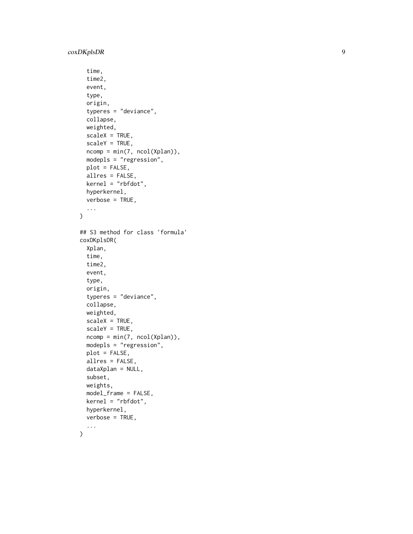#### coxDKplsDR

```
time,
  time2,
  event,
  type,
  origin,
  typeres = "deviance",
  collapse,
 weighted,
  scaleX = TRUE,scaleY = TRUE,
  ncomp = min(7, ncol(Xplan)),
 modepls = "regression",
 plot = FALSE,
  allres = FALSE,
 kernel = "rbfdot",
  hyperkernel,
 verbose = TRUE,
  ...
)
## S3 method for class 'formula'
coxDKplsDR(
  Xplan,
  time,
  time2,
  event,
  type,
  origin,
  typeres = "deviance",
  collapse,
  weighted,
  scaleX = TRUE,
  scaleY = TRUE,ncomp = min(7, ncol(Xplan)),modepls = "regression",
 plot = FALSE,
  allres = FALSE,
  dataXplan = NULL,
  subset,
 weights,
 model_frame = FALSE,
 kernel = "rbfdot",
  hyperkernel,
  verbose = TRUE,
  ...
```
)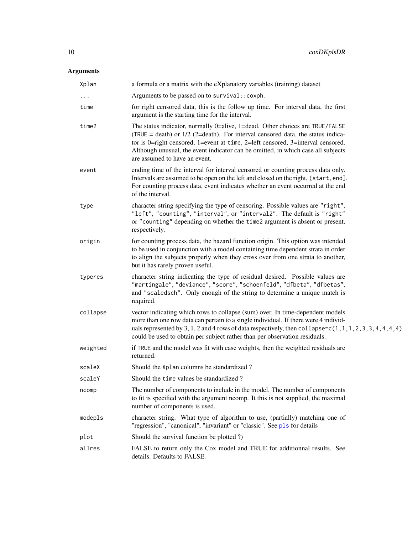| Xplan    | a formula or a matrix with the eXplanatory variables (training) dataset                                                                                                                                                                                                                                                                                                   |
|----------|---------------------------------------------------------------------------------------------------------------------------------------------------------------------------------------------------------------------------------------------------------------------------------------------------------------------------------------------------------------------------|
| .        | Arguments to be passed on to survival:: coxph.                                                                                                                                                                                                                                                                                                                            |
| time     | for right censored data, this is the follow up time. For interval data, the first<br>argument is the starting time for the interval.                                                                                                                                                                                                                                      |
| time2    | The status indicator, normally 0=alive, 1=dead. Other choices are TRUE/FALSE<br>(TRUE = death) or $1/2$ (2=death). For interval censored data, the status indica-<br>tor is 0=right censored, 1=event at time, 2=left censored, 3=interval censored.<br>Although unusual, the event indicator can be omitted, in which case all subjects<br>are assumed to have an event. |
| event    | ending time of the interval for interval censored or counting process data only.<br>Intervals are assumed to be open on the left and closed on the right, (start, end].<br>For counting process data, event indicates whether an event occurred at the end<br>of the interval.                                                                                            |
| type     | character string specifying the type of censoring. Possible values are "right",<br>"left", "counting", "interval", or "interval2". The default is "right"<br>or "counting" depending on whether the time2 argument is absent or present,<br>respectively.                                                                                                                 |
| origin   | for counting process data, the hazard function origin. This option was intended<br>to be used in conjunction with a model containing time dependent strata in order<br>to align the subjects properly when they cross over from one strata to another,<br>but it has rarely proven useful.                                                                                |
| typeres  | character string indicating the type of residual desired. Possible values are<br>"martingale", "deviance", "score", "schoenfeld", "dfbeta", "dfbetas",<br>and "scaledsch". Only enough of the string to determine a unique match is<br>required.                                                                                                                          |
| collapse | vector indicating which rows to collapse (sum) over. In time-dependent models<br>more than one row data can pertain to a single individual. If there were 4 individ-<br>uals represented by 3, 1, 2 and 4 rows of data respectively, then collapse= $c(1, 1, 1, 2, 3, 3, 4, 4, 4, 4)$<br>could be used to obtain per subject rather than per observation residuals.       |
| weighted | if TRUE and the model was fit with case weights, then the weighted residuals are<br>returned.                                                                                                                                                                                                                                                                             |
| scaleX   | Should the Xplan columns be standardized?                                                                                                                                                                                                                                                                                                                                 |
| scaleY   | Should the time values be standardized?                                                                                                                                                                                                                                                                                                                                   |
| ncomp    | The number of components to include in the model. The number of components<br>to fit is specified with the argument ncomp. It this is not supplied, the maximal<br>number of components is used.                                                                                                                                                                          |
| modepls  | character string. What type of algorithm to use, (partially) matching one of<br>"regression", "canonical", "invariant" or "classic". See pls for details                                                                                                                                                                                                                  |
| plot     | Should the survival function be plotted ?)                                                                                                                                                                                                                                                                                                                                |
| allres   | FALSE to return only the Cox model and TRUE for additionnal results. See<br>details. Defaults to FALSE.                                                                                                                                                                                                                                                                   |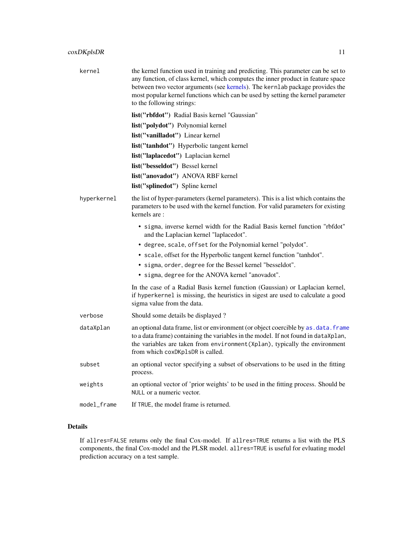| kernel      | the kernel function used in training and predicting. This parameter can be set to<br>any function, of class kernel, which computes the inner product in feature space<br>between two vector arguments (see kernels). The kernlab package provides the<br>most popular kernel functions which can be used by setting the kernel parameter<br>to the following strings: |
|-------------|-----------------------------------------------------------------------------------------------------------------------------------------------------------------------------------------------------------------------------------------------------------------------------------------------------------------------------------------------------------------------|
|             | list("rbfdot") Radial Basis kernel "Gaussian"                                                                                                                                                                                                                                                                                                                         |
|             | list("polydot") Polynomial kernel                                                                                                                                                                                                                                                                                                                                     |
|             | list("vanilladot") Linear kernel                                                                                                                                                                                                                                                                                                                                      |
|             | list("tanhdot") Hyperbolic tangent kernel                                                                                                                                                                                                                                                                                                                             |
|             | list("laplacedot") Laplacian kernel                                                                                                                                                                                                                                                                                                                                   |
|             | list("besseldot") Bessel kernel                                                                                                                                                                                                                                                                                                                                       |
|             | list("anovadot") ANOVA RBF kernel                                                                                                                                                                                                                                                                                                                                     |
|             | list("splinedot") Spline kernel                                                                                                                                                                                                                                                                                                                                       |
| hyperkernel | the list of hyper-parameters (kernel parameters). This is a list which contains the<br>parameters to be used with the kernel function. For valid parameters for existing<br>kernels are:                                                                                                                                                                              |
|             | • sigma, inverse kernel width for the Radial Basis kernel function "rbfdot"<br>and the Laplacian kernel "laplacedot".                                                                                                                                                                                                                                                 |
|             | • degree, scale, offset for the Polynomial kernel "polydot".                                                                                                                                                                                                                                                                                                          |
|             | • scale, offset for the Hyperbolic tangent kernel function "tanhdot".                                                                                                                                                                                                                                                                                                 |
|             | • sigma, order, degree for the Bessel kernel "besseldot".                                                                                                                                                                                                                                                                                                             |
|             | • sigma, degree for the ANOVA kernel "anovadot".                                                                                                                                                                                                                                                                                                                      |
|             | In the case of a Radial Basis kernel function (Gaussian) or Laplacian kernel,<br>if hyperkernel is missing, the heuristics in sigest are used to calculate a good<br>sigma value from the data.                                                                                                                                                                       |
| verbose     | Should some details be displayed?                                                                                                                                                                                                                                                                                                                                     |
| dataXplan   | an optional data frame, list or environment (or object coercible by as . data. frame<br>to a data frame) containing the variables in the model. If not found in dataXplan,<br>the variables are taken from environment (Xplan), typically the environment<br>from which coxDKplsDR is called.                                                                         |
| subset      | an optional vector specifying a subset of observations to be used in the fitting<br>process.                                                                                                                                                                                                                                                                          |
| weights     | an optional vector of 'prior weights' to be used in the fitting process. Should be<br>NULL or a numeric vector.                                                                                                                                                                                                                                                       |
| model_frame | If TRUE, the model frame is returned.                                                                                                                                                                                                                                                                                                                                 |

# Details

If allres=FALSE returns only the final Cox-model. If allres=TRUE returns a list with the PLS components, the final Cox-model and the PLSR model. allres=TRUE is useful for evluating model prediction accuracy on a test sample.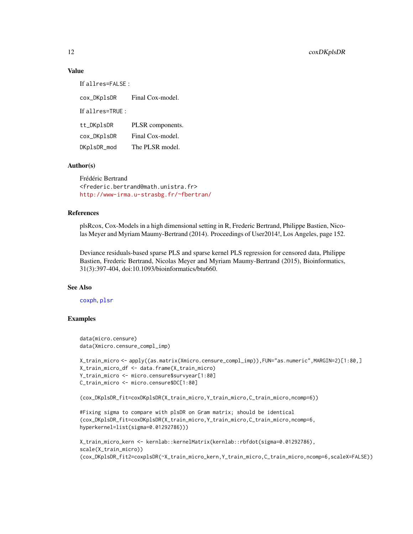#### Value

If allres=FALSE :

cox\_DKplsDR Final Cox-model. If allres=TRUE : tt\_DKplsDR PLSR components. cox\_DKplsDR Final Cox-model. DKplsDR\_mod The PLSR model.

#### Author(s)

Frédéric Bertrand <frederic.bertrand@math.unistra.fr> <http://www-irma.u-strasbg.fr/~fbertran/>

#### References

plsRcox, Cox-Models in a high dimensional setting in R, Frederic Bertrand, Philippe Bastien, Nicolas Meyer and Myriam Maumy-Bertrand (2014). Proceedings of User2014!, Los Angeles, page 152.

Deviance residuals-based sparse PLS and sparse kernel PLS regression for censored data, Philippe Bastien, Frederic Bertrand, Nicolas Meyer and Myriam Maumy-Bertrand (2015), Bioinformatics, 31(3):397-404, doi:10.1093/bioinformatics/btu660.

#### See Also

[coxph](#page-0-0), [plsr](#page-0-0)

#### Examples

```
data(micro.censure)
data(Xmicro.censure_compl_imp)
```

```
X_train_micro <- apply((as.matrix(Xmicro.censure_compl_imp)),FUN="as.numeric",MARGIN=2)[1:80,]
X_train_micro_df <- data.frame(X_train_micro)
Y_train_micro <- micro.censure$survyear[1:80]
C_train_micro <- micro.censure$DC[1:80]
```

```
(cox_DKplsDR_fit=coxDKplsDR(X_train_micro,Y_train_micro,C_train_micro,ncomp=6))
```

```
#Fixing sigma to compare with plsDR on Gram matrix; should be identical
(cox_DKplsDR_fit=coxDKplsDR(X_train_micro,Y_train_micro,C_train_micro,ncomp=6,
hyperkernel=list(sigma=0.01292786)))
```

```
X_train_micro_kern <- kernlab::kernelMatrix(kernlab::rbfdot(sigma=0.01292786),
scale(X_train_micro))
(cox_DKplsDR_fit2=coxplsDR(~X_train_micro_kern,Y_train_micro,C_train_micro,ncomp=6,scaleX=FALSE))
```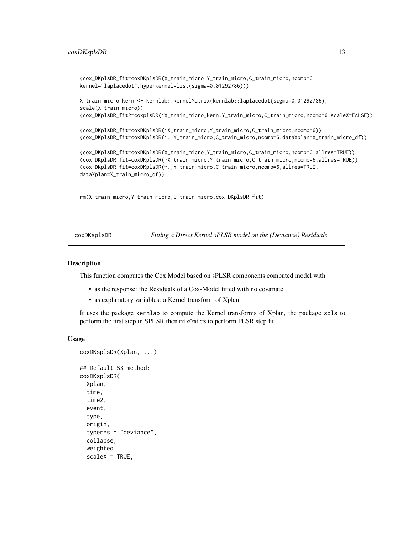#### <span id="page-12-0"></span>coxDKsplsDR 13

```
(cox_DKplsDR_fit=coxDKplsDR(X_train_micro,Y_train_micro,C_train_micro,ncomp=6,
kernel="laplacedot",hyperkernel=list(sigma=0.01292786)))
```

```
X_train_micro_kern <- kernlab::kernelMatrix(kernlab::laplacedot(sigma=0.01292786),
scale(X_train_micro))
(cox_DKplsDR_fit2=coxplsDR(~X_train_micro_kern,Y_train_micro,C_train_micro,ncomp=6,scaleX=FALSE))
```
(cox\_DKplsDR\_fit=coxDKplsDR(~X\_train\_micro,Y\_train\_micro,C\_train\_micro,ncomp=6)) (cox\_DKplsDR\_fit=coxDKplsDR(~.,Y\_train\_micro,C\_train\_micro,ncomp=6,dataXplan=X\_train\_micro\_df))

```
(cox_DKplsDR_fit=coxDKplsDR(X_train_micro,Y_train_micro,C_train_micro,ncomp=6,allres=TRUE))
(cox_DKplsDR_fit=coxDKplsDR(~X_train_micro,Y_train_micro,C_train_micro,ncomp=6,allres=TRUE))
(cox_DKplsDR_fit=coxDKplsDR(~.,Y_train_micro,C_train_micro,ncomp=6,allres=TRUE,
dataXplan=X_train_micro_df))
```
rm(X\_train\_micro,Y\_train\_micro,C\_train\_micro,cox\_DKplsDR\_fit)

coxDKsplsDR *Fitting a Direct Kernel sPLSR model on the (Deviance) Residuals*

#### Description

This function computes the Cox Model based on sPLSR components computed model with

- as the response: the Residuals of a Cox-Model fitted with no covariate
- as explanatory variables: a Kernel transform of Xplan.

It uses the package kernlab to compute the Kernel transforms of Xplan, the package spls to perform the first step in SPLSR then mixOmics to perform PLSR step fit.

```
coxDKsplsDR(Xplan, ...)
## Default S3 method:
coxDKsplsDR(
  Xplan,
  time,
  time2,
  event,
  type,
  origin,
  typeres = "deviance",
  collapse,
  weighted,
  scaleX = TRUE,
```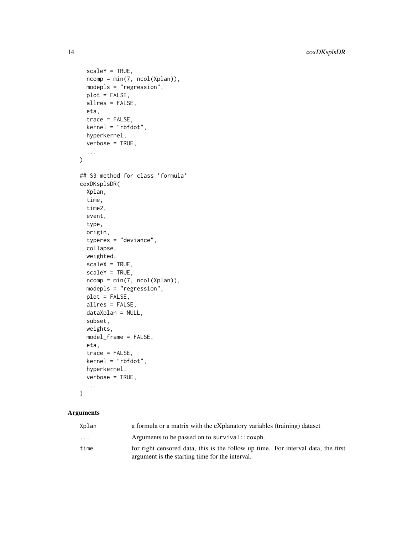```
scaleY = TRUE,
 ncomp = min(7, ncol(Xplan)),modepls = "regression",
 plot = FALSE,
 allres = FALSE,
 eta,
  trace = FALSE,
 kernel = "rbfdot",
 hyperkernel,
 verbose = TRUE,
  ...
\mathcal{L}## S3 method for class 'formula'
coxDKsplsDR(
  Xplan,
  time,
  time2,
 event,
  type,
 origin,
  typeres = "deviance",
  collapse,
 weighted,
  scaleX = TRUE,scaleY = TRUE,ncomp = min(7, ncol(Xplan)),
 modepls = "regression",
 plot = FALSE,
 allres = FALSE,
  dataXplan = NULL,
  subset,
 weights,
 model_frame = FALSE,
 eta,
  trace = FALSE,
 kernel = "rbfdot",
 hyperkernel,
  verbose = TRUE,
  ...
\mathcal{L}
```

| Xplan     | a formula or a matrix with the eXplanatory variables (training) dataset                                                              |
|-----------|--------------------------------------------------------------------------------------------------------------------------------------|
| $\ddotsc$ | Arguments to be passed on to survival:: coxph.                                                                                       |
| time      | for right censored data, this is the follow up time. For interval data, the first<br>argument is the starting time for the interval. |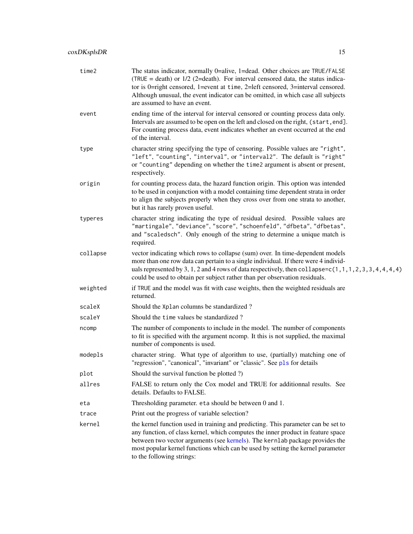| time2    | The status indicator, normally 0=alive, 1=dead. Other choices are TRUE/FALSE<br>(TRUE = death) or $1/2$ (2=death). For interval censored data, the status indica-<br>tor is 0=right censored, 1=event at time, 2=left censored, 3=interval censored.<br>Although unusual, the event indicator can be omitted, in which case all subjects<br>are assumed to have an event. |
|----------|---------------------------------------------------------------------------------------------------------------------------------------------------------------------------------------------------------------------------------------------------------------------------------------------------------------------------------------------------------------------------|
| event    | ending time of the interval for interval censored or counting process data only.<br>Intervals are assumed to be open on the left and closed on the right, (start, end].<br>For counting process data, event indicates whether an event occurred at the end<br>of the interval.                                                                                            |
| type     | character string specifying the type of censoring. Possible values are "right",<br>"left", "counting", "interval", or "interval2". The default is "right"<br>or "counting" depending on whether the time2 argument is absent or present,<br>respectively.                                                                                                                 |
| origin   | for counting process data, the hazard function origin. This option was intended<br>to be used in conjunction with a model containing time dependent strata in order<br>to align the subjects properly when they cross over from one strata to another,<br>but it has rarely proven useful.                                                                                |
| typeres  | character string indicating the type of residual desired. Possible values are<br>"martingale", "deviance", "score", "schoenfeld", "dfbeta", "dfbetas",<br>and "scaledsch". Only enough of the string to determine a unique match is<br>required.                                                                                                                          |
| collapse | vector indicating which rows to collapse (sum) over. In time-dependent models<br>more than one row data can pertain to a single individual. If there were 4 individ-<br>uals represented by 3, 1, 2 and 4 rows of data respectively, then collapse= $c(1, 1, 1, 2, 3, 3, 4, 4, 4, 4)$<br>could be used to obtain per subject rather than per observation residuals.       |
| weighted | if TRUE and the model was fit with case weights, then the weighted residuals are<br>returned.                                                                                                                                                                                                                                                                             |
| scaleX   | Should the Xplan columns be standardized?                                                                                                                                                                                                                                                                                                                                 |
| scaleY   | Should the time values be standardized?                                                                                                                                                                                                                                                                                                                                   |
| ncomp    | The number of components to include in the model. The number of components<br>to fit is specified with the argument ncomp. It this is not supplied, the maximal<br>number of components is used.                                                                                                                                                                          |
| modepls  | character string. What type of algorithm to use, (partially) matching one of<br>"regression", "canonical", "invariant" or "classic". See pls for details                                                                                                                                                                                                                  |
| plot     | Should the survival function be plotted ?)                                                                                                                                                                                                                                                                                                                                |
| allres   | FALSE to return only the Cox model and TRUE for additionnal results. See<br>details. Defaults to FALSE.                                                                                                                                                                                                                                                                   |
| eta      | Thresholding parameter. eta should be between 0 and 1.                                                                                                                                                                                                                                                                                                                    |
| trace    | Print out the progress of variable selection?                                                                                                                                                                                                                                                                                                                             |
| kernel   | the kernel function used in training and predicting. This parameter can be set to<br>any function, of class kernel, which computes the inner product in feature space<br>between two vector arguments (see kernels). The kernlab package provides the<br>most popular kernel functions which can be used by setting the kernel parameter<br>to the following strings:     |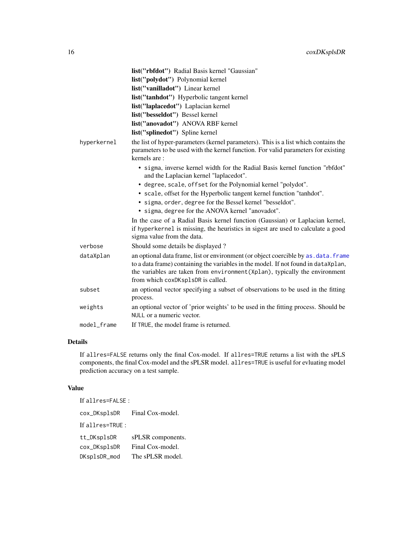|             | list("rbfdot") Radial Basis kernel "Gaussian"                                                                                                                                                                                                                                                 |
|-------------|-----------------------------------------------------------------------------------------------------------------------------------------------------------------------------------------------------------------------------------------------------------------------------------------------|
|             | list("polydot") Polynomial kernel                                                                                                                                                                                                                                                             |
|             | list("vanilladot") Linear kernel                                                                                                                                                                                                                                                              |
|             | list("tanhdot") Hyperbolic tangent kernel                                                                                                                                                                                                                                                     |
|             | list("laplacedot") Laplacian kernel                                                                                                                                                                                                                                                           |
|             | list("besseldot") Bessel kernel                                                                                                                                                                                                                                                               |
|             | list("anovadot") ANOVA RBF kernel                                                                                                                                                                                                                                                             |
|             | list("splinedot") Spline kernel                                                                                                                                                                                                                                                               |
| hyperkernel | the list of hyper-parameters (kernel parameters). This is a list which contains the<br>parameters to be used with the kernel function. For valid parameters for existing<br>kernels are:                                                                                                      |
|             | • sigma, inverse kernel width for the Radial Basis kernel function "rbfdot"<br>and the Laplacian kernel "laplacedot".                                                                                                                                                                         |
|             | • degree, scale, offset for the Polynomial kernel "polydot".                                                                                                                                                                                                                                  |
|             | • scale, offset for the Hyperbolic tangent kernel function "tanhdot".                                                                                                                                                                                                                         |
|             | • sigma, order, degree for the Bessel kernel "besseldot".                                                                                                                                                                                                                                     |
|             | • sigma, degree for the ANOVA kernel "anovadot".                                                                                                                                                                                                                                              |
|             | In the case of a Radial Basis kernel function (Gaussian) or Laplacian kernel,<br>if hyperkernel is missing, the heuristics in sigest are used to calculate a good<br>sigma value from the data.                                                                                               |
| verbose     | Should some details be displayed?                                                                                                                                                                                                                                                             |
| dataXplan   | an optional data frame, list or environment (or object coercible by as. data. frame<br>to a data frame) containing the variables in the model. If not found in dataXplan,<br>the variables are taken from environment (Xplan), typically the environment<br>from which coxDKsp1sDR is called. |
| subset      | an optional vector specifying a subset of observations to be used in the fitting<br>process.                                                                                                                                                                                                  |
| weights     | an optional vector of 'prior weights' to be used in the fitting process. Should be<br>NULL or a numeric vector.                                                                                                                                                                               |
| model frame | If TRUE, the model frame is returned.                                                                                                                                                                                                                                                         |

### Details

If allres=FALSE returns only the final Cox-model. If allres=TRUE returns a list with the sPLS components, the final Cox-model and the sPLSR model. allres=TRUE is useful for evluating model prediction accuracy on a test sample.

#### Value

| If allres=FALSE: |                   |
|------------------|-------------------|
| cox_DKsplsDR     | Final Cox-model.  |
| If allres=TRUE : |                   |
| tt_DKsplsDR      | sPLSR components. |
| cox_DKsplsDR     | Final Cox-model.  |
| DKsplsDR_mod     | The sPLSR model.  |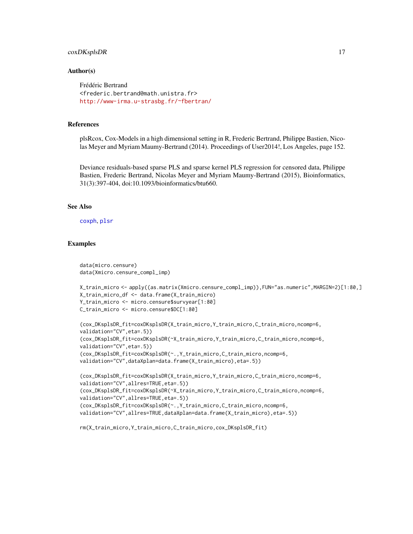#### coxDKsplsDR 17

#### Author(s)

Frédéric Bertrand <frederic.bertrand@math.unistra.fr> <http://www-irma.u-strasbg.fr/~fbertran/>

#### References

plsRcox, Cox-Models in a high dimensional setting in R, Frederic Bertrand, Philippe Bastien, Nicolas Meyer and Myriam Maumy-Bertrand (2014). Proceedings of User2014!, Los Angeles, page 152.

Deviance residuals-based sparse PLS and sparse kernel PLS regression for censored data, Philippe Bastien, Frederic Bertrand, Nicolas Meyer and Myriam Maumy-Bertrand (2015), Bioinformatics, 31(3):397-404, doi:10.1093/bioinformatics/btu660.

#### See Also

[coxph](#page-0-0), [plsr](#page-0-0)

data(micro.censure)

#### Examples

```
data(Xmicro.censure_compl_imp)
X_train_micro <- apply((as.matrix(Xmicro.censure_compl_imp)),FUN="as.numeric",MARGIN=2)[1:80,]
X_train_micro_df <- data.frame(X_train_micro)
Y_train_micro <- micro.censure$survyear[1:80]
C_train_micro <- micro.censure$DC[1:80]
(cox_DKsplsDR_fit=coxDKsplsDR(X_train_micro,Y_train_micro,C_train_micro,ncomp=6,
validation="CV",eta=.5))
(cox_DKsplsDR_fit=coxDKsplsDR(~X_train_micro,Y_train_micro,C_train_micro,ncomp=6,
validation="CV",eta=.5))
(cox_DKsplsDR_fit=coxDKsplsDR(~.,Y_train_micro,C_train_micro,ncomp=6,
validation="CV",dataXplan=data.frame(X_train_micro),eta=.5))
(cox_DKsplsDR_fit=coxDKsplsDR(X_train_micro,Y_train_micro,C_train_micro,ncomp=6,
validation="CV",allres=TRUE,eta=.5))
(cox_DKsplsDR_fit=coxDKsplsDR(~X_train_micro,Y_train_micro,C_train_micro,ncomp=6,
validation="CV",allres=TRUE,eta=.5))
(cox_DKsplsDR_fit=coxDKsplsDR(~.,Y_train_micro,C_train_micro,ncomp=6,
validation="CV",allres=TRUE,dataXplan=data.frame(X_train_micro),eta=.5))
rm(X_train_micro,Y_train_micro,C_train_micro,cox_DKsplsDR_fit)
```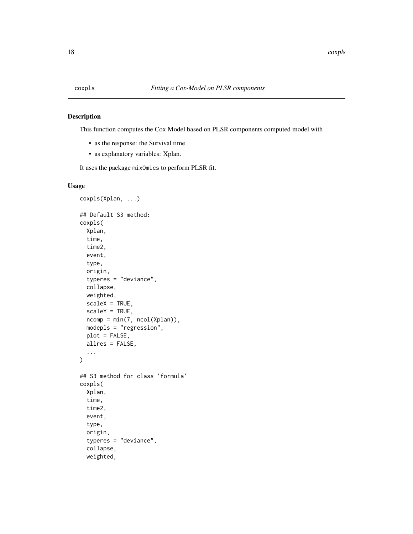<span id="page-17-0"></span>

#### Description

This function computes the Cox Model based on PLSR components computed model with

- as the response: the Survival time
- as explanatory variables: Xplan.

It uses the package mixOmics to perform PLSR fit.

```
coxpls(Xplan, ...)
## Default S3 method:
coxpls(
  Xplan,
  time,
  time2,
  event,
  type,
  origin,
  typeres = "deviance",
  collapse,
  weighted,
  scaleX = TRUE,
  scaleY = TRUE,
  ncomp = min(7, ncol(Xplan)),modepls = "regression",
 plot = FALSE,
  allres = FALSE,
  ...
\mathcal{E}## S3 method for class 'formula'
coxpls(
  Xplan,
  time,
  time2,
  event,
  type,
  origin,
  typeres = "deviance",
  collapse,
 weighted,
```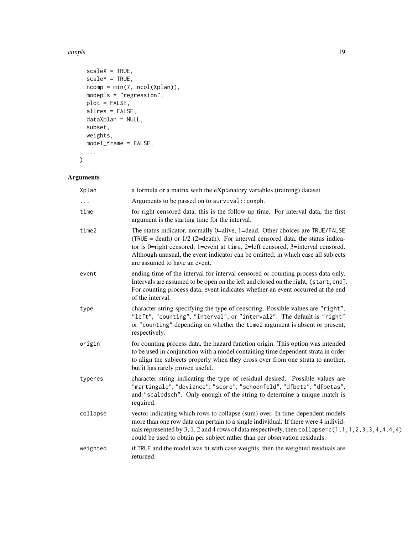#### coxpls that the complex control of the complex control of the complex control of the complex control of the complex control of the complex control of the complex control of the complex control of the complex control of the

```
scaleX = TRUE,scaleY = TRUE,
 ncomp = min(7, ncol(Xplan)),modepls = "regression",
 plot = FALSE,allres = FALSE,
 dataXplan = NULL,
 subset,
 weights,
 model_frame = FALSE,
  ...
\mathcal{L}
```

| Xplan    | a formula or a matrix with the eXplanatory variables (training) dataset                                                                                                                                                                                                                                                                                                   |
|----------|---------------------------------------------------------------------------------------------------------------------------------------------------------------------------------------------------------------------------------------------------------------------------------------------------------------------------------------------------------------------------|
|          | Arguments to be passed on to survival:: coxph.                                                                                                                                                                                                                                                                                                                            |
| time     | for right censored data, this is the follow up time. For interval data, the first<br>argument is the starting time for the interval.                                                                                                                                                                                                                                      |
| time2    | The status indicator, normally 0=alive, 1=dead. Other choices are TRUE/FALSE<br>(TRUE = death) or $1/2$ (2=death). For interval censored data, the status indica-<br>tor is 0=right censored, 1=event at time, 2=left censored, 3=interval censored.<br>Although unusual, the event indicator can be omitted, in which case all subjects<br>are assumed to have an event. |
| event    | ending time of the interval for interval censored or counting process data only.<br>Intervals are assumed to be open on the left and closed on the right, (start, end].<br>For counting process data, event indicates whether an event occurred at the end<br>of the interval.                                                                                            |
| type     | character string specifying the type of censoring. Possible values are "right",<br>"left", "counting", "interval", or "interval2". The default is "right"<br>or "counting" depending on whether the time2 argument is absent or present,<br>respectively.                                                                                                                 |
| origin   | for counting process data, the hazard function origin. This option was intended<br>to be used in conjunction with a model containing time dependent strata in order<br>to align the subjects properly when they cross over from one strata to another,<br>but it has rarely proven useful.                                                                                |
| typeres  | character string indicating the type of residual desired. Possible values are<br>"martingale", "deviance", "score", "schoenfeld", "dfbeta", "dfbetas",<br>and "scaledsch". Only enough of the string to determine a unique match is<br>required.                                                                                                                          |
| collapse | vector indicating which rows to collapse (sum) over. In time-dependent models<br>more than one row data can pertain to a single individual. If there were 4 individ-<br>uals represented by 3, 1, 2 and 4 rows of data respectively, then collapse= $c(1, 1, 1, 2, 3, 3, 4, 4, 4, 4)$<br>could be used to obtain per subject rather than per observation residuals.       |
| weighted | if TRUE and the model was fit with case weights, then the weighted residuals are<br>returned.                                                                                                                                                                                                                                                                             |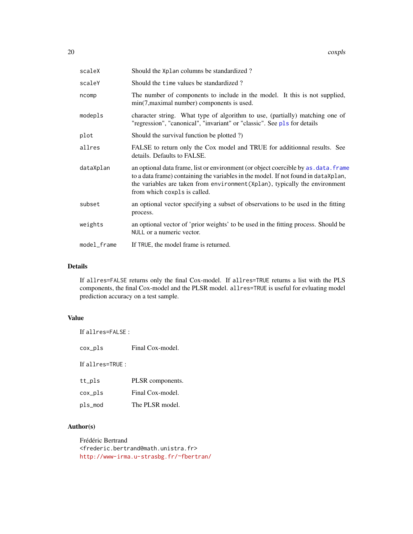| scaleX      | Should the Xplan columns be standardized?                                                                                                                                                                                                                                                 |
|-------------|-------------------------------------------------------------------------------------------------------------------------------------------------------------------------------------------------------------------------------------------------------------------------------------------|
| scaleY      | Should the time values be standardized?                                                                                                                                                                                                                                                   |
| ncomp       | The number of components to include in the model. It this is not supplied,<br>min(7, maximal number) components is used.                                                                                                                                                                  |
| modepls     | character string. What type of algorithm to use, (partially) matching one of<br>"regression", "canonical", "invariant" or "classic". See pls for details                                                                                                                                  |
| plot        | Should the survival function be plotted ?)                                                                                                                                                                                                                                                |
| allres      | FALSE to return only the Cox model and TRUE for additionnal results. See<br>details. Defaults to FALSE.                                                                                                                                                                                   |
| dataXplan   | an optional data frame, list or environment (or object coercible by as . data. frame<br>to a data frame) containing the variables in the model. If not found in dataXplan,<br>the variables are taken from environment (Xplan), typically the environment<br>from which coxpls is called. |
| subset      | an optional vector specifying a subset of observations to be used in the fitting<br>process.                                                                                                                                                                                              |
| weights     | an optional vector of 'prior weights' to be used in the fitting process. Should be<br>NULL or a numeric vector.                                                                                                                                                                           |
| model_frame | If TRUE, the model frame is returned.                                                                                                                                                                                                                                                     |

#### Details

If allres=FALSE returns only the final Cox-model. If allres=TRUE returns a list with the PLS components, the final Cox-model and the PLSR model. allres=TRUE is useful for evluating model prediction accuracy on a test sample.

## Value

If allres=FALSE : cox\_pls Final Cox-model. If allres=TRUE : tt\_pls PLSR components. cox\_pls Final Cox-model.

pls\_mod The PLSR model.

# Author(s)

Frédéric Bertrand <frederic.bertrand@math.unistra.fr> <http://www-irma.u-strasbg.fr/~fbertran/>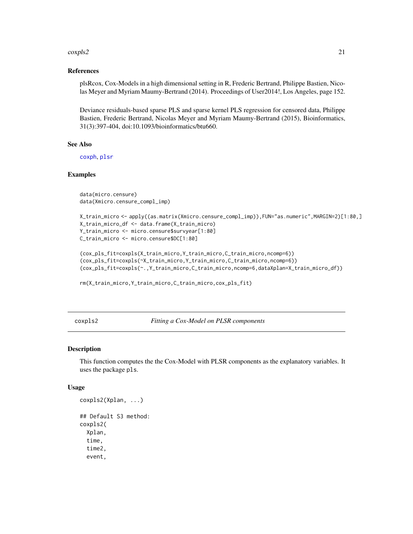#### <span id="page-20-0"></span>coxpls2 21

#### References

plsRcox, Cox-Models in a high dimensional setting in R, Frederic Bertrand, Philippe Bastien, Nicolas Meyer and Myriam Maumy-Bertrand (2014). Proceedings of User2014!, Los Angeles, page 152.

Deviance residuals-based sparse PLS and sparse kernel PLS regression for censored data, Philippe Bastien, Frederic Bertrand, Nicolas Meyer and Myriam Maumy-Bertrand (2015), Bioinformatics, 31(3):397-404, doi:10.1093/bioinformatics/btu660.

#### See Also

[coxph](#page-0-0), [plsr](#page-0-0)

#### Examples

```
data(micro.censure)
data(Xmicro.censure_compl_imp)
```

```
X_train_micro <- apply((as.matrix(Xmicro.censure_compl_imp)),FUN="as.numeric",MARGIN=2)[1:80,]
X_train_micro_df <- data.frame(X_train_micro)
Y_train_micro <- micro.censure$survyear[1:80]
C_train_micro <- micro.censure$DC[1:80]
```

```
(cox_pls_fit=coxpls(X_train_micro,Y_train_micro,C_train_micro,ncomp=6))
(cox_pls_fit=coxpls(~X_train_micro,Y_train_micro,C_train_micro,ncomp=6))
(cox_pls_fit=coxpls(~.,Y_train_micro,C_train_micro,ncomp=6,dataXplan=X_train_micro_df))
```

```
rm(X_train_micro,Y_train_micro,C_train_micro,cox_pls_fit)
```
coxpls2 *Fitting a Cox-Model on PLSR components*

#### Description

This function computes the the Cox-Model with PLSR components as the explanatory variables. It uses the package pls.

```
coxpls2(Xplan, ...)
## Default S3 method:
coxpls2(
  Xplan,
  time,
  time2,
  event,
```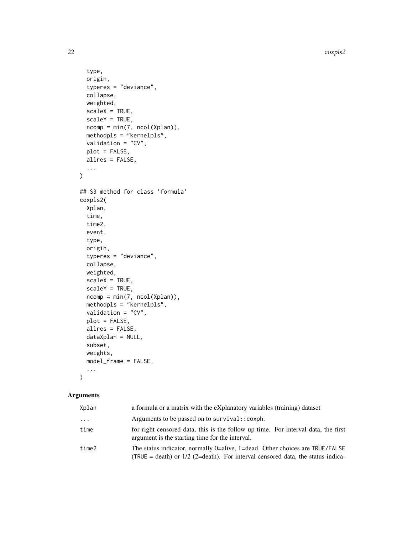22 coxpls2

```
type,
  origin,
  typeres = "deviance",
  collapse,
  weighted,
  scaleX = TRUE,
  scaleY = TRUE,
 ncomp = min(7, ncol(Xplan)),methodpls = "kernelpls",
 validation = "CV",
 plot = FALSE,
 allres = FALSE,
  ...
\mathcal{L}## S3 method for class 'formula'
coxpls2(
  Xplan,
  time,
  time2,
  event,
  type,
  origin,
  typeres = "deviance",
  collapse,
 weighted,
  scaleX = TRUE,scaleY = TRUE,
  ncomp = min(7, ncol(Xplan)),
 methodpls = "kernelpls",
  validation = "CV",
 plot = FALSE,
  allres = FALSE,
  dataXplan = NULL,
  subset,
 weights,
 model_frame = FALSE,
  ...
\mathcal{L}
```

| Xplan    | a formula or a matrix with the eXplanatory variables (training) dataset                                                                                           |
|----------|-------------------------------------------------------------------------------------------------------------------------------------------------------------------|
| $\ddots$ | Arguments to be passed on to survival:: coxph.                                                                                                                    |
| time     | for right censored data, this is the follow up time. For interval data, the first<br>argument is the starting time for the interval.                              |
| time2    | The status indicator, normally 0=alive, 1=dead. Other choices are TRUE/FALSE<br>(TRUE = death) or $1/2$ (2=death). For interval censored data, the status indica- |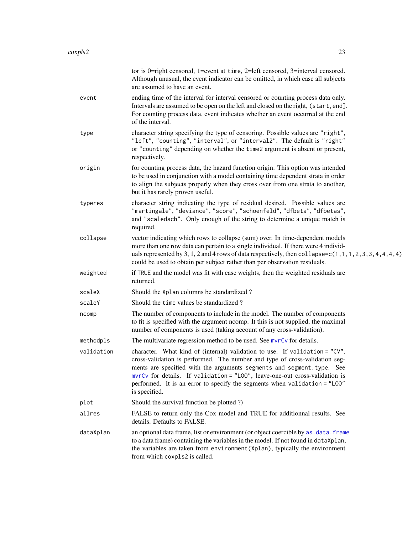|            | tor is 0=right censored, 1=event at time, 2=left censored, 3=interval censored.<br>Although unusual, the event indicator can be omitted, in which case all subjects<br>are assumed to have an event.                                                                                                                                                                                                              |
|------------|-------------------------------------------------------------------------------------------------------------------------------------------------------------------------------------------------------------------------------------------------------------------------------------------------------------------------------------------------------------------------------------------------------------------|
| event      | ending time of the interval for interval censored or counting process data only.<br>Intervals are assumed to be open on the left and closed on the right, (start, end].<br>For counting process data, event indicates whether an event occurred at the end<br>of the interval.                                                                                                                                    |
| type       | character string specifying the type of censoring. Possible values are "right",<br>"left", "counting", "interval", or "interval2". The default is "right"<br>or "counting" depending on whether the time2 argument is absent or present,<br>respectively.                                                                                                                                                         |
| origin     | for counting process data, the hazard function origin. This option was intended<br>to be used in conjunction with a model containing time dependent strata in order<br>to align the subjects properly when they cross over from one strata to another,<br>but it has rarely proven useful.                                                                                                                        |
| typeres    | character string indicating the type of residual desired. Possible values are<br>"martingale", "deviance", "score", "schoenfeld", "dfbeta", "dfbetas",<br>and "scaledsch". Only enough of the string to determine a unique match is<br>required.                                                                                                                                                                  |
| collapse   | vector indicating which rows to collapse (sum) over. In time-dependent models<br>more than one row data can pertain to a single individual. If there were 4 individ-<br>uals represented by 3, 1, 2 and 4 rows of data respectively, then collapse=c(1, 1, 1, 2, 3, 3, 4, 4, 4, 4)<br>could be used to obtain per subject rather than per observation residuals.                                                  |
| weighted   | if TRUE and the model was fit with case weights, then the weighted residuals are<br>returned.                                                                                                                                                                                                                                                                                                                     |
| scaleX     | Should the Xplan columns be standardized?                                                                                                                                                                                                                                                                                                                                                                         |
| scaleY     | Should the time values be standardized?                                                                                                                                                                                                                                                                                                                                                                           |
| ncomp      | The number of components to include in the model. The number of components<br>to fit is specified with the argument ncomp. It this is not supplied, the maximal<br>number of components is used (taking account of any cross-validation).                                                                                                                                                                         |
| methodpls  | The multivariate regression method to be used. See mvrCv for details.                                                                                                                                                                                                                                                                                                                                             |
| validation | character. What kind of (internal) validation to use. If validation = "CV",<br>cross-validation is performed. The number and type of cross-validation seg-<br>ments are specified with the arguments segments and segment. type. See<br>mvrCv for details. If validation = "LOO", leave-one-out cross-validation is<br>performed. It is an error to specify the segments when validation = "LOO"<br>is specified. |
| plot       | Should the survival function be plotted ?)                                                                                                                                                                                                                                                                                                                                                                        |
| allres     | FALSE to return only the Cox model and TRUE for additionnal results. See<br>details. Defaults to FALSE.                                                                                                                                                                                                                                                                                                           |
| dataXplan  | an optional data frame, list or environment (or object coercible by as . data. frame<br>to a data frame) containing the variables in the model. If not found in dataXplan,<br>the variables are taken from environment (Xplan), typically the environment<br>from which coxpls2 is called.                                                                                                                        |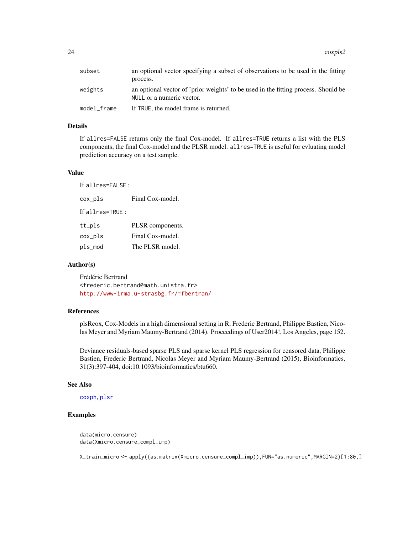24 coxpls2

| subset      | an optional vector specifying a subset of observations to be used in the fitting<br>process.                    |
|-------------|-----------------------------------------------------------------------------------------------------------------|
| weights     | an optional vector of 'prior weights' to be used in the fitting process. Should be<br>NULL or a numeric vector. |
| model frame | If TRUE, the model frame is returned.                                                                           |

#### Details

If allres=FALSE returns only the final Cox-model. If allres=TRUE returns a list with the PLS components, the final Cox-model and the PLSR model. allres=TRUE is useful for evluating model prediction accuracy on a test sample.

#### Value

If allres=FALSE :

cox\_pls Final Cox-model.

If allres=TRUE :

| tt_pls  | PLSR components. |
|---------|------------------|
| cox_pls | Final Cox-model. |
| pls_mod | The PLSR model.  |

#### Author(s)

Frédéric Bertrand <frederic.bertrand@math.unistra.fr> <http://www-irma.u-strasbg.fr/~fbertran/>

#### References

plsRcox, Cox-Models in a high dimensional setting in R, Frederic Bertrand, Philippe Bastien, Nicolas Meyer and Myriam Maumy-Bertrand (2014). Proceedings of User2014!, Los Angeles, page 152.

Deviance residuals-based sparse PLS and sparse kernel PLS regression for censored data, Philippe Bastien, Frederic Bertrand, Nicolas Meyer and Myriam Maumy-Bertrand (2015), Bioinformatics, 31(3):397-404, doi:10.1093/bioinformatics/btu660.

#### See Also

[coxph](#page-0-0), [plsr](#page-0-0)

### Examples

data(micro.censure) data(Xmicro.censure\_compl\_imp)

X\_train\_micro <- apply((as.matrix(Xmicro.censure\_compl\_imp)),FUN="as.numeric",MARGIN=2)[1:80,]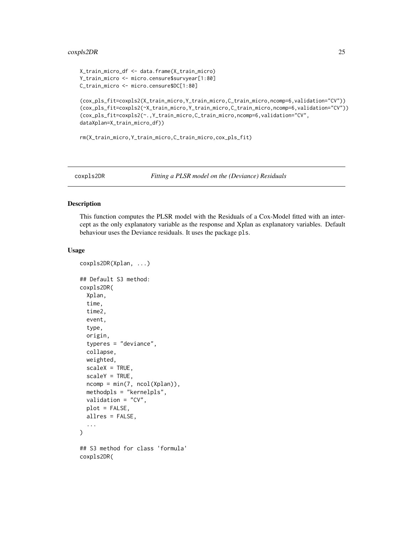#### <span id="page-24-0"></span>coxpls2DR 25

```
X_train_micro_df <- data.frame(X_train_micro)
Y_train_micro <- micro.censure$survyear[1:80]
C_train_micro <- micro.censure$DC[1:80]
```

```
(cox_pls_fit=coxpls2(X_train_micro,Y_train_micro,C_train_micro,ncomp=6,validation="CV"))
(cox_pls_fit=coxpls2(~X_train_micro,Y_train_micro,C_train_micro,ncomp=6,validation="CV"))
(cox_pls_fit=coxpls2(~.,Y_train_micro,C_train_micro,ncomp=6,validation="CV",
dataXplan=X_train_micro_df))
```
rm(X\_train\_micro,Y\_train\_micro,C\_train\_micro,cox\_pls\_fit)

coxpls2DR *Fitting a PLSR model on the (Deviance) Residuals*

#### Description

This function computes the PLSR model with the Residuals of a Cox-Model fitted with an intercept as the only explanatory variable as the response and Xplan as explanatory variables. Default behaviour uses the Deviance residuals. It uses the package pls.

```
coxpls2DR(Xplan, ...)
## Default S3 method:
coxpls2DR(
  Xplan,
  time,
  time2,
  event,
  type,
  origin,
  typeres = "deviance",
  collapse,
 weighted,
  scaleX = TRUE,
  scaleY = TRUE,ncomp = min(7, ncol(Xplan)),methodpls = "kernelpls",
 validation = "CV",
 plot = FALSE,
  allres = FALSE,
  ...
)
## S3 method for class 'formula'
coxpls2DR(
```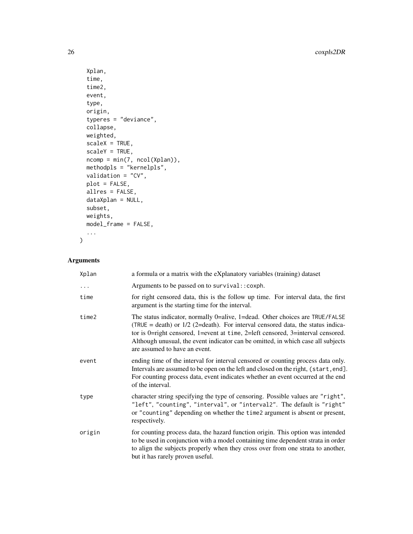```
Xplan,
time,
time2,
event,
type,
origin,
typeres = "deviance",
collapse,
weighted,
scaleX = TRUE,scaleY = TRUE,
ncomp = min(7, ncol(Xplan)),methodpls = "kernelpls",
validation = "CV",
plot = FALSE,
allres = FALSE,
dataXplan = NULL,
subset,
weights,
model_frame = FALSE,
...
```
# Arguments

 $\mathcal{L}$ 

| Xplan  | a formula or a matrix with the eXplanatory variables (training) dataset                                                                                                                                                                                                                                                                                                   |
|--------|---------------------------------------------------------------------------------------------------------------------------------------------------------------------------------------------------------------------------------------------------------------------------------------------------------------------------------------------------------------------------|
| .      | Arguments to be passed on to survival:: coxph.                                                                                                                                                                                                                                                                                                                            |
| time   | for right censored data, this is the follow up time. For interval data, the first<br>argument is the starting time for the interval.                                                                                                                                                                                                                                      |
| time2  | The status indicator, normally 0=alive, 1=dead. Other choices are TRUE/FALSE<br>(TRUE = death) or $1/2$ (2=death). For interval censored data, the status indica-<br>tor is 0=right censored, 1=event at time, 2=left censored, 3=interval censored.<br>Although unusual, the event indicator can be omitted, in which case all subjects<br>are assumed to have an event. |
| event  | ending time of the interval for interval censored or counting process data only.<br>Intervals are assumed to be open on the left and closed on the right, (start, end].<br>For counting process data, event indicates whether an event occurred at the end<br>of the interval.                                                                                            |
| type   | character string specifying the type of censoring. Possible values are "right",<br>"left", "counting", "interval", or "interval2". The default is "right"<br>or "counting" depending on whether the time2 argument is absent or present,<br>respectively.                                                                                                                 |
| origin | for counting process data, the hazard function origin. This option was intended<br>to be used in conjunction with a model containing time dependent strata in order<br>to align the subjects properly when they cross over from one strata to another,<br>but it has rarely proven useful.                                                                                |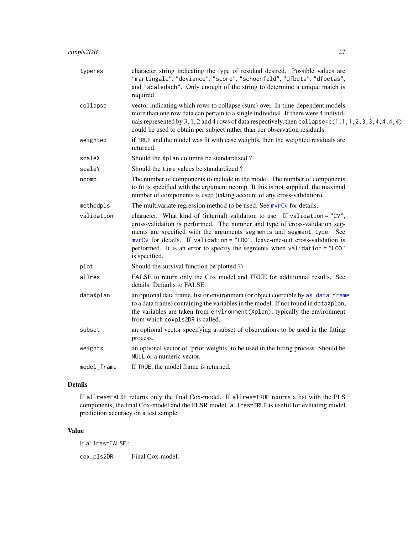| typeres     | character string indicating the type of residual desired. Possible values are<br>"martingale", "deviance", "score", "schoenfeld", "dfbeta", "dfbetas",<br>and "scaledsch". Only enough of the string to determine a unique match is<br>required.                                                                                                                                                                 |  |
|-------------|------------------------------------------------------------------------------------------------------------------------------------------------------------------------------------------------------------------------------------------------------------------------------------------------------------------------------------------------------------------------------------------------------------------|--|
| collapse    | vector indicating which rows to collapse (sum) over. In time-dependent models<br>more than one row data can pertain to a single individual. If there were 4 individ-<br>uals represented by 3, 1, 2 and 4 rows of data respectively, then collapse= $c(1, 1, 1, 2, 3, 3, 4, 4, 4, 4)$<br>could be used to obtain per subject rather than per observation residuals.                                              |  |
| weighted    | if TRUE and the model was fit with case weights, then the weighted residuals are<br>returned.                                                                                                                                                                                                                                                                                                                    |  |
| scaleX      | Should the Xplan columns be standardized?                                                                                                                                                                                                                                                                                                                                                                        |  |
| scaleY      | Should the time values be standardized?                                                                                                                                                                                                                                                                                                                                                                          |  |
| ncomp       | The number of components to include in the model. The number of components<br>to fit is specified with the argument ncomp. It this is not supplied, the maximal<br>number of components is used (taking account of any cross-validation).                                                                                                                                                                        |  |
| methodpls   | The multivariate regression method to be used. See mvrCv for details.                                                                                                                                                                                                                                                                                                                                            |  |
| validation  | character. What kind of (internal) validation to use. If validation = "CV",<br>cross-validation is performed. The number and type of cross-validation seg-<br>ments are specified with the arguments segments and segment.type. See<br>mvrCv for details. If validation = "LOO", leave-one-out cross-validation is<br>performed. It is an error to specify the segments when validation = "LOO"<br>is specified. |  |
| plot        | Should the survival function be plotted ?)                                                                                                                                                                                                                                                                                                                                                                       |  |
| allres      | FALSE to return only the Cox model and TRUE for additionnal results. See<br>details. Defaults to FALSE.                                                                                                                                                                                                                                                                                                          |  |
| dataXplan   | an optional data frame, list or environment (or object coercible by as . data. frame<br>to a data frame) containing the variables in the model. If not found in dataXplan,<br>the variables are taken from environment (Xplan), typically the environment<br>from which coxpls2DR is called.                                                                                                                     |  |
| subset      | an optional vector specifying a subset of observations to be used in the fitting<br>process.                                                                                                                                                                                                                                                                                                                     |  |
| weights     | an optional vector of 'prior weights' to be used in the fitting process. Should be<br>NULL or a numeric vector.                                                                                                                                                                                                                                                                                                  |  |
| model_frame | If TRUE, the model frame is returned.                                                                                                                                                                                                                                                                                                                                                                            |  |
|             |                                                                                                                                                                                                                                                                                                                                                                                                                  |  |

#### Details

If allres=FALSE returns only the final Cox-model. If allres=TRUE returns a list with the PLS components, the final Cox-model and the PLSR model. allres=TRUE is useful for evluating model prediction accuracy on a test sample.

# Value

If allres=FALSE :

cox\_pls2DR Final Cox-model.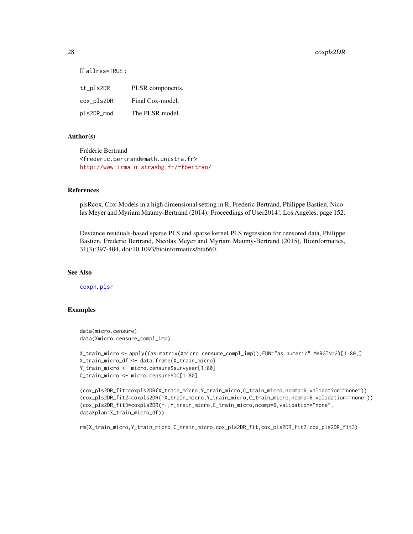#### 28 coxpls2DR

If allres=TRUE :

| tt_pls2DR  | PLSR components. |
|------------|------------------|
| cox_pls2DR | Final Cox-model. |
| pls2DR_mod | The PLSR model.  |

#### Author(s)

Frédéric Bertrand <frederic.bertrand@math.unistra.fr> <http://www-irma.u-strasbg.fr/~fbertran/>

#### References

plsRcox, Cox-Models in a high dimensional setting in R, Frederic Bertrand, Philippe Bastien, Nicolas Meyer and Myriam Maumy-Bertrand (2014). Proceedings of User2014!, Los Angeles, page 152.

Deviance residuals-based sparse PLS and sparse kernel PLS regression for censored data, Philippe Bastien, Frederic Bertrand, Nicolas Meyer and Myriam Maumy-Bertrand (2015), Bioinformatics, 31(3):397-404, doi:10.1093/bioinformatics/btu660.

#### See Also

[coxph](#page-0-0), [plsr](#page-0-0)

#### Examples

```
data(micro.censure)
data(Xmicro.censure_compl_imp)
```

```
X_train_micro <- apply((as.matrix(Xmicro.censure_compl_imp)),FUN="as.numeric",MARGIN=2)[1:80,]
X_train_micro_df <- data.frame(X_train_micro)
Y_train_micro <- micro.censure$survyear[1:80]
C_train_micro <- micro.censure$DC[1:80]
```

```
(cox_pls2DR_fit=coxpls2DR(X_train_micro,Y_train_micro,C_train_micro,ncomp=6,validation="none"))
(cox_pls2DR_fit2=coxpls2DR(~X_train_micro,Y_train_micro,C_train_micro,ncomp=6,validation="none"))
(cox_pls2DR_fit3=coxpls2DR(~.,Y_train_micro,C_train_micro,ncomp=6,validation="none",
dataXplan=X_train_micro_df))
```
rm(X\_train\_micro,Y\_train\_micro,C\_train\_micro,cox\_pls2DR\_fit,cox\_pls2DR\_fit2,cox\_pls2DR\_fit3)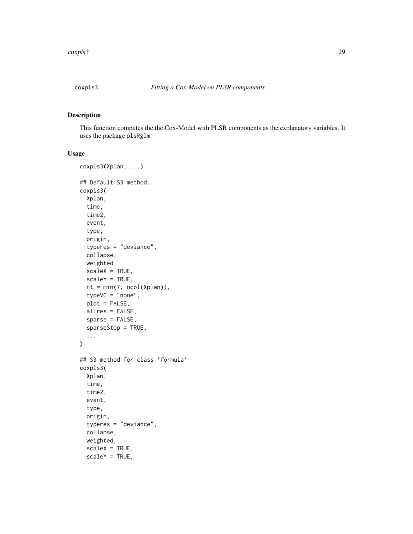<span id="page-28-0"></span>

#### Description

This function computes the the Cox-Model with PLSR components as the explanatory variables. It uses the package plsRglm.

```
coxpls3(Xplan, ...)
## Default S3 method:
coxpls3(
  Xplan,
  time,
  time2,
  event,
  type,
  origin,
  typeres = "deviance",
  collapse,
  weighted,
  scaleX = TRUE,
  scaleY = TRUE,nt = min(7, ncol(Xplan)),
  typeVC = "none",plot = FALSE,
  allres = FALSE,
  sparse = FALSE,
  sparseStop = TRUE,
  ...
\mathcal{L}## S3 method for class 'formula'
coxpls3(
  Xplan,
  time,
  time2,
  event,
  type,
  origin,
  typeres = "deviance",
  collapse,
  weighted,
  scaleX = TRUE,
  scaleY = TRUE,
```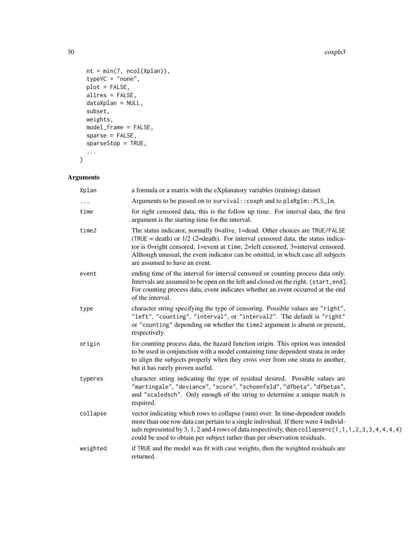```
nt = min(7, ncol(Xplan)),
 typeVC = "none",plot = FALSE,allres = FALSE,
 dataXplan = NULL,
 subset,
 weights,
 model_frame = FALSE,
 sparse = FALSE,
 sparseStop = TRUE,
  ...
\mathcal{L}
```

| Xplan    | a formula or a matrix with the eXplanatory variables (training) dataset                                                                                                                                                                                                                                                                                                   |
|----------|---------------------------------------------------------------------------------------------------------------------------------------------------------------------------------------------------------------------------------------------------------------------------------------------------------------------------------------------------------------------------|
|          | Arguments to be passed on to survival:: coxph and to plsRglm:: PLS_lm.                                                                                                                                                                                                                                                                                                    |
| time     | for right censored data, this is the follow up time. For interval data, the first<br>argument is the starting time for the interval.                                                                                                                                                                                                                                      |
| time2    | The status indicator, normally 0=alive, 1=dead. Other choices are TRUE/FALSE<br>(TRUE = death) or $1/2$ (2=death). For interval censored data, the status indica-<br>tor is 0=right censored, 1=event at time, 2=left censored, 3=interval censored.<br>Although unusual, the event indicator can be omitted, in which case all subjects<br>are assumed to have an event. |
| event    | ending time of the interval for interval censored or counting process data only.<br>Intervals are assumed to be open on the left and closed on the right, (start, end].<br>For counting process data, event indicates whether an event occurred at the end<br>of the interval.                                                                                            |
| type     | character string specifying the type of censoring. Possible values are "right",<br>"left", "counting", "interval", or "interval2". The default is "right"<br>or "counting" depending on whether the time2 argument is absent or present,<br>respectively.                                                                                                                 |
| origin   | for counting process data, the hazard function origin. This option was intended<br>to be used in conjunction with a model containing time dependent strata in order<br>to align the subjects properly when they cross over from one strata to another,<br>but it has rarely proven useful.                                                                                |
| typeres  | character string indicating the type of residual desired. Possible values are<br>"martingale", "deviance", "score", "schoenfeld", "dfbeta", "dfbetas",<br>and "scaledsch". Only enough of the string to determine a unique match is<br>required.                                                                                                                          |
| collapse | vector indicating which rows to collapse (sum) over. In time-dependent models<br>more than one row data can pertain to a single individual. If there were 4 individ-<br>uals represented by 3, 1, 2 and 4 rows of data respectively, then collapse= $c(1, 1, 1, 2, 3, 3, 4, 4, 4, 4)$<br>could be used to obtain per subject rather than per observation residuals.       |
| weighted | if TRUE and the model was fit with case weights, then the weighted residuals are<br>returned.                                                                                                                                                                                                                                                                             |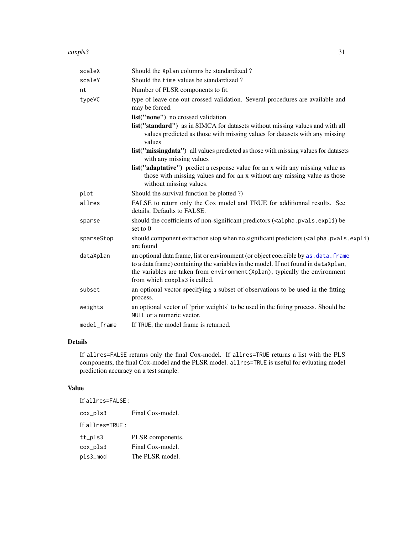#### coxpls3 31

| scaleX      | Should the Xplan columns be standardized?                                                                                                                                                                                                                                                  |
|-------------|--------------------------------------------------------------------------------------------------------------------------------------------------------------------------------------------------------------------------------------------------------------------------------------------|
| scaleY      | Should the time values be standardized?                                                                                                                                                                                                                                                    |
| nt          | Number of PLSR components to fit.                                                                                                                                                                                                                                                          |
| typeVC      | type of leave one out crossed validation. Several procedures are available and<br>may be forced.                                                                                                                                                                                           |
|             | list("none") no crossed validation                                                                                                                                                                                                                                                         |
|             | list("standard") as in SIMCA for datasets without missing values and with all<br>values predicted as those with missing values for datasets with any missing<br>values                                                                                                                     |
|             | list("missingdata") all values predicted as those with missing values for datasets<br>with any missing values                                                                                                                                                                              |
|             | list("adaptative") predict a response value for an x with any missing value as<br>those with missing values and for an x without any missing value as those<br>without missing values.                                                                                                     |
| plot        | Should the survival function be plotted ?)                                                                                                                                                                                                                                                 |
| allres      | FALSE to return only the Cox model and TRUE for additionnal results. See<br>details. Defaults to FALSE.                                                                                                                                                                                    |
| sparse      | should the coefficients of non-significant predictors ( <alpha.pvals.expli) be<br="">set to <math>0</math></alpha.pvals.expli)>                                                                                                                                                            |
| sparseStop  | should component extraction stop when no significant predictors ( <alpha.pvals.expli)<br>are found</alpha.pvals.expli)<br>                                                                                                                                                                 |
| dataXplan   | an optional data frame, list or environment (or object coercible by as . data. frame<br>to a data frame) containing the variables in the model. If not found in dataXplan,<br>the variables are taken from environment (Xplan), typically the environment<br>from which coxpls3 is called. |
| subset      | an optional vector specifying a subset of observations to be used in the fitting<br>process.                                                                                                                                                                                               |
| weights     | an optional vector of 'prior weights' to be used in the fitting process. Should be<br>NULL or a numeric vector.                                                                                                                                                                            |
| model_frame | If TRUE, the model frame is returned.                                                                                                                                                                                                                                                      |

# Details

If allres=FALSE returns only the final Cox-model. If allres=TRUE returns a list with the PLS components, the final Cox-model and the PLSR model. allres=TRUE is useful for evluating model prediction accuracy on a test sample.

#### Value

If allres=FALSE : cox\_pls3 Final Cox-model. If allres=TRUE : tt\_pls3 PLSR components. cox\_pls3 Final Cox-model. pls3\_mod The PLSR model.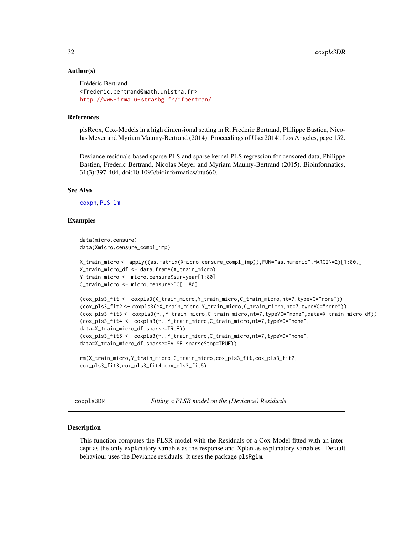#### <span id="page-31-0"></span>Author(s)

```
Frédéric Bertrand
<frederic.bertrand@math.unistra.fr>
http://www-irma.u-strasbg.fr/~fbertran/
```
#### References

plsRcox, Cox-Models in a high dimensional setting in R, Frederic Bertrand, Philippe Bastien, Nicolas Meyer and Myriam Maumy-Bertrand (2014). Proceedings of User2014!, Los Angeles, page 152.

Deviance residuals-based sparse PLS and sparse kernel PLS regression for censored data, Philippe Bastien, Frederic Bertrand, Nicolas Meyer and Myriam Maumy-Bertrand (2015), Bioinformatics, 31(3):397-404, doi:10.1093/bioinformatics/btu660.

#### See Also

[coxph](#page-0-0), [PLS\\_lm](#page-0-0)

#### Examples

```
data(micro.censure)
data(Xmicro.censure_compl_imp)
```

```
X_train_micro <- apply((as.matrix(Xmicro.censure_compl_imp)),FUN="as.numeric",MARGIN=2)[1:80,]
X_train_micro_df <- data.frame(X_train_micro)
Y_train_micro <- micro.censure$survyear[1:80]
C_train_micro <- micro.censure$DC[1:80]
```

```
(cox_pls3_fit <- coxpls3(X_train_micro,Y_train_micro,C_train_micro,nt=7,typeVC="none"))
(cox_pls3_fit2 <- coxpls3(~X_train_micro,Y_train_micro,C_train_micro,nt=7,typeVC="none"))
(cox_pls3_fit3 <- coxpls3(~.,Y_train_micro,C_train_micro,nt=7,typeVC="none",data=X_train_micro_df))
(cox_pls3_fit4 <- coxpls3(~.,Y_train_micro,C_train_micro,nt=7,typeVC="none",
data=X_train_micro_df,sparse=TRUE))
(cox_pls3_fit5 <- coxpls3(~.,Y_train_micro,C_train_micro,nt=7,typeVC="none",
data=X_train_micro_df,sparse=FALSE,sparseStop=TRUE))
```

```
rm(X_train_micro,Y_train_micro,C_train_micro,cox_pls3_fit,cox_pls3_fit2,
cox_pls3_fit3,cox_pls3_fit4,cox_pls3_fit5)
```
coxpls3DR *Fitting a PLSR model on the (Deviance) Residuals*

#### Description

This function computes the PLSR model with the Residuals of a Cox-Model fitted with an intercept as the only explanatory variable as the response and Xplan as explanatory variables. Default behaviour uses the Deviance residuals. It uses the package plsRglm.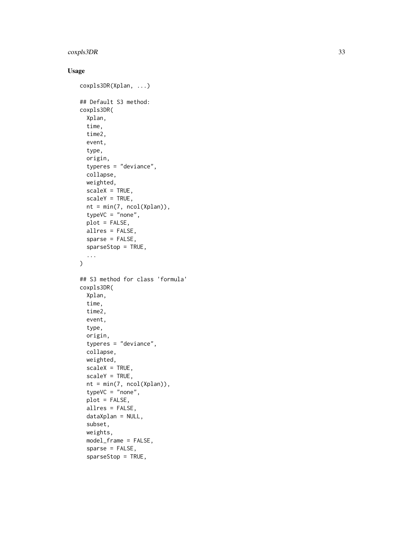#### coxpls3DR 33

```
coxpls3DR(Xplan, ...)
## Default S3 method:
coxpls3DR(
  Xplan,
  time,
  time2,
  event,
  type,
  origin,
  typeres = "deviance",
  collapse,
 weighted,
  scaleX = TRUE,scaleY = TRUE,
  nt = min(7, ncol(Xplan)),
  typeVC = "none",
 plot = FALSE,
 allres = FALSE,
  sparse = FALSE,
  sparseStop = TRUE,
  ...
)
## S3 method for class 'formula'
coxpls3DR(
  Xplan,
  time,
  time2,
  event,
  type,
  origin,
  typeres = "deviance",
  collapse,
 weighted,
  scaleX = TRUE,
  scaleY = TRUE,
  nt = min(7, ncol(Xplan)),typeVC = "none",
  plot = FALSE,
  allres = FALSE,
  dataXplan = NULL,
  subset,
  weights,
 model_frame = FALSE,
  sparse = FALSE,
  sparseStop = TRUE,
```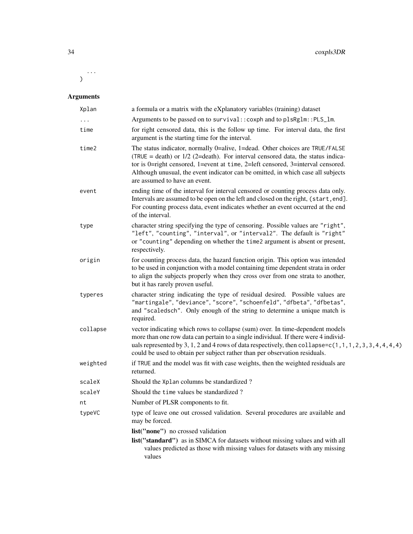...  $\lambda$ 

| Xplan    | a formula or a matrix with the eXplanatory variables (training) dataset                                                                                                                                                                                                                                                                                                   |
|----------|---------------------------------------------------------------------------------------------------------------------------------------------------------------------------------------------------------------------------------------------------------------------------------------------------------------------------------------------------------------------------|
|          | Arguments to be passed on to survival:: coxph and to plsRglm:: PLS_lm.                                                                                                                                                                                                                                                                                                    |
| time     | for right censored data, this is the follow up time. For interval data, the first<br>argument is the starting time for the interval.                                                                                                                                                                                                                                      |
| time2    | The status indicator, normally 0=alive, 1=dead. Other choices are TRUE/FALSE<br>(TRUE = death) or $1/2$ (2=death). For interval censored data, the status indica-<br>tor is 0=right censored, 1=event at time, 2=left censored, 3=interval censored.<br>Although unusual, the event indicator can be omitted, in which case all subjects<br>are assumed to have an event. |
| event    | ending time of the interval for interval censored or counting process data only.<br>Intervals are assumed to be open on the left and closed on the right, (start, end].<br>For counting process data, event indicates whether an event occurred at the end<br>of the interval.                                                                                            |
| type     | character string specifying the type of censoring. Possible values are "right",<br>"left", "counting", "interval", or "interval2". The default is "right"<br>or "counting" depending on whether the time2 argument is absent or present,<br>respectively.                                                                                                                 |
| origin   | for counting process data, the hazard function origin. This option was intended<br>to be used in conjunction with a model containing time dependent strata in order<br>to align the subjects properly when they cross over from one strata to another,<br>but it has rarely proven useful.                                                                                |
| typeres  | character string indicating the type of residual desired. Possible values are<br>"martingale", "deviance", "score", "schoenfeld", "dfbeta", "dfbetas",<br>and "scaledsch". Only enough of the string to determine a unique match is<br>required.                                                                                                                          |
| collapse | vector indicating which rows to collapse (sum) over. In time-dependent models<br>more than one row data can pertain to a single individual. If there were 4 individ-<br>uals represented by 3, 1, 2 and 4 rows of data respectively, then collapse= $c(1, 1, 1, 2, 3, 3, 4, 4, 4, 4)$<br>could be used to obtain per subject rather than per observation residuals.       |
| weighted | if TRUE and the model was fit with case weights, then the weighted residuals are<br>returned.                                                                                                                                                                                                                                                                             |
| scaleX   | Should the Xplan columns be standardized?                                                                                                                                                                                                                                                                                                                                 |
| scaleY   | Should the time values be standardized?                                                                                                                                                                                                                                                                                                                                   |
| nt       | Number of PLSR components to fit.                                                                                                                                                                                                                                                                                                                                         |
| typeVC   | type of leave one out crossed validation. Several procedures are available and<br>may be forced.                                                                                                                                                                                                                                                                          |
|          | list("none") no crossed validation                                                                                                                                                                                                                                                                                                                                        |
|          | list("standard") as in SIMCA for datasets without missing values and with all<br>values predicted as those with missing values for datasets with any missing<br>values                                                                                                                                                                                                    |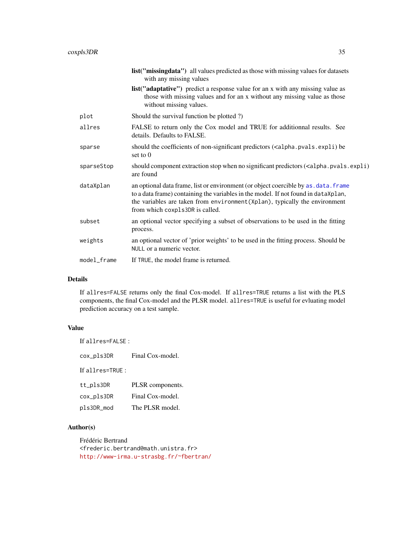|             | list("missingdata") all values predicted as those with missing values for datasets<br>with any missing values                                                                                                                                                                                |
|-------------|----------------------------------------------------------------------------------------------------------------------------------------------------------------------------------------------------------------------------------------------------------------------------------------------|
|             | <b>list</b> ("adaptative") predict a response value for an x with any missing value as<br>those with missing values and for an x without any missing value as those<br>without missing values.                                                                                               |
| plot        | Should the survival function be plotted ?)                                                                                                                                                                                                                                                   |
| allres      | FALSE to return only the Cox model and TRUE for additionnal results. See<br>details. Defaults to FALSE.                                                                                                                                                                                      |
| sparse      | should the coefficients of non-significant predictors ( <alpha.pvals.expli) be<br="">set to <math>0</math></alpha.pvals.expli)>                                                                                                                                                              |
| sparseStop  | should component extraction stop when no significant predictors ( <alpha.pvals.expli)<br>are found</alpha.pvals.expli)<br>                                                                                                                                                                   |
| dataXplan   | an optional data frame, list or environment (or object coercible by as . data. frame<br>to a data frame) containing the variables in the model. If not found in dataXplan,<br>the variables are taken from environment (Xplan), typically the environment<br>from which coxpls3DR is called. |
| subset      | an optional vector specifying a subset of observations to be used in the fitting<br>process.                                                                                                                                                                                                 |
| weights     | an optional vector of 'prior weights' to be used in the fitting process. Should be<br>NULL or a numeric vector.                                                                                                                                                                              |
| model_frame | If TRUE, the model frame is returned.                                                                                                                                                                                                                                                        |
|             |                                                                                                                                                                                                                                                                                              |

#### Details

If allres=FALSE returns only the final Cox-model. If allres=TRUE returns a list with the PLS components, the final Cox-model and the PLSR model. allres=TRUE is useful for evluating model prediction accuracy on a test sample.

# Value

| If all res=FALSE : |                  |
|--------------------|------------------|
| cox_pls3DR         | Final Cox-model. |
| If all $res=TRUF:$ |                  |
| tt_pls3DR          | PLSR components. |
| cox_pls3DR         | Final Cox-model. |
| pls3DR_mod         | The PLSR model.  |

# Author(s)

Frédéric Bertrand <frederic.bertrand@math.unistra.fr> <http://www-irma.u-strasbg.fr/~fbertran/>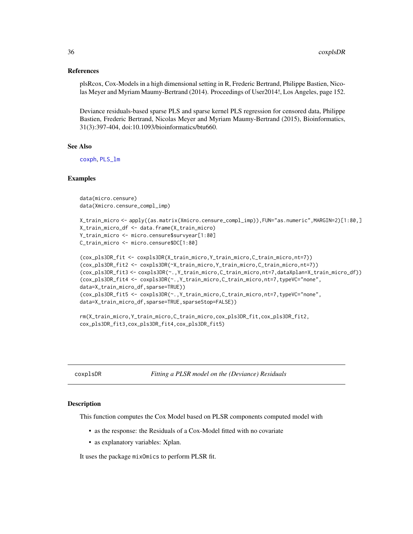#### <span id="page-35-0"></span>References

plsRcox, Cox-Models in a high dimensional setting in R, Frederic Bertrand, Philippe Bastien, Nicolas Meyer and Myriam Maumy-Bertrand (2014). Proceedings of User2014!, Los Angeles, page 152.

Deviance residuals-based sparse PLS and sparse kernel PLS regression for censored data, Philippe Bastien, Frederic Bertrand, Nicolas Meyer and Myriam Maumy-Bertrand (2015), Bioinformatics, 31(3):397-404, doi:10.1093/bioinformatics/btu660.

#### See Also

[coxph](#page-0-0), [PLS\\_lm](#page-0-0)

#### Examples

data(micro.censure) data(Xmicro.censure\_compl\_imp)

```
X_train_micro <- apply((as.matrix(Xmicro.censure_compl_imp)),FUN="as.numeric",MARGIN=2)[1:80,]
X_train_micro_df <- data.frame(X_train_micro)
Y_train_micro <- micro.censure$survyear[1:80]
C_train_micro <- micro.censure$DC[1:80]
```

```
(cox_pls3DR_fit <- coxpls3DR(X_train_micro,Y_train_micro,C_train_micro,nt=7))
(cox_pls3DR_fit2 <- coxpls3DR(~X_train_micro,Y_train_micro,C_train_micro,nt=7))
(cox_pls3DR_fit3 <- coxpls3DR(~.,Y_train_micro,C_train_micro,nt=7,dataXplan=X_train_micro_df))
(cox_pls3DR_fit4 <- coxpls3DR(~.,Y_train_micro,C_train_micro,nt=7,typeVC="none",
data=X_train_micro_df,sparse=TRUE))
(cox_pls3DR_fit5 <- coxpls3DR(~.,Y_train_micro,C_train_micro,nt=7,typeVC="none",
data=X_train_micro_df,sparse=TRUE,sparseStop=FALSE))
```

```
rm(X_train_micro,Y_train_micro,C_train_micro,cox_pls3DR_fit,cox_pls3DR_fit2,
cox_pls3DR_fit3,cox_pls3DR_fit4,cox_pls3DR_fit5)
```
coxplsDR *Fitting a PLSR model on the (Deviance) Residuals*

#### Description

This function computes the Cox Model based on PLSR components computed model with

- as the response: the Residuals of a Cox-Model fitted with no covariate
- as explanatory variables: Xplan.

It uses the package mixOmics to perform PLSR fit.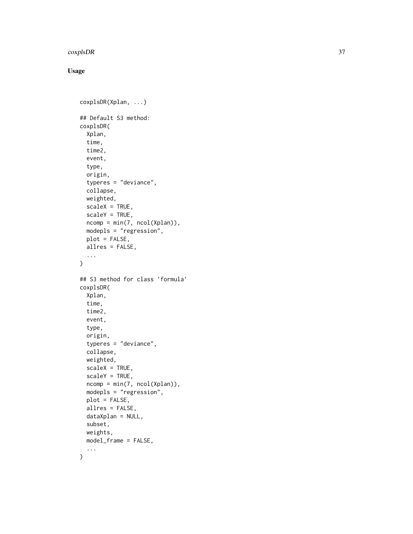#### coxplsDR 37

## Usage

```
coxplsDR(Xplan, ...)
## Default S3 method:
coxplsDR(
  Xplan,
  time,
  time2,
  event,
  type,
  origin,
  typeres = "deviance",
  collapse,
 weighted,
  scaleX = TRUE,scaleY = TRUE,
  ncomp = min(7, ncol(Xplan)),modepls = "regression",
 plot = FALSE,
  allres = FALSE,
  ...
)
## S3 method for class 'formula'
coxplsDR(
  Xplan,
  time,
  time2,
  event,
  type,
  origin,
  typeres = "deviance",
  collapse,
 weighted,
  scaleX = TRUE,
  scaleY = TRUE,
  ncomp = min(7, ncol(Xplan)),
 modepls = "regression",
 plot = FALSE,
  allres = FALSE,
  dataXplan = NULL,
  subset,
 weights,
 model_frame = FALSE,
  ...
)
```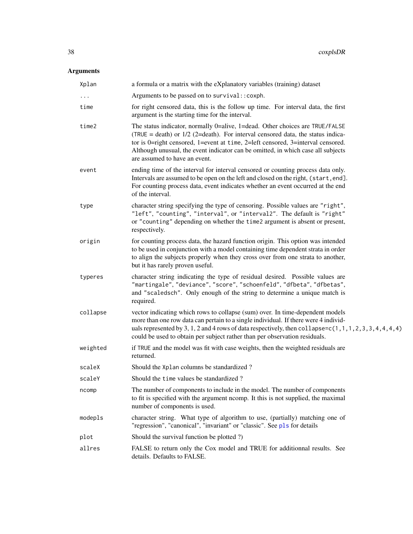# Arguments

| Xplan    | a formula or a matrix with the eXplanatory variables (training) dataset                                                                                                                                                                                                                                                                                                   |
|----------|---------------------------------------------------------------------------------------------------------------------------------------------------------------------------------------------------------------------------------------------------------------------------------------------------------------------------------------------------------------------------|
| .        | Arguments to be passed on to survival:: coxph.                                                                                                                                                                                                                                                                                                                            |
| time     | for right censored data, this is the follow up time. For interval data, the first<br>argument is the starting time for the interval.                                                                                                                                                                                                                                      |
| time2    | The status indicator, normally 0=alive, 1=dead. Other choices are TRUE/FALSE<br>(TRUE = death) or $1/2$ (2=death). For interval censored data, the status indica-<br>tor is 0=right censored, 1=event at time, 2=left censored, 3=interval censored.<br>Although unusual, the event indicator can be omitted, in which case all subjects<br>are assumed to have an event. |
| event    | ending time of the interval for interval censored or counting process data only.<br>Intervals are assumed to be open on the left and closed on the right, (start, end].<br>For counting process data, event indicates whether an event occurred at the end<br>of the interval.                                                                                            |
| type     | character string specifying the type of censoring. Possible values are "right",<br>"left", "counting", "interval", or "interval2". The default is "right"<br>or "counting" depending on whether the time2 argument is absent or present,<br>respectively.                                                                                                                 |
| origin   | for counting process data, the hazard function origin. This option was intended<br>to be used in conjunction with a model containing time dependent strata in order<br>to align the subjects properly when they cross over from one strata to another,<br>but it has rarely proven useful.                                                                                |
| typeres  | character string indicating the type of residual desired. Possible values are<br>"martingale", "deviance", "score", "schoenfeld", "dfbeta", "dfbetas",<br>and "scaledsch". Only enough of the string to determine a unique match is<br>required.                                                                                                                          |
| collapse | vector indicating which rows to collapse (sum) over. In time-dependent models<br>more than one row data can pertain to a single individual. If there were 4 individ-<br>uals represented by 3, 1, 2 and 4 rows of data respectively, then collapse= $c(1, 1, 1, 2, 3, 3, 4, 4, 4, 4)$<br>could be used to obtain per subject rather than per observation residuals.       |
| weighted | if TRUE and the model was fit with case weights, then the weighted residuals are<br>returned.                                                                                                                                                                                                                                                                             |
| scaleX   | Should the Xplan columns be standardized?                                                                                                                                                                                                                                                                                                                                 |
| scaleY   | Should the time values be standardized?                                                                                                                                                                                                                                                                                                                                   |
| ncomp    | The number of components to include in the model. The number of components<br>to fit is specified with the argument ncomp. It this is not supplied, the maximal<br>number of components is used.                                                                                                                                                                          |
| modepls  | character string. What type of algorithm to use, (partially) matching one of<br>"regression", "canonical", "invariant" or "classic". See pls for details                                                                                                                                                                                                                  |
| plot     | Should the survival function be plotted ?)                                                                                                                                                                                                                                                                                                                                |
| allres   | FALSE to return only the Cox model and TRUE for additionnal results. See<br>details. Defaults to FALSE.                                                                                                                                                                                                                                                                   |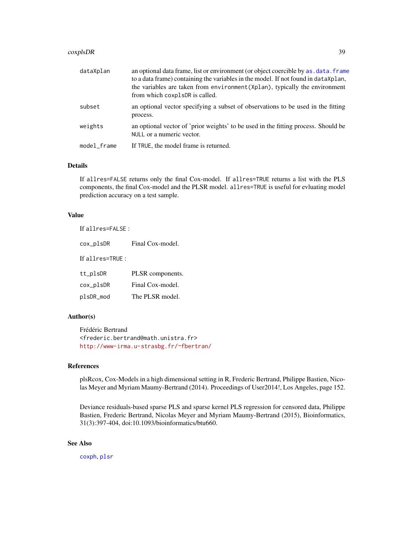#### coxplsDR 39

| dataXplan   | an optional data frame, list or environment (or object coercible by as, data, frame<br>to a data frame) containing the variables in the model. If not found in dataXplan,<br>the variables are taken from environment (Xplan), typically the environment<br>from which coxplsDR is called. |
|-------------|--------------------------------------------------------------------------------------------------------------------------------------------------------------------------------------------------------------------------------------------------------------------------------------------|
| subset      | an optional vector specifying a subset of observations to be used in the fitting<br>process.                                                                                                                                                                                               |
| weights     | an optional vector of 'prior weights' to be used in the fitting process. Should be<br>NULL or a numeric vector.                                                                                                                                                                            |
| model_frame | If TRUE, the model frame is returned.                                                                                                                                                                                                                                                      |

#### Details

If allres=FALSE returns only the final Cox-model. If allres=TRUE returns a list with the PLS components, the final Cox-model and the PLSR model. allres=TRUE is useful for evluating model prediction accuracy on a test sample.

### Value

If allres=FALSE :

| cox_plsDR        | Final Cox-model. |
|------------------|------------------|
| If allres=TRUE : |                  |
| tt_plsDR         | PLSR components. |
| cox_plsDR        | Final Cox-model. |
| plsDR_mod        | The PLSR model.  |

#### Author(s)

Frédéric Bertrand <frederic.bertrand@math.unistra.fr> <http://www-irma.u-strasbg.fr/~fbertran/>

## References

plsRcox, Cox-Models in a high dimensional setting in R, Frederic Bertrand, Philippe Bastien, Nicolas Meyer and Myriam Maumy-Bertrand (2014). Proceedings of User2014!, Los Angeles, page 152.

Deviance residuals-based sparse PLS and sparse kernel PLS regression for censored data, Philippe Bastien, Frederic Bertrand, Nicolas Meyer and Myriam Maumy-Bertrand (2015), Bioinformatics, 31(3):397-404, doi:10.1093/bioinformatics/btu660.

## See Also

[coxph](#page-0-0), [plsr](#page-0-0)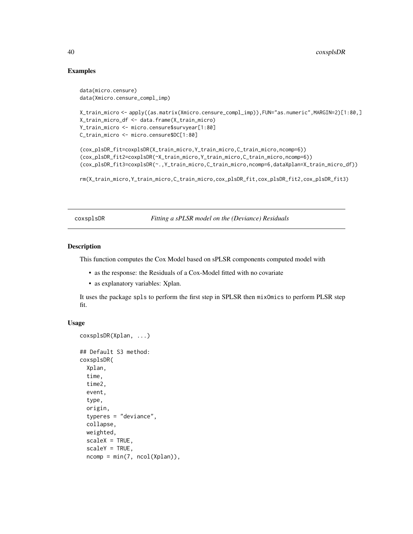### Examples

```
data(micro.censure)
data(Xmicro.censure_compl_imp)
X_train_micro <- apply((as.matrix(Xmicro.censure_compl_imp)),FUN="as.numeric",MARGIN=2)[1:80,]
X_train_micro_df <- data.frame(X_train_micro)
Y_train_micro <- micro.censure$survyear[1:80]
C_train_micro <- micro.censure$DC[1:80]
(cox_plsDR_fit=coxplsDR(X_train_micro,Y_train_micro,C_train_micro,ncomp=6))
(cox_plsDR_fit2=coxplsDR(~X_train_micro,Y_train_micro,C_train_micro,ncomp=6))
(cox_plsDR_fit3=coxplsDR(~.,Y_train_micro,C_train_micro,ncomp=6,dataXplan=X_train_micro_df))
rm(X_train_micro,Y_train_micro,C_train_micro,cox_plsDR_fit,cox_plsDR_fit2,cox_plsDR_fit3)
```
<span id="page-39-0"></span>coxsplsDR *Fitting a sPLSR model on the (Deviance) Residuals*

#### Description

This function computes the Cox Model based on sPLSR components computed model with

- as the response: the Residuals of a Cox-Model fitted with no covariate
- as explanatory variables: Xplan.

It uses the package spls to perform the first step in SPLSR then mixOmics to perform PLSR step fit.

### Usage

```
coxsplsDR(Xplan, ...)
## Default S3 method:
coxsplsDR(
  Xplan,
  time,
  time2,
  event,
  type,
  origin,
  typeres = "deviance",
  collapse,
 weighted,
  scaleX = TRUE,scaleY = TRUE,
  ncomp = min(7, ncol(Xplan)),
```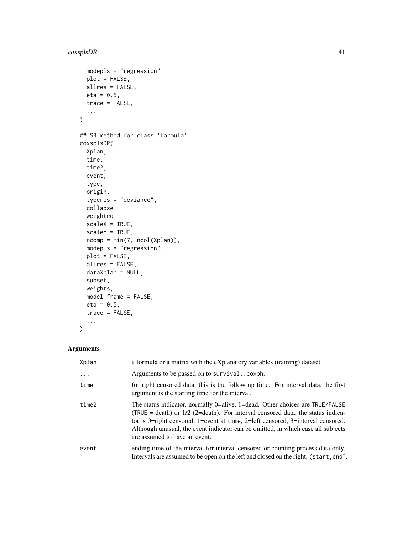```
modepls = "regression",
 plot = FALSE,
 allres = FALSE,
 eta = 0.5,
  trace = FALSE,...
\mathcal{L}## S3 method for class 'formula'
coxsplsDR(
 Xplan,
  time,
  time2,
  event,
  type,
  origin,
  typeres = "deviance",
  collapse,
 weighted,
  scaleX = TRUE,scaleY = TRUE,
  ncomp = min(7, ncol(Xplan)),modepls = "regression",
 plot = FALSE,
  allres = FALSE,
  dataXplan = NULL,
  subset,
 weights,
 model_frame = FALSE,
 eta = 0.5,
  trace = FALSE,
  ...
\mathcal{L}
```
## Arguments

| Xplan    | a formula or a matrix with the eXplanatory variables (training) dataset                                                                                                                                                                                                                                                                                                   |
|----------|---------------------------------------------------------------------------------------------------------------------------------------------------------------------------------------------------------------------------------------------------------------------------------------------------------------------------------------------------------------------------|
| $\ddots$ | Arguments to be passed on to survival:: coxph.                                                                                                                                                                                                                                                                                                                            |
| time     | for right censored data, this is the follow up time. For interval data, the first<br>argument is the starting time for the interval.                                                                                                                                                                                                                                      |
| time2    | The status indicator, normally 0=alive, 1=dead. Other choices are TRUE/FALSE<br>(TRUE = death) or $1/2$ (2=death). For interval censored data, the status indica-<br>tor is 0=right censored, 1=event at time, 2=left censored, 3=interval censored.<br>Although unusual, the event indicator can be omitted, in which case all subjects<br>are assumed to have an event. |
| event    | ending time of the interval for interval censored or counting process data only.<br>Intervals are assumed to be open on the left and closed on the right, (start, end).                                                                                                                                                                                                   |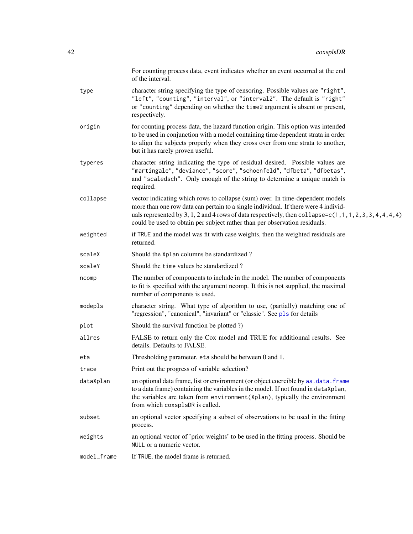|             | For counting process data, event indicates whether an event occurred at the end<br>of the interval.                                                                                                                                                                                                                                                                 |
|-------------|---------------------------------------------------------------------------------------------------------------------------------------------------------------------------------------------------------------------------------------------------------------------------------------------------------------------------------------------------------------------|
| type        | character string specifying the type of censoring. Possible values are "right",<br>"left", "counting", "interval", or "interval2". The default is "right"<br>or "counting" depending on whether the time2 argument is absent or present,<br>respectively.                                                                                                           |
| origin      | for counting process data, the hazard function origin. This option was intended<br>to be used in conjunction with a model containing time dependent strata in order<br>to align the subjects properly when they cross over from one strata to another,<br>but it has rarely proven useful.                                                                          |
| typeres     | character string indicating the type of residual desired. Possible values are<br>"martingale", "deviance", "score", "schoenfeld", "dfbeta", "dfbetas",<br>and "scaledsch". Only enough of the string to determine a unique match is<br>required.                                                                                                                    |
| collapse    | vector indicating which rows to collapse (sum) over. In time-dependent models<br>more than one row data can pertain to a single individual. If there were 4 individ-<br>uals represented by 3, 1, 2 and 4 rows of data respectively, then collapse= $c(1, 1, 1, 2, 3, 3, 4, 4, 4, 4)$<br>could be used to obtain per subject rather than per observation residuals. |
| weighted    | if TRUE and the model was fit with case weights, then the weighted residuals are<br>returned.                                                                                                                                                                                                                                                                       |
| scaleX      | Should the Xplan columns be standardized?                                                                                                                                                                                                                                                                                                                           |
| scaleY      | Should the time values be standardized?                                                                                                                                                                                                                                                                                                                             |
| ncomp       | The number of components to include in the model. The number of components<br>to fit is specified with the argument ncomp. It this is not supplied, the maximal<br>number of components is used.                                                                                                                                                                    |
| modepls     | character string. What type of algorithm to use, (partially) matching one of<br>"regression", "canonical", "invariant" or "classic". See pls for details                                                                                                                                                                                                            |
| plot        | Should the survival function be plotted ?)                                                                                                                                                                                                                                                                                                                          |
| allres      | FALSE to return only the Cox model and TRUE for additionnal results. See<br>details. Defaults to FALSE.                                                                                                                                                                                                                                                             |
| eta         | Thresholding parameter. eta should be between 0 and 1.                                                                                                                                                                                                                                                                                                              |
| trace       | Print out the progress of variable selection?                                                                                                                                                                                                                                                                                                                       |
| dataXplan   | an optional data frame, list or environment (or object coercible by as . data. frame<br>to a data frame) containing the variables in the model. If not found in dataXplan,<br>the variables are taken from environment (Xplan), typically the environment<br>from which coxsplsDR is called.                                                                        |
| subset      | an optional vector specifying a subset of observations to be used in the fitting<br>process.                                                                                                                                                                                                                                                                        |
| weights     | an optional vector of 'prior weights' to be used in the fitting process. Should be<br>NULL or a numeric vector.                                                                                                                                                                                                                                                     |
| model_frame | If TRUE, the model frame is returned.                                                                                                                                                                                                                                                                                                                               |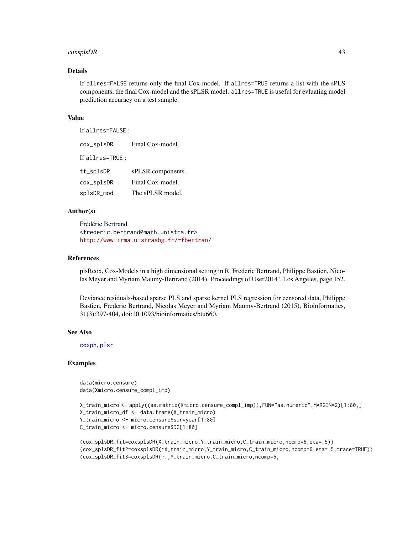#### coxsplsDR 43

### Details

If allres=FALSE returns only the final Cox-model. If allres=TRUE returns a list with the sPLS components, the final Cox-model and the sPLSR model. allres=TRUE is useful for evluating model prediction accuracy on a test sample.

#### Value

If allres=FALSE : cox\_splsDR Final Cox-model. If allres=TRUE : tt\_splsDR sPLSR components. cox\_splsDR Final Cox-model. splsDR\_mod The sPLSR model.

#### Author(s)

Frédéric Bertrand <frederic.bertrand@math.unistra.fr> <http://www-irma.u-strasbg.fr/~fbertran/>

#### References

plsRcox, Cox-Models in a high dimensional setting in R, Frederic Bertrand, Philippe Bastien, Nicolas Meyer and Myriam Maumy-Bertrand (2014). Proceedings of User2014!, Los Angeles, page 152.

Deviance residuals-based sparse PLS and sparse kernel PLS regression for censored data, Philippe Bastien, Frederic Bertrand, Nicolas Meyer and Myriam Maumy-Bertrand (2015), Bioinformatics, 31(3):397-404, doi:10.1093/bioinformatics/btu660.

#### See Also

[coxph](#page-0-0), [plsr](#page-0-0)

#### Examples

data(micro.censure) data(Xmicro.censure\_compl\_imp)

```
X_train_micro <- apply((as.matrix(Xmicro.censure_compl_imp)),FUN="as.numeric",MARGIN=2)[1:80,]
X_train_micro_df <- data.frame(X_train_micro)
Y_train_micro <- micro.censure$survyear[1:80]
C_train_micro <- micro.censure$DC[1:80]
```

```
(cox_splsDR_fit=coxsplsDR(X_train_micro,Y_train_micro,C_train_micro,ncomp=6,eta=.5))
(cox_splsDR_fit2=coxsplsDR(~X_train_micro,Y_train_micro,C_train_micro,ncomp=6,eta=.5,trace=TRUE))
(cox_splsDR_fit3=coxsplsDR(~.,Y_train_micro,C_train_micro,ncomp=6,
```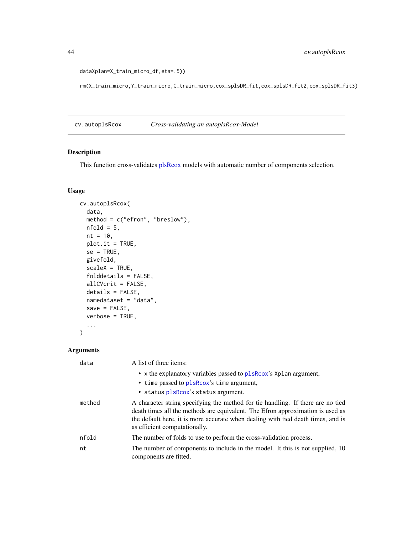```
dataXplan=X_train_micro_df,eta=.5))
```
rm(X\_train\_micro,Y\_train\_micro,C\_train\_micro,cox\_splsDR\_fit,cox\_splsDR\_fit2,cox\_splsDR\_fit3)

cv.autoplsRcox *Cross-validating an autoplsRcox-Model*

### Description

This function cross-validates [plsRcox](#page-93-0) models with automatic number of components selection.

### Usage

```
cv.autoplsRcox(
 data,
 method = c("efron", "breslow"),
 nfold = 5,
 nt = 10,plot.it = TRUE,se = TRUE,givefold,
 scaleX = TRUE,folddetails = FALSE,
 allCVcrit = FALSE,
 details = FALSE,
 namedataset = "data",
 save = FALSE,verbose = TRUE,
  ...
)
```
## Arguments

| data   | A list of three items:                                                                                                                                                                                                                                                                 |
|--------|----------------------------------------------------------------------------------------------------------------------------------------------------------------------------------------------------------------------------------------------------------------------------------------|
|        | • x the explanatory variables passed to plsRcox's Xplan argument,                                                                                                                                                                                                                      |
|        | • time passed to plsRcox's time argument,                                                                                                                                                                                                                                              |
|        | • status plsRcox's status argument.                                                                                                                                                                                                                                                    |
| method | A character string specifying the method for tie handling. If there are no tied<br>death times all the methods are equivalent. The Efron approximation is used as<br>the default here, it is more accurate when dealing with tied death times, and is<br>as efficient computationally. |
| nfold  | The number of folds to use to perform the cross-validation process.                                                                                                                                                                                                                    |
| nt     | The number of components to include in the model. It this is not supplied, 10<br>components are fitted.                                                                                                                                                                                |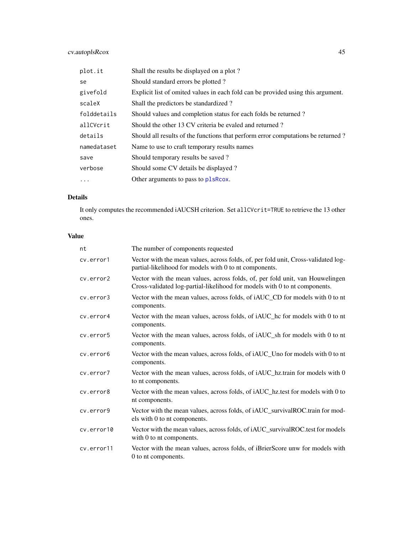# cv.autoplsRcox 45

| plot.it     | Shall the results be displayed on a plot?                                        |
|-------------|----------------------------------------------------------------------------------|
| se          | Should standard errors be plotted?                                               |
| givefold    | Explicit list of omited values in each fold can be provided using this argument. |
| scaleX      | Shall the predictors be standardized?                                            |
| folddetails | Should values and completion status for each folds be returned?                  |
| allCVcrit   | Should the other 13 CV criteria be evaled and returned?                          |
| details     | Should all results of the functions that perform error computations be returned? |
| namedataset | Name to use to craft temporary results names                                     |
| save        | Should temporary results be saved?                                               |
| verbose     | Should some CV details be displayed?                                             |
| .           | Other arguments to pass to plsRcox.                                              |
|             |                                                                                  |

## Details

It only computes the recommended iAUCSH criterion. Set allCVcrit=TRUE to retrieve the 13 other ones.

## Value

| nt         | The number of components requested                                                                                                                          |
|------------|-------------------------------------------------------------------------------------------------------------------------------------------------------------|
| cv.error1  | Vector with the mean values, across folds, of, per fold unit, Cross-validated log-<br>partial-likelihood for models with 0 to nt components.                |
| cv.error2  | Vector with the mean values, across folds, of, per fold unit, van Houwelingen<br>Cross-validated log-partial-likelihood for models with 0 to nt components. |
| cv.error3  | Vector with the mean values, across folds, of iAUC_CD for models with 0 to nt<br>components.                                                                |
| cv.error4  | Vector with the mean values, across folds, of iAUC_hc for models with 0 to nt<br>components.                                                                |
| cv.error5  | Vector with the mean values, across folds, of iAUC_sh for models with 0 to nt<br>components.                                                                |
| cv.error6  | Vector with the mean values, across folds, of iAUC_Uno for models with 0 to nt<br>components.                                                               |
| cv.error7  | Vector with the mean values, across folds, of iAUC_hz.train for models with 0<br>to nt components.                                                          |
| cv.error8  | Vector with the mean values, across folds, of iAUC_hz.test for models with 0 to<br>nt components.                                                           |
| cv.error9  | Vector with the mean values, across folds, of iAUC_survivalROC.train for mod-<br>els with 0 to nt components.                                               |
| cv.error10 | Vector with the mean values, across folds, of iAUC_survivalROC.test for models<br>with 0 to nt components.                                                  |
| cv.error11 | Vector with the mean values, across folds, of iBrierScore unw for models with<br>0 to nt components.                                                        |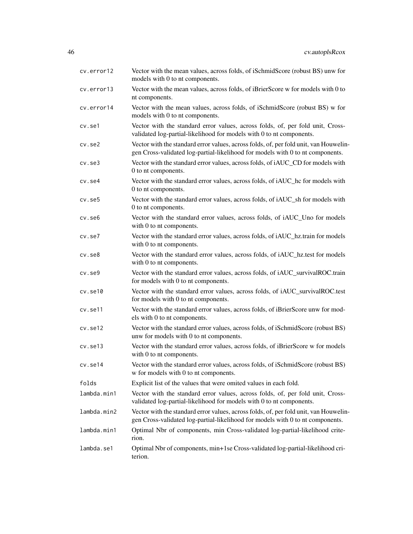| cv.error12    | Vector with the mean values, across folds, of iSchmidScore (robust BS) unw for<br>models with 0 to nt components.                                                       |
|---------------|-------------------------------------------------------------------------------------------------------------------------------------------------------------------------|
| cv.error13    | Vector with the mean values, across folds, of iBrierScore w for models with 0 to<br>nt components.                                                                      |
| cv.error14    | Vector with the mean values, across folds, of iSchmidScore (robust BS) w for<br>models with 0 to nt components.                                                         |
| cv.set1       | Vector with the standard error values, across folds, of, per fold unit, Cross-<br>validated log-partial-likelihood for models with 0 to nt components.                  |
| $cv.$ se $2$  | Vector with the standard error values, across folds, of, per fold unit, van Houwelin-<br>gen Cross-validated log-partial-likelihood for models with 0 to nt components. |
| $cv.$ se $3$  | Vector with the standard error values, across folds, of iAUC_CD for models with<br>0 to nt components.                                                                  |
| cv.se4        | Vector with the standard error values, across folds, of iAUC_hc for models with<br>0 to nt components.                                                                  |
| $cv.$ se $5$  | Vector with the standard error values, across folds, of iAUC_sh for models with<br>0 to nt components.                                                                  |
| cv.se6        | Vector with the standard error values, across folds, of iAUC_Uno for models<br>with 0 to nt components.                                                                 |
| $cv.$ se $7$  | Vector with the standard error values, across folds, of iAUC_hz.train for models<br>with 0 to nt components.                                                            |
| $cv.$ se $8$  | Vector with the standard error values, across folds, of iAUC_hz.test for models<br>with 0 to nt components.                                                             |
| cv.se9        | Vector with the standard error values, across folds, of iAUC_survivalROC.train<br>for models with 0 to nt components.                                                   |
| cv.set10      | Vector with the standard error values, across folds, of iAUC_survivalROC.test<br>for models with 0 to nt components.                                                    |
| cv.se11       | Vector with the standard error values, across folds, of iBrierScore unw for mod-<br>els with 0 to nt components.                                                        |
| cv.set12      | Vector with the standard error values, across folds, of iSchmidScore (robust BS)<br>unw for models with 0 to nt components.                                             |
| $cv.$ se $13$ | Vector with the standard error values, across folds, of iBrierScore w for models<br>with 0 to nt components.                                                            |
| $cv.$ se $14$ | Vector with the standard error values, across folds, of iSchmidScore (robust BS)<br>w for models with 0 to nt components.                                               |
| folds         | Explicit list of the values that were omited values in each fold.                                                                                                       |
| lambda.min1   | Vector with the standard error values, across folds, of, per fold unit, Cross-<br>validated log-partial-likelihood for models with 0 to nt components.                  |
| lambda.min2   | Vector with the standard error values, across folds, of, per fold unit, van Houwelin-<br>gen Cross-validated log-partial-likelihood for models with 0 to nt components. |
| lambda.min1   | Optimal Nbr of components, min Cross-validated log-partial-likelihood crite-<br>rion.                                                                                   |
| lambda.se1    | Optimal Nbr of components, min+1se Cross-validated log-partial-likelihood cri-<br>terion.                                                                               |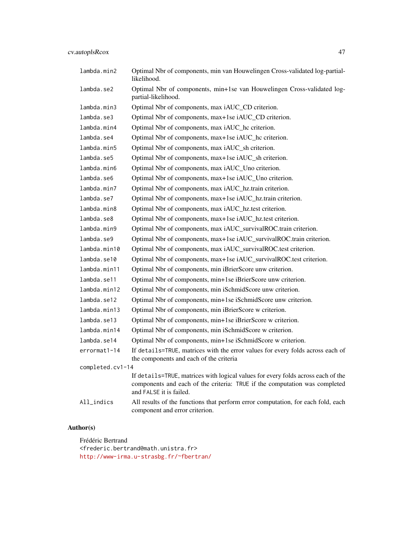| lambda.min2      | Optimal Nbr of components, min van Houwelingen Cross-validated log-partial-<br>likelihood.                                                                                                |
|------------------|-------------------------------------------------------------------------------------------------------------------------------------------------------------------------------------------|
| lambda.se2       | Optimal Nbr of components, min+1se van Houwelingen Cross-validated log-<br>partial-likelihood.                                                                                            |
| lambda.min3      | Optimal Nbr of components, max iAUC_CD criterion.                                                                                                                                         |
| lambda.se3       | Optimal Nbr of components, max+1se iAUC_CD criterion.                                                                                                                                     |
| lambda.min4      | Optimal Nbr of components, max iAUC_hc criterion.                                                                                                                                         |
| lambda.se4       | Optimal Nbr of components, max+1se iAUC_hc criterion.                                                                                                                                     |
| lambda.min5      | Optimal Nbr of components, max iAUC_sh criterion.                                                                                                                                         |
| lambda.se5       | Optimal Nbr of components, max+1se iAUC_sh criterion.                                                                                                                                     |
| lambda.min6      | Optimal Nbr of components, max iAUC_Uno criterion.                                                                                                                                        |
| lambda.se6       | Optimal Nbr of components, max+1se iAUC_Uno criterion.                                                                                                                                    |
| lambda.min7      | Optimal Nbr of components, max iAUC_hz.train criterion.                                                                                                                                   |
| lambda.se7       | Optimal Nbr of components, max+1se iAUC_hz.train criterion.                                                                                                                               |
| lambda.min8      | Optimal Nbr of components, max iAUC_hz.test criterion.                                                                                                                                    |
| lambda.se8       | Optimal Nbr of components, max+1se iAUC_hz.test criterion.                                                                                                                                |
| lambda.min9      | Optimal Nbr of components, max iAUC_survivalROC.train criterion.                                                                                                                          |
| lambda.se9       | Optimal Nbr of components, max+1se iAUC_survivalROC.train criterion.                                                                                                                      |
| lambda.min10     | Optimal Nbr of components, max iAUC_survivalROC.test criterion.                                                                                                                           |
| lambda.se10      | Optimal Nbr of components, max+1se iAUC_survivalROC.test criterion.                                                                                                                       |
| lambda.min11     | Optimal Nbr of components, min iBrierScore unw criterion.                                                                                                                                 |
| lambda.se11      | Optimal Nbr of components, min+1se iBrierScore unw criterion.                                                                                                                             |
| lambda.min12     | Optimal Nbr of components, min iSchmidScore unw criterion.                                                                                                                                |
| lambda.se12      | Optimal Nbr of components, min+1se iSchmidScore unw criterion.                                                                                                                            |
| lambda.min13     | Optimal Nbr of components, min iBrierScore w criterion.                                                                                                                                   |
| lambda.se13      | Optimal Nbr of components, min+1se iBrierScore w criterion.                                                                                                                               |
| lambda.min14     | Optimal Nbr of components, min iSchmidScore w criterion.                                                                                                                                  |
| lambda.se14      | Optimal Nbr of components, min+1se iSchmidScore w criterion.                                                                                                                              |
| errormat1-14     | If details=TRUE, matrices with the error values for every folds across each of<br>the components and each of the criteria                                                                 |
| completed.cv1-14 |                                                                                                                                                                                           |
|                  | If details=TRUE, matrices with logical values for every folds across each of the<br>components and each of the criteria: TRUE if the computation was completed<br>and FALSE it is failed. |
| All_indics       | All results of the functions that perform error computation, for each fold, each<br>component and error criterion.                                                                        |

## Author(s)

Frédéric Bertrand <frederic.bertrand@math.unistra.fr> <http://www-irma.u-strasbg.fr/~fbertran/>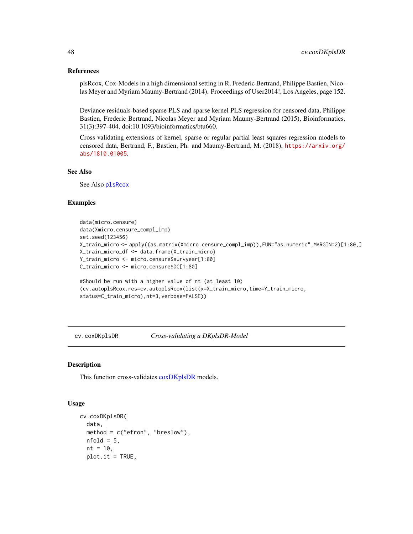#### References

plsRcox, Cox-Models in a high dimensional setting in R, Frederic Bertrand, Philippe Bastien, Nicolas Meyer and Myriam Maumy-Bertrand (2014). Proceedings of User2014!, Los Angeles, page 152.

Deviance residuals-based sparse PLS and sparse kernel PLS regression for censored data, Philippe Bastien, Frederic Bertrand, Nicolas Meyer and Myriam Maumy-Bertrand (2015), Bioinformatics, 31(3):397-404, doi:10.1093/bioinformatics/btu660.

Cross validating extensions of kernel, sparse or regular partial least squares regression models to censored data, Bertrand, F., Bastien, Ph. and Maumy-Bertrand, M. (2018), [https://arxiv.org/](https://arxiv.org/abs/1810.01005) [abs/1810.01005](https://arxiv.org/abs/1810.01005).

## See Also

See Also [plsRcox](#page-93-0)

#### Examples

```
data(micro.censure)
data(Xmicro.censure_compl_imp)
set.seed(123456)
X_train_micro <- apply((as.matrix(Xmicro.censure_compl_imp)),FUN="as.numeric",MARGIN=2)[1:80,]
X_train_micro_df <- data.frame(X_train_micro)
Y_train_micro <- micro.censure$survyear[1:80]
C_train_micro <- micro.censure$DC[1:80]
#Should be run with a higher value of nt (at least 10)
(cv.autoplsRcox.res=cv.autoplsRcox(list(x=X_train_micro,time=Y_train_micro,
status=C_train_micro),nt=3,verbose=FALSE))
```
cv.coxDKplsDR *Cross-validating a DKplsDR-Model*

#### **Description**

This function cross-validates [coxDKplsDR](#page-7-0) models.

#### Usage

```
cv.coxDKplsDR(
  data,
 method = c("efron", "breslow"),
 nfold = 5,
  nt = 10,
  plot.it = TRUE,
```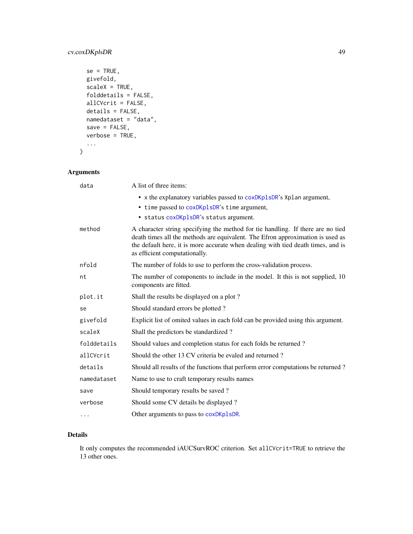## cv.coxDKplsDR 49

```
se = TRUE,givefold,
 scaleX = TRUE,folddetails = FALSE,
 allCVcrit = FALSE,
 details = FALSE,
 namedataset = "data",
 save = FALSE,verbose = TRUE,
  ...
)
```
## Arguments

| data        | A list of three items:                                                                                                                                                                                                                                                                 |
|-------------|----------------------------------------------------------------------------------------------------------------------------------------------------------------------------------------------------------------------------------------------------------------------------------------|
|             | • x the explanatory variables passed to coxDKplsDR's Xplan argument,<br>• time passed to coxDKplsDR's time argument,                                                                                                                                                                   |
|             | • status coxDKplsDR's status argument.                                                                                                                                                                                                                                                 |
| method      | A character string specifying the method for tie handling. If there are no tied<br>death times all the methods are equivalent. The Efron approximation is used as<br>the default here, it is more accurate when dealing with tied death times, and is<br>as efficient computationally. |
| nfold       | The number of folds to use to perform the cross-validation process.                                                                                                                                                                                                                    |
| nt          | The number of components to include in the model. It this is not supplied, 10<br>components are fitted.                                                                                                                                                                                |
| plot.it     | Shall the results be displayed on a plot?                                                                                                                                                                                                                                              |
| se          | Should standard errors be plotted?                                                                                                                                                                                                                                                     |
| givefold    | Explicit list of omited values in each fold can be provided using this argument.                                                                                                                                                                                                       |
| scaleX      | Shall the predictors be standardized?                                                                                                                                                                                                                                                  |
| folddetails | Should values and completion status for each folds be returned?                                                                                                                                                                                                                        |
| allCVcrit   | Should the other 13 CV criteria be evaled and returned?                                                                                                                                                                                                                                |
| details     | Should all results of the functions that perform error computations be returned?                                                                                                                                                                                                       |
| namedataset | Name to use to craft temporary results names                                                                                                                                                                                                                                           |
| save        | Should temporary results be saved?                                                                                                                                                                                                                                                     |
| verbose     | Should some CV details be displayed?                                                                                                                                                                                                                                                   |
| $\cdots$    | Other arguments to pass to coxDKp1sDR.                                                                                                                                                                                                                                                 |

## Details

It only computes the recommended iAUCSurvROC criterion. Set allCVcrit=TRUE to retrieve the 13 other ones.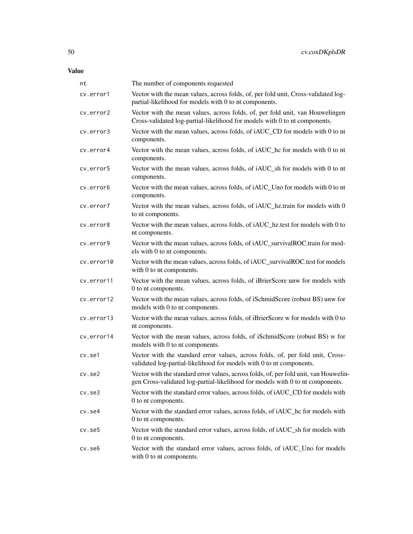| nt           | The number of components requested                                                                                                                                      |
|--------------|-------------------------------------------------------------------------------------------------------------------------------------------------------------------------|
| cv.error1    | Vector with the mean values, across folds, of, per fold unit, Cross-validated log-<br>partial-likelihood for models with 0 to nt components.                            |
| cv.error2    | Vector with the mean values, across folds, of, per fold unit, van Houwelingen<br>Cross-validated log-partial-likelihood for models with 0 to nt components.             |
| cv.error3    | Vector with the mean values, across folds, of iAUC_CD for models with 0 to nt<br>components.                                                                            |
| cv.error4    | Vector with the mean values, across folds, of iAUC_hc for models with 0 to nt<br>components.                                                                            |
| cv.error5    | Vector with the mean values, across folds, of iAUC_sh for models with 0 to nt<br>components.                                                                            |
| cv.error6    | Vector with the mean values, across folds, of iAUC_Uno for models with 0 to nt<br>components.                                                                           |
| cv.error7    | Vector with the mean values, across folds, of iAUC_hz.train for models with 0<br>to nt components.                                                                      |
| cv.error8    | Vector with the mean values, across folds, of iAUC_hz.test for models with 0 to<br>nt components.                                                                       |
| cv.error9    | Vector with the mean values, across folds, of iAUC_survivalROC.train for mod-<br>els with 0 to nt components.                                                           |
| cv.error10   | Vector with the mean values, across folds, of iAUC_survivalROC.test for models<br>with 0 to nt components.                                                              |
| cv.error11   | Vector with the mean values, across folds, of iBrierScore unw for models with<br>0 to nt components.                                                                    |
| cv.error12   | Vector with the mean values, across folds, of iSchmidScore (robust BS) unw for<br>models with 0 to nt components.                                                       |
| cv.error13   | Vector with the mean values, across folds, of iBrierScore w for models with 0 to<br>nt components.                                                                      |
| cv.error14   | Vector with the mean values, across folds, of iSchmidScore (robust BS) w for<br>models with 0 to nt components.                                                         |
| cv.se1       | Vector with the standard error values, across folds, of, per fold unit, Cross-<br>validated log-partial-likelihood for models with 0 to nt components.                  |
| $cv.$ se $2$ | Vector with the standard error values, across folds, of, per fold unit, van Houwelin-<br>gen Cross-validated log-partial-likelihood for models with 0 to nt components. |
| cv.se3       | Vector with the standard error values, across folds, of iAUC_CD for models with<br>0 to nt components.                                                                  |
| cv.se4       | Vector with the standard error values, across folds, of iAUC_hc for models with<br>0 to nt components.                                                                  |
| $cv.$ se $5$ | Vector with the standard error values, across folds, of iAUC_sh for models with<br>0 to nt components.                                                                  |
| cv.se6       | Vector with the standard error values, across folds, of iAUC_Uno for models<br>with 0 to nt components.                                                                 |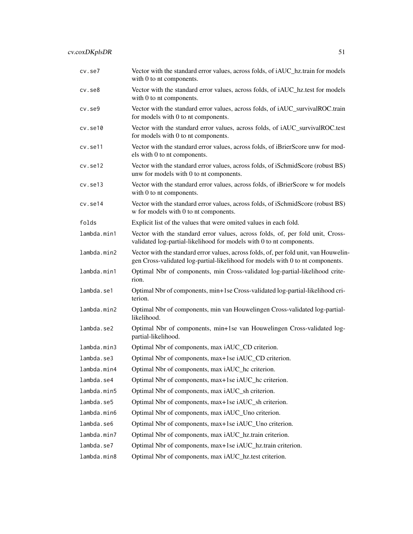| cv.se7       | Vector with the standard error values, across folds, of iAUC_hz.train for models<br>with 0 to nt components.                                                            |
|--------------|-------------------------------------------------------------------------------------------------------------------------------------------------------------------------|
| $cv.$ se $8$ | Vector with the standard error values, across folds, of iAUC_hz.test for models<br>with 0 to nt components.                                                             |
| $cv.$ se $9$ | Vector with the standard error values, across folds, of iAUC_survivalROC.train<br>for models with 0 to nt components.                                                   |
| cv.set10     | Vector with the standard error values, across folds, of iAUC_survivalROC.test<br>for models with 0 to nt components.                                                    |
| cv.set11     | Vector with the standard error values, across folds, of iBrierScore unw for mod-<br>els with 0 to nt components.                                                        |
| cv.set12     | Vector with the standard error values, across folds, of iSchmidScore (robust BS)<br>unw for models with 0 to nt components.                                             |
| cv.set13     | Vector with the standard error values, across folds, of iBrierScore w for models<br>with 0 to nt components.                                                            |
| cv.set14     | Vector with the standard error values, across folds, of iSchmidScore (robust BS)<br>w for models with 0 to nt components.                                               |
| folds        | Explicit list of the values that were omited values in each fold.                                                                                                       |
| lambda.min1  | Vector with the standard error values, across folds, of, per fold unit, Cross-<br>validated log-partial-likelihood for models with 0 to nt components.                  |
| lambda.min2  | Vector with the standard error values, across folds, of, per fold unit, van Houwelin-<br>gen Cross-validated log-partial-likelihood for models with 0 to nt components. |
| lambda.min1  | Optimal Nbr of components, min Cross-validated log-partial-likelihood crite-<br>rion.                                                                                   |
| lambda.se1   | Optimal Nbr of components, min+1se Cross-validated log-partial-likelihood cri-<br>terion.                                                                               |
| lambda.min2  | Optimal Nbr of components, min van Houwelingen Cross-validated log-partial-<br>likelihood.                                                                              |
| lambda.se2   | Optimal Nbr of components, min+1se van Houwelingen Cross-validated log-<br>partial-likelihood.                                                                          |
| lambda.min3  | Optimal Nbr of components, max iAUC_CD criterion.                                                                                                                       |
| lambda.se3   | Optimal Nbr of components, max+1se iAUC_CD criterion.                                                                                                                   |
| lambda.min4  | Optimal Nbr of components, max iAUC_hc criterion.                                                                                                                       |
| lambda.se4   | Optimal Nbr of components, max+1se iAUC_hc criterion.                                                                                                                   |
| lambda.min5  | Optimal Nbr of components, max iAUC_sh criterion.                                                                                                                       |
| lambda.se5   | Optimal Nbr of components, max+1se iAUC_sh criterion.                                                                                                                   |
| lambda.min6  | Optimal Nbr of components, max iAUC_Uno criterion.                                                                                                                      |
| lambda.se6   | Optimal Nbr of components, max+1se iAUC_Uno criterion.                                                                                                                  |
| lambda.min7  | Optimal Nbr of components, max iAUC_hz.train criterion.                                                                                                                 |
| lambda.se7   | Optimal Nbr of components, max+1se iAUC_hz.train criterion.                                                                                                             |
| lambda.min8  | Optimal Nbr of components, max iAUC_hz.test criterion.                                                                                                                  |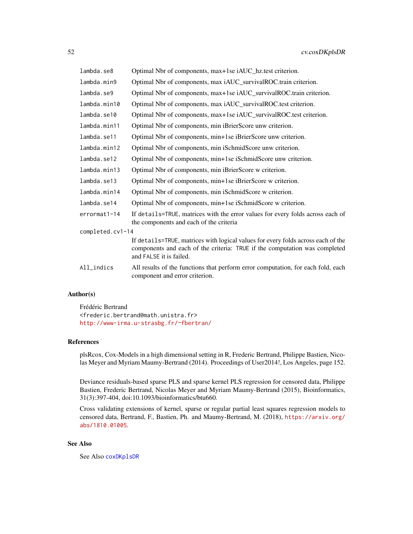| lambda.se8       | Optimal Nbr of components, max+1se iAUC_hz.test criterion.                                                                                                                                |  |
|------------------|-------------------------------------------------------------------------------------------------------------------------------------------------------------------------------------------|--|
| lambda.min9      | Optimal Nbr of components, max iAUC_survivalROC.train criterion.                                                                                                                          |  |
| lambda.se9       | Optimal Nbr of components, max+1se iAUC_survivalROC.train criterion.                                                                                                                      |  |
| lambda.min10     | Optimal Nbr of components, max iAUC_survivalROC.test criterion.                                                                                                                           |  |
| lambda.se10      | Optimal Nbr of components, max+1se iAUC_survivalROC.test criterion.                                                                                                                       |  |
| lambda.min11     | Optimal Nbr of components, min iBrierScore unw criterion.                                                                                                                                 |  |
| lambda.se11      | Optimal Nbr of components, min+1se iBrierScore unw criterion.                                                                                                                             |  |
| lambda.min12     | Optimal Nbr of components, min iSchmidScore unw criterion.                                                                                                                                |  |
| lambda.se12      | Optimal Nbr of components, min+1se iSchmidScore unw criterion.                                                                                                                            |  |
| lambda.min13     | Optimal Nbr of components, min iBrierScore w criterion.                                                                                                                                   |  |
| lambda.se13      | Optimal Nbr of components, min+1se iBrierScore w criterion.                                                                                                                               |  |
| lambda.min14     | Optimal Nbr of components, min iSchmidScore w criterion.                                                                                                                                  |  |
| lambda.se14      | Optimal Nbr of components, min+1se iSchmidScore w criterion.                                                                                                                              |  |
| errormat1-14     | If details=TRUE, matrices with the error values for every folds across each of<br>the components and each of the criteria                                                                 |  |
| completed.cv1-14 |                                                                                                                                                                                           |  |
|                  | If details=TRUE, matrices with logical values for every folds across each of the<br>components and each of the criteria: TRUE if the computation was completed<br>and FALSE it is failed. |  |
| All_indics       | All results of the functions that perform error computation, for each fold, each<br>component and error criterion.                                                                        |  |

## Author(s)

Frédéric Bertrand <frederic.bertrand@math.unistra.fr> <http://www-irma.u-strasbg.fr/~fbertran/>

### References

plsRcox, Cox-Models in a high dimensional setting in R, Frederic Bertrand, Philippe Bastien, Nicolas Meyer and Myriam Maumy-Bertrand (2014). Proceedings of User2014!, Los Angeles, page 152.

Deviance residuals-based sparse PLS and sparse kernel PLS regression for censored data, Philippe Bastien, Frederic Bertrand, Nicolas Meyer and Myriam Maumy-Bertrand (2015), Bioinformatics, 31(3):397-404, doi:10.1093/bioinformatics/btu660.

Cross validating extensions of kernel, sparse or regular partial least squares regression models to censored data, Bertrand, F., Bastien, Ph. and Maumy-Bertrand, M. (2018), [https://arxiv.org/](https://arxiv.org/abs/1810.01005) [abs/1810.01005](https://arxiv.org/abs/1810.01005).

## See Also

See Also [coxDKplsDR](#page-7-0)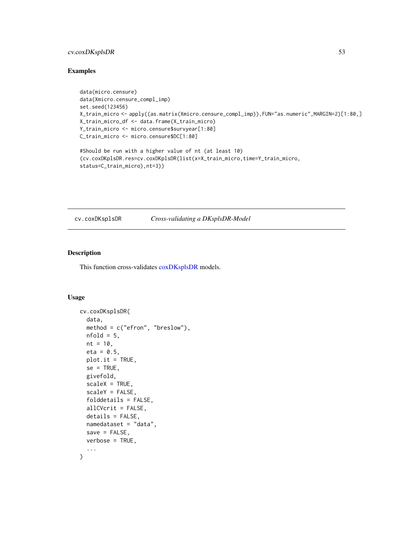## cv.coxDKsplsDR 53

## Examples

```
data(micro.censure)
data(Xmicro.censure_compl_imp)
set.seed(123456)
X_train_micro <- apply((as.matrix(Xmicro.censure_compl_imp)),FUN="as.numeric",MARGIN=2)[1:80,]
X_train_micro_df <- data.frame(X_train_micro)
Y_train_micro <- micro.censure$survyear[1:80]
C_train_micro <- micro.censure$DC[1:80]
#Should be run with a higher value of nt (at least 10)
(cv.coxDKplsDR.res=cv.coxDKplsDR(list(x=X_train_micro,time=Y_train_micro,
status=C_train_micro),nt=3))
```
## cv.coxDKsplsDR *Cross-validating a DKsplsDR-Model*

### Description

This function cross-validates [coxDKsplsDR](#page-12-0) models.

#### Usage

```
cv.coxDKsplsDR(
  data,
  method = c("efron", "breslow"),
 nfold = 5,
 nt = 10,eta = 0.5,
 plot.it = TRUE,se = TRUE,givefold,
  scaleX = TRUE,
  scaleY = FALSE,
  folddetails = FALSE,
  allCVcrit = FALSE,
  details = FALSE,namedataset = "data",
  save = FALSE,
  verbose = TRUE,
  ...
)
```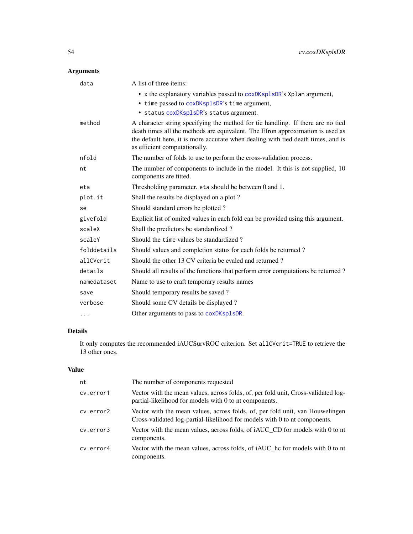# Arguments

| data        | A list of three items:                                                                                                                                                                                                                                                                 |
|-------------|----------------------------------------------------------------------------------------------------------------------------------------------------------------------------------------------------------------------------------------------------------------------------------------|
|             | • x the explanatory variables passed to coxDKsp1sDR's Xp1an argument,                                                                                                                                                                                                                  |
|             | • time passed to coxDKsplsDR's time argument,                                                                                                                                                                                                                                          |
|             | · status coxDKsplsDR's status argument.                                                                                                                                                                                                                                                |
| method      | A character string specifying the method for tie handling. If there are no tied<br>death times all the methods are equivalent. The Efron approximation is used as<br>the default here, it is more accurate when dealing with tied death times, and is<br>as efficient computationally. |
| nfold       | The number of folds to use to perform the cross-validation process.                                                                                                                                                                                                                    |
| nt          | The number of components to include in the model. It this is not supplied, 10<br>components are fitted.                                                                                                                                                                                |
| eta         | Thresholding parameter. eta should be between 0 and 1.                                                                                                                                                                                                                                 |
| plot.it     | Shall the results be displayed on a plot?                                                                                                                                                                                                                                              |
| se          | Should standard errors be plotted?                                                                                                                                                                                                                                                     |
| givefold    | Explicit list of omited values in each fold can be provided using this argument.                                                                                                                                                                                                       |
| scaleX      | Shall the predictors be standardized?                                                                                                                                                                                                                                                  |
| scaleY      | Should the time values be standardized?                                                                                                                                                                                                                                                |
| folddetails | Should values and completion status for each folds be returned?                                                                                                                                                                                                                        |
| allCVcrit   | Should the other 13 CV criteria be evaled and returned?                                                                                                                                                                                                                                |
| details     | Should all results of the functions that perform error computations be returned?                                                                                                                                                                                                       |
| namedataset | Name to use to craft temporary results names                                                                                                                                                                                                                                           |
| save        | Should temporary results be saved?                                                                                                                                                                                                                                                     |
| verbose     | Should some CV details be displayed?                                                                                                                                                                                                                                                   |
| $\cdots$    | Other arguments to pass to coxDKsp1sDR.                                                                                                                                                                                                                                                |

## Details

It only computes the recommended iAUCSurvROC criterion. Set allCVcrit=TRUE to retrieve the 13 other ones.

## Value

| nt        | The number of components requested                                                                                                                          |
|-----------|-------------------------------------------------------------------------------------------------------------------------------------------------------------|
| cv.error1 | Vector with the mean values, across folds, of, per fold unit, Cross-validated log-<br>partial-likelihood for models with 0 to nt components.                |
| cv.error2 | Vector with the mean values, across folds, of, per fold unit, van Houwelingen<br>Cross-validated log-partial-likelihood for models with 0 to nt components. |
| cv.error3 | Vector with the mean values, across folds, of <i>iAUC</i> CD for models with 0 to nt<br>components.                                                         |
| cv.error4 | Vector with the mean values, across folds, of iAUC_hc for models with 0 to nt<br>components.                                                                |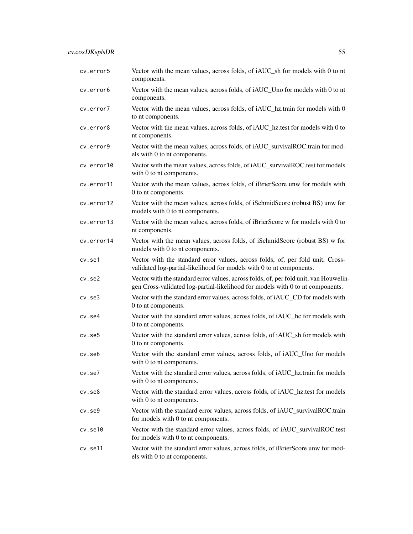cv.error5 Vector with the mean values, across folds, of iAUC\_sh for models with 0 to nt components. cv.error6 Vector with the mean values, across folds, of iAUC\_Uno for models with 0 to nt components. cv.error7 Vector with the mean values, across folds, of iAUC\_hz.train for models with 0 to nt components. cv.error8 Vector with the mean values, across folds, of iAUC\_hz.test for models with 0 to nt components. cv.error9 Vector with the mean values, across folds, of iAUC\_survivalROC.train for models with 0 to nt components. cv.error10 Vector with the mean values, across folds, of iAUC\_survivalROC.test for models with 0 to nt components. cv.error11 Vector with the mean values, across folds, of iBrierScore unw for models with 0 to nt components. cv.error12 Vector with the mean values, across folds, of iSchmidScore (robust BS) unw for models with 0 to nt components. cv.error13 Vector with the mean values, across folds, of iBrierScore w for models with 0 to nt components. cv.error14 Vector with the mean values, across folds, of iSchmidScore (robust BS) w for models with 0 to nt components. cv.se1 Vector with the standard error values, across folds, of, per fold unit, Crossvalidated log-partial-likelihood for models with 0 to nt components. cv.se2 Vector with the standard error values, across folds, of, per fold unit, van Houwelingen Cross-validated log-partial-likelihood for models with 0 to nt components. cv.se3 Vector with the standard error values, across folds, of iAUC\_CD for models with 0 to nt components. cv.se4 Vector with the standard error values, across folds, of iAUC\_hc for models with 0 to nt components. cv.se5 Vector with the standard error values, across folds, of iAUC\_sh for models with 0 to nt components. cv.se6 Vector with the standard error values, across folds, of iAUC\_Uno for models with 0 to nt components. cv.se7 Vector with the standard error values, across folds, of iAUC\_hz.train for models with 0 to nt components. cv.se8 Vector with the standard error values, across folds, of iAUC\_hz.test for models with 0 to nt components. cv.se9 Vector with the standard error values, across folds, of iAUC\_survivalROC.train for models with 0 to nt components. cv.se10 Vector with the standard error values, across folds, of iAUC\_survivalROC.test for models with 0 to nt components. cv.se11 Vector with the standard error values, across folds, of iBrierScore unw for models with 0 to nt components.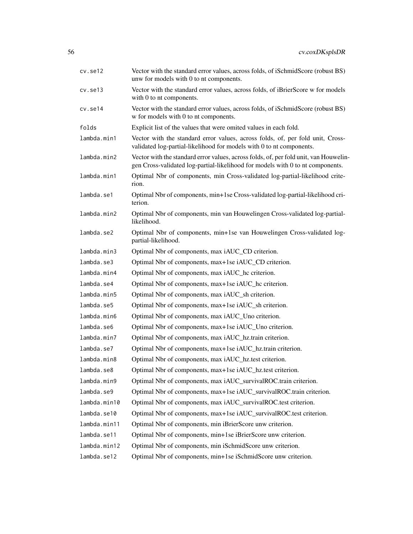| cv.set12      | Vector with the standard error values, across folds, of iSchmidScore (robust BS)<br>unw for models with 0 to nt components.                                             |
|---------------|-------------------------------------------------------------------------------------------------------------------------------------------------------------------------|
| $cv.$ se $13$ | Vector with the standard error values, across folds, of iBrierScore w for models<br>with 0 to nt components.                                                            |
| cv.se14       | Vector with the standard error values, across folds, of iSchmidScore (robust BS)<br>w for models with 0 to nt components.                                               |
| folds         | Explicit list of the values that were omited values in each fold.                                                                                                       |
| lambda.min1   | Vector with the standard error values, across folds, of, per fold unit, Cross-<br>validated log-partial-likelihood for models with 0 to nt components.                  |
| lambda.min2   | Vector with the standard error values, across folds, of, per fold unit, van Houwelin-<br>gen Cross-validated log-partial-likelihood for models with 0 to nt components. |
| lambda.min1   | Optimal Nbr of components, min Cross-validated log-partial-likelihood crite-<br>rion.                                                                                   |
| lambda.se1    | Optimal Nbr of components, min+1se Cross-validated log-partial-likelihood cri-<br>terion.                                                                               |
| lambda.min2   | Optimal Nbr of components, min van Houwelingen Cross-validated log-partial-<br>likelihood.                                                                              |
| lambda.se2    | Optimal Nbr of components, min+1se van Houwelingen Cross-validated log-<br>partial-likelihood.                                                                          |
| lambda.min3   | Optimal Nbr of components, max iAUC_CD criterion.                                                                                                                       |
| lambda.se3    | Optimal Nbr of components, max+1se iAUC_CD criterion.                                                                                                                   |
| lambda.min4   | Optimal Nbr of components, max iAUC_hc criterion.                                                                                                                       |
| lambda.se4    | Optimal Nbr of components, max+1se iAUC_hc criterion.                                                                                                                   |
| lambda.min5   | Optimal Nbr of components, max iAUC_sh criterion.                                                                                                                       |
| lambda.se5    | Optimal Nbr of components, max+1se iAUC_sh criterion.                                                                                                                   |
| lambda.min6   | Optimal Nbr of components, max iAUC_Uno criterion.                                                                                                                      |
| lambda.se6    | Optimal Nbr of components, max+1se iAUC_Uno criterion.                                                                                                                  |
| lambda.min7   | Optimal Nbr of components, max iAUC_hz.train criterion.                                                                                                                 |
| lambda.se7    | Optimal Nbr of components, max+1se iAUC_hz.train criterion.                                                                                                             |
| lambda.min8   | Optimal Nbr of components, max iAUC_hz.test criterion.                                                                                                                  |
| lambda.se8    | Optimal Nbr of components, max+1se iAUC_hz.test criterion.                                                                                                              |
| lambda.min9   | Optimal Nbr of components, max iAUC_survivalROC.train criterion.                                                                                                        |
| lambda.se9    | Optimal Nbr of components, max+1se iAUC_survivalROC.train criterion.                                                                                                    |
| lambda.min10  | Optimal Nbr of components, max iAUC_survivalROC.test criterion.                                                                                                         |
| lambda.se10   | Optimal Nbr of components, max+1se iAUC_survivalROC.test criterion.                                                                                                     |
| lambda.min11  | Optimal Nbr of components, min iBrierScore unw criterion.                                                                                                               |
| lambda.se11   | Optimal Nbr of components, min+1se iBrierScore unw criterion.                                                                                                           |
| lambda.min12  | Optimal Nbr of components, min iSchmidScore unw criterion.                                                                                                              |
| lambda.se12   | Optimal Nbr of components, min+1se iSchmidScore unw criterion.                                                                                                          |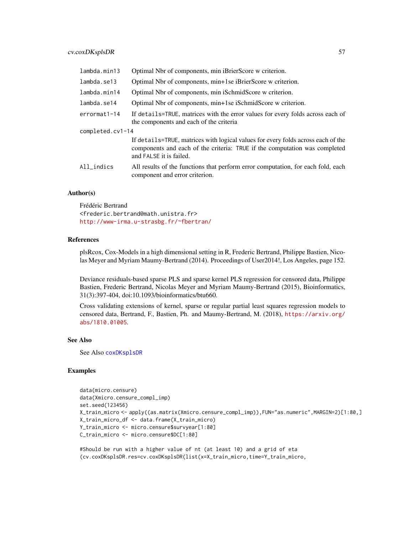## cv.coxDKsplsDR 57

| lambda.min13     | Optimal Nbr of components, min iBrierScore w criterion.                                                                                                                                   |
|------------------|-------------------------------------------------------------------------------------------------------------------------------------------------------------------------------------------|
| lambda.se13      | Optimal Nbr of components, min+1se iBrierScore w criterion.                                                                                                                               |
| lambda.min14     | Optimal Nbr of components, min iSchmidScore w criterion.                                                                                                                                  |
| lambda.se14      | Optimal Nbr of components, min+1se iSchmidScore w criterion.                                                                                                                              |
| errormat1-14     | If details=TRUE, matrices with the error values for every folds across each of<br>the components and each of the criteria                                                                 |
| completed.cv1-14 |                                                                                                                                                                                           |
|                  | If details=TRUE, matrices with logical values for every folds across each of the<br>components and each of the criteria: TRUE if the computation was completed<br>and FALSE it is failed. |
| All_indics       | All results of the functions that perform error computation, for each fold, each<br>component and error criterion.                                                                        |

## Author(s)

Frédéric Bertrand <frederic.bertrand@math.unistra.fr> <http://www-irma.u-strasbg.fr/~fbertran/>

#### References

plsRcox, Cox-Models in a high dimensional setting in R, Frederic Bertrand, Philippe Bastien, Nicolas Meyer and Myriam Maumy-Bertrand (2014). Proceedings of User2014!, Los Angeles, page 152.

Deviance residuals-based sparse PLS and sparse kernel PLS regression for censored data, Philippe Bastien, Frederic Bertrand, Nicolas Meyer and Myriam Maumy-Bertrand (2015), Bioinformatics, 31(3):397-404, doi:10.1093/bioinformatics/btu660.

Cross validating extensions of kernel, sparse or regular partial least squares regression models to censored data, Bertrand, F., Bastien, Ph. and Maumy-Bertrand, M. (2018), [https://arxiv.org/](https://arxiv.org/abs/1810.01005) [abs/1810.01005](https://arxiv.org/abs/1810.01005).

#### See Also

See Also [coxDKsplsDR](#page-12-0)

## Examples

```
data(micro.censure)
data(Xmicro.censure_compl_imp)
set.seed(123456)
X_train_micro <- apply((as.matrix(Xmicro.censure_compl_imp)),FUN="as.numeric",MARGIN=2)[1:80,]
X_train_micro_df <- data.frame(X_train_micro)
Y_train_micro <- micro.censure$survyear[1:80]
C_train_micro <- micro.censure$DC[1:80]
```
#Should be run with a higher value of nt (at least 10) and a grid of eta (cv.coxDKsplsDR.res=cv.coxDKsplsDR(list(x=X\_train\_micro,time=Y\_train\_micro,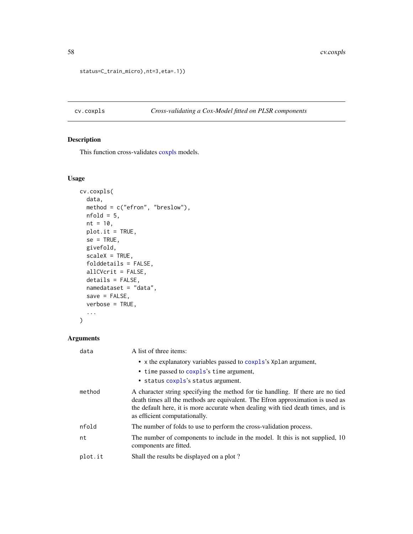```
status=C_train_micro),nt=3,eta=.1))
```
# cv.coxpls *Cross-validating a Cox-Model fitted on PLSR components*

## Description

This function cross-validates [coxpls](#page-17-0) models.

### Usage

```
cv.coxpls(
  data,
 method = c("efron", "breslow"),
 nfold = 5,
 nt = 10,plot.it = TRUE,
 se = TRUE,givefold,
  scaleX = TRUE,folddetails = FALSE,
 allCVcrit = FALSE,
 details = FALSE,
 namedataset = "data",
 save = FALSE,
 verbose = TRUE,
  ...
)
```
## Arguments

| data    | A list of three items:                                                                                                                                                                                                                                                                 |
|---------|----------------------------------------------------------------------------------------------------------------------------------------------------------------------------------------------------------------------------------------------------------------------------------------|
|         | • x the explanatory variables passed to coxpls's Xplan argument,<br>• time passed to coxpls's time argument,<br>• status coxpls's status argument.                                                                                                                                     |
| method  | A character string specifying the method for tie handling. If there are no tied<br>death times all the methods are equivalent. The Efron approximation is used as<br>the default here, it is more accurate when dealing with tied death times, and is<br>as efficient computationally. |
| nfold   | The number of folds to use to perform the cross-validation process.                                                                                                                                                                                                                    |
| nt      | The number of components to include in the model. It this is not supplied, 10<br>components are fitted.                                                                                                                                                                                |
| plot.it | Shall the results be displayed on a plot?                                                                                                                                                                                                                                              |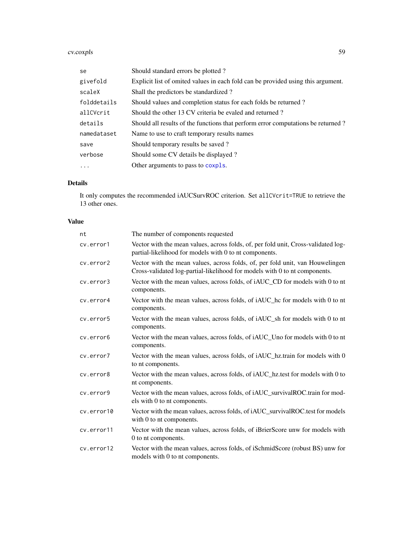cv.coxpls 59

| se          | Should standard errors be plotted?                                               |
|-------------|----------------------------------------------------------------------------------|
| givefold    | Explicit list of omited values in each fold can be provided using this argument. |
| scaleX      | Shall the predictors be standardized?                                            |
| folddetails | Should values and completion status for each folds be returned?                  |
| allCVcrit   | Should the other 13 CV criteria be evaled and returned?                          |
| details     | Should all results of the functions that perform error computations be returned? |
| namedataset | Name to use to craft temporary results names                                     |
| save        | Should temporary results be saved?                                               |
| verbose     | Should some CV details be displayed?                                             |
| $\ddots$ .  | Other arguments to pass to coxpls.                                               |

## Details

It only computes the recommended iAUCSurvROC criterion. Set allCVcrit=TRUE to retrieve the 13 other ones.

## Value

| nt         | The number of components requested                                                                                                                          |
|------------|-------------------------------------------------------------------------------------------------------------------------------------------------------------|
| cv.error1  | Vector with the mean values, across folds, of, per fold unit, Cross-validated log-<br>partial-likelihood for models with 0 to nt components.                |
| cv.error2  | Vector with the mean values, across folds, of, per fold unit, van Houwelingen<br>Cross-validated log-partial-likelihood for models with 0 to nt components. |
| cv.error3  | Vector with the mean values, across folds, of iAUC_CD for models with 0 to nt<br>components.                                                                |
| cv.error4  | Vector with the mean values, across folds, of iAUC_hc for models with 0 to nt<br>components.                                                                |
| cv.error5  | Vector with the mean values, across folds, of iAUC_sh for models with 0 to nt<br>components.                                                                |
| cv.error6  | Vector with the mean values, across folds, of iAUC_Uno for models with 0 to nt<br>components.                                                               |
| cv.error7  | Vector with the mean values, across folds, of iAUC_hz.train for models with 0<br>to nt components.                                                          |
| cv.error8  | Vector with the mean values, across folds, of <i>iAUC</i> hz.test for models with 0 to<br>nt components.                                                    |
| cv.error9  | Vector with the mean values, across folds, of iAUC_survivalROC.train for mod-<br>els with 0 to nt components.                                               |
| cv.error10 | Vector with the mean values, across folds, of iAUC_survivalROC.test for models<br>with 0 to nt components.                                                  |
| cv.error11 | Vector with the mean values, across folds, of iBrierScore unw for models with<br>0 to nt components.                                                        |
| cv.error12 | Vector with the mean values, across folds, of iSchmidScore (robust BS) unw for<br>models with 0 to nt components.                                           |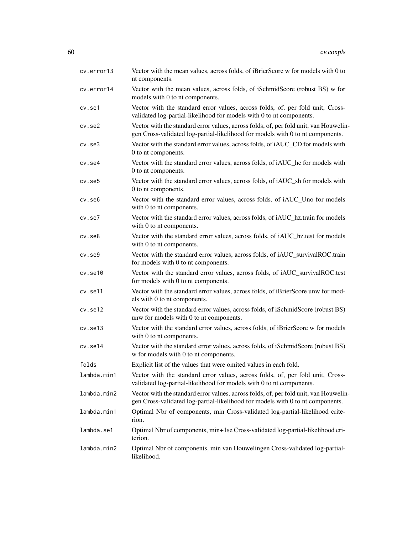| cv.error13    | Vector with the mean values, across folds, of iBrierScore w for models with 0 to<br>nt components.                                                                      |
|---------------|-------------------------------------------------------------------------------------------------------------------------------------------------------------------------|
| cv.error14    | Vector with the mean values, across folds, of iSchmidScore (robust BS) w for<br>models with 0 to nt components.                                                         |
| cv.se1        | Vector with the standard error values, across folds, of, per fold unit, Cross-<br>validated log-partial-likelihood for models with 0 to nt components.                  |
| $cv.$ se $2$  | Vector with the standard error values, across folds, of, per fold unit, van Houwelin-<br>gen Cross-validated log-partial-likelihood for models with 0 to nt components. |
| $cv.$ se $3$  | Vector with the standard error values, across folds, of iAUC_CD for models with<br>0 to nt components.                                                                  |
| $cv.$ se $4$  | Vector with the standard error values, across folds, of iAUC_hc for models with<br>0 to nt components.                                                                  |
| cv.se5        | Vector with the standard error values, across folds, of iAUC_sh for models with<br>0 to nt components.                                                                  |
| $cv.$ se $6$  | Vector with the standard error values, across folds, of iAUC_Uno for models<br>with 0 to nt components.                                                                 |
| $cv.$ se $7$  | Vector with the standard error values, across folds, of iAUC_hz.train for models<br>with 0 to nt components.                                                            |
| $cv.$ se $8$  | Vector with the standard error values, across folds, of iAUC_hz.test for models<br>with 0 to nt components.                                                             |
| $cv.$ se $9$  | Vector with the standard error values, across folds, of iAUC_survivalROC.train<br>for models with 0 to nt components.                                                   |
| $cv.$ se $10$ | Vector with the standard error values, across folds, of iAUC_survivalROC.test<br>for models with 0 to nt components.                                                    |
| cv.se11       | Vector with the standard error values, across folds, of iBrierScore unw for mod-<br>els with 0 to nt components.                                                        |
| cv.set12      | Vector with the standard error values, across folds, of iSchmidScore (robust BS)<br>unw for models with 0 to nt components.                                             |
| cv.set13      | Vector with the standard error values, across folds, of iBrierScore w for models<br>with 0 to nt components.                                                            |
| cv.se14       | Vector with the standard error values, across folds, of iSchmidScore (robust BS)<br>w for models with 0 to nt components.                                               |
| folds         | Explicit list of the values that were omited values in each fold.                                                                                                       |
| lambda.min1   | Vector with the standard error values, across folds, of, per fold unit, Cross-<br>validated log-partial-likelihood for models with 0 to nt components.                  |
| lambda.min2   | Vector with the standard error values, across folds, of, per fold unit, van Houwelin-<br>gen Cross-validated log-partial-likelihood for models with 0 to nt components. |
| lambda.min1   | Optimal Nbr of components, min Cross-validated log-partial-likelihood crite-<br>rion.                                                                                   |
| lambda.se1    | Optimal Nbr of components, min+1se Cross-validated log-partial-likelihood cri-<br>terion.                                                                               |
| lambda.min2   | Optimal Nbr of components, min van Houwelingen Cross-validated log-partial-<br>likelihood.                                                                              |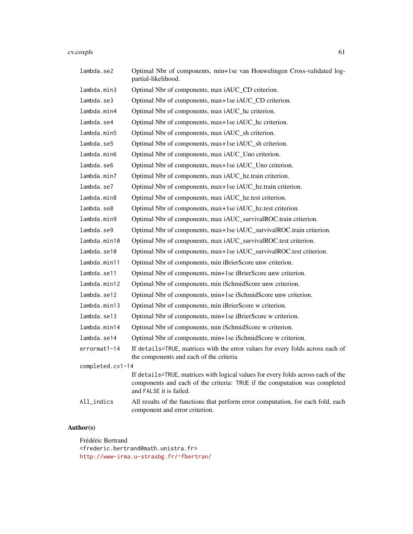#### cv.coxpls 61

| lambda.se2       | Optimal Nbr of components, min+1se van Houwelingen Cross-validated log-<br>partial-likelihood.                                                                                            |
|------------------|-------------------------------------------------------------------------------------------------------------------------------------------------------------------------------------------|
| lambda.min3      | Optimal Nbr of components, max iAUC_CD criterion.                                                                                                                                         |
| lambda.se3       | Optimal Nbr of components, max+1se iAUC_CD criterion.                                                                                                                                     |
| lambda.min4      | Optimal Nbr of components, max iAUC_hc criterion.                                                                                                                                         |
| lambda.se4       | Optimal Nbr of components, max+1se iAUC_hc criterion.                                                                                                                                     |
| lambda.min5      | Optimal Nbr of components, max iAUC_sh criterion.                                                                                                                                         |
| lambda.se5       | Optimal Nbr of components, max+1se iAUC_sh criterion.                                                                                                                                     |
| lambda.min6      | Optimal Nbr of components, max iAUC_Uno criterion.                                                                                                                                        |
| lambda.se6       | Optimal Nbr of components, max+1se iAUC_Uno criterion.                                                                                                                                    |
| lambda.min7      | Optimal Nbr of components, max iAUC_hz.train criterion.                                                                                                                                   |
| lambda.se7       | Optimal Nbr of components, max+1se iAUC_hz.train criterion.                                                                                                                               |
| lambda.min8      | Optimal Nbr of components, max iAUC_hz.test criterion.                                                                                                                                    |
| lambda.se8       | Optimal Nbr of components, max+1se iAUC_hz.test criterion.                                                                                                                                |
| lambda.min9      | Optimal Nbr of components, max iAUC_survivalROC.train criterion.                                                                                                                          |
| lambda.se9       | Optimal Nbr of components, max+1se iAUC_survivalROC.train criterion.                                                                                                                      |
| lambda.min10     | Optimal Nbr of components, max iAUC_survivalROC.test criterion.                                                                                                                           |
| lambda.se10      | Optimal Nbr of components, max+1se iAUC_survivalROC.test criterion.                                                                                                                       |
| lambda.min11     | Optimal Nbr of components, min iBrierScore unw criterion.                                                                                                                                 |
| lambda.se11      | Optimal Nbr of components, min+1se iBrierScore unw criterion.                                                                                                                             |
| lambda.min12     | Optimal Nbr of components, min iSchmidScore unw criterion.                                                                                                                                |
| lambda.se12      | Optimal Nbr of components, min+1se iSchmidScore unw criterion.                                                                                                                            |
| lambda.min13     | Optimal Nbr of components, min iBrierScore w criterion.                                                                                                                                   |
| lambda.se13      | Optimal Nbr of components, min+1se iBrierScore w criterion.                                                                                                                               |
| lambda.min14     | Optimal Nbr of components, min iSchmidScore w criterion.                                                                                                                                  |
| lambda.se14      | Optimal Nbr of components, min+1se iSchmidScore w criterion.                                                                                                                              |
| errormat1-14     | If details=TRUE, matrices with the error values for every folds across each of<br>the components and each of the criteria                                                                 |
| completed.cv1-14 |                                                                                                                                                                                           |
|                  | If details=TRUE, matrices with logical values for every folds across each of the<br>components and each of the criteria: TRUE if the computation was completed<br>and FALSE it is failed. |
| $All_$ indics    | All results of the functions that perform error computation, for each fold, each<br>component and error criterion.                                                                        |

## Author(s)

Frédéric Bertrand <frederic.bertrand@math.unistra.fr> <http://www-irma.u-strasbg.fr/~fbertran/>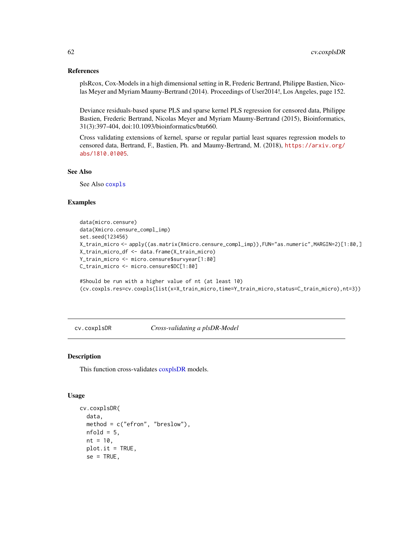#### References

plsRcox, Cox-Models in a high dimensional setting in R, Frederic Bertrand, Philippe Bastien, Nicolas Meyer and Myriam Maumy-Bertrand (2014). Proceedings of User2014!, Los Angeles, page 152.

Deviance residuals-based sparse PLS and sparse kernel PLS regression for censored data, Philippe Bastien, Frederic Bertrand, Nicolas Meyer and Myriam Maumy-Bertrand (2015), Bioinformatics, 31(3):397-404, doi:10.1093/bioinformatics/btu660.

Cross validating extensions of kernel, sparse or regular partial least squares regression models to censored data, Bertrand, F., Bastien, Ph. and Maumy-Bertrand, M. (2018), [https://arxiv.org/](https://arxiv.org/abs/1810.01005) [abs/1810.01005](https://arxiv.org/abs/1810.01005).

#### See Also

See Also [coxpls](#page-17-0)

#### Examples

```
data(micro.censure)
data(Xmicro.censure_compl_imp)
set.seed(123456)
X_train_micro <- apply((as.matrix(Xmicro.censure_compl_imp)),FUN="as.numeric",MARGIN=2)[1:80,]
X_train_micro_df <- data.frame(X_train_micro)
Y_train_micro <- micro.censure$survyear[1:80]
C_train_micro <- micro.censure$DC[1:80]
```

```
#Should be run with a higher value of nt (at least 10)
(cv.coxpls.res=cv.coxpls(list(x=X_train_micro,time=Y_train_micro,status=C_train_micro),nt=3))
```
cv.coxplsDR *Cross-validating a plsDR-Model*

#### Description

This function cross-validates [coxplsDR](#page-35-0) models.

#### Usage

```
cv.coxplsDR(
  data,
 method = c("efron", "breslow"),
 nfold = 5,
 nt = 10,plot.it = TRUE,
  se = TRUE,
```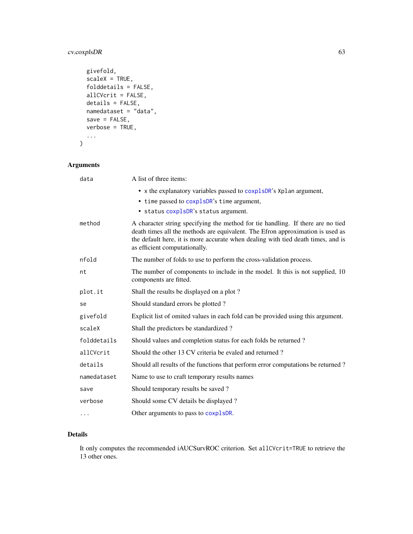## cv.coxplsDR 63

```
givefold,
 scaleX = TRUE,
 folddetails = FALSE,
 allCVcrit = FALSE,
 details = FALSE,
 namedataset = "data",
 save = FALSE,verbose = TRUE,
  ...
\mathcal{L}
```
## Arguments

| data        | A list of three items:                                                                                                                                                                                                                                                                 |
|-------------|----------------------------------------------------------------------------------------------------------------------------------------------------------------------------------------------------------------------------------------------------------------------------------------|
|             | • x the explanatory variables passed to coxplsDR's Xplan argument,<br>• time passed to coxplsDR's time argument,                                                                                                                                                                       |
|             | · status coxplsDR's status argument.                                                                                                                                                                                                                                                   |
| method      | A character string specifying the method for tie handling. If there are no tied<br>death times all the methods are equivalent. The Efron approximation is used as<br>the default here, it is more accurate when dealing with tied death times, and is<br>as efficient computationally. |
| nfold       | The number of folds to use to perform the cross-validation process.                                                                                                                                                                                                                    |
| nt          | The number of components to include in the model. It this is not supplied, 10<br>components are fitted.                                                                                                                                                                                |
| plot.it     | Shall the results be displayed on a plot?                                                                                                                                                                                                                                              |
| se          | Should standard errors be plotted?                                                                                                                                                                                                                                                     |
| givefold    | Explicit list of omited values in each fold can be provided using this argument.                                                                                                                                                                                                       |
| scaleX      | Shall the predictors be standardized?                                                                                                                                                                                                                                                  |
| folddetails | Should values and completion status for each folds be returned?                                                                                                                                                                                                                        |
| allCVcrit   | Should the other 13 CV criteria be evaled and returned?                                                                                                                                                                                                                                |
| details     | Should all results of the functions that perform error computations be returned?                                                                                                                                                                                                       |
| namedataset | Name to use to craft temporary results names                                                                                                                                                                                                                                           |
| save        | Should temporary results be saved?                                                                                                                                                                                                                                                     |
| verbose     | Should some CV details be displayed?                                                                                                                                                                                                                                                   |
| .           | Other arguments to pass to coxplsDR.                                                                                                                                                                                                                                                   |

## Details

It only computes the recommended iAUCSurvROC criterion. Set allCVcrit=TRUE to retrieve the 13 other ones.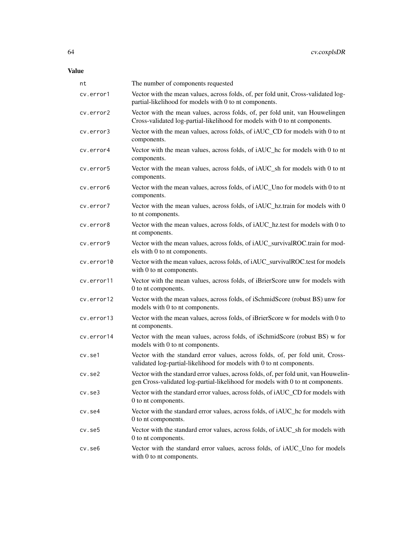| nt           | The number of components requested                                                                                                                                      |
|--------------|-------------------------------------------------------------------------------------------------------------------------------------------------------------------------|
| cv.error1    | Vector with the mean values, across folds, of, per fold unit, Cross-validated log-<br>partial-likelihood for models with 0 to nt components.                            |
| cv.error2    | Vector with the mean values, across folds, of, per fold unit, van Houwelingen<br>Cross-validated log-partial-likelihood for models with 0 to nt components.             |
| cv.error3    | Vector with the mean values, across folds, of iAUC_CD for models with 0 to nt<br>components.                                                                            |
| cv.error4    | Vector with the mean values, across folds, of iAUC_hc for models with 0 to nt<br>components.                                                                            |
| cv.error5    | Vector with the mean values, across folds, of iAUC_sh for models with 0 to nt<br>components.                                                                            |
| cv.error6    | Vector with the mean values, across folds, of iAUC_Uno for models with 0 to nt<br>components.                                                                           |
| cv.error7    | Vector with the mean values, across folds, of iAUC_hz.train for models with 0<br>to nt components.                                                                      |
| cv.error8    | Vector with the mean values, across folds, of iAUC_hz.test for models with 0 to<br>nt components.                                                                       |
| cv.error9    | Vector with the mean values, across folds, of iAUC_survivalROC.train for mod-<br>els with 0 to nt components.                                                           |
| cv.error10   | Vector with the mean values, across folds, of iAUC_survivalROC.test for models<br>with 0 to nt components.                                                              |
| cv.error11   | Vector with the mean values, across folds, of iBrierScore unw for models with<br>0 to nt components.                                                                    |
| cv.error12   | Vector with the mean values, across folds, of iSchmidScore (robust BS) unw for<br>models with 0 to nt components.                                                       |
| cv.error13   | Vector with the mean values, across folds, of iBrierScore w for models with 0 to<br>nt components.                                                                      |
| cv.error14   | Vector with the mean values, across folds, of iSchmidScore (robust BS) w for<br>models with 0 to nt components.                                                         |
| cv.se1       | Vector with the standard error values, across folds, of, per fold unit, Cross-<br>validated log-partial-likelihood for models with 0 to nt components.                  |
| $cv.$ se $2$ | Vector with the standard error values, across folds, of, per fold unit, van Houwelin-<br>gen Cross-validated log-partial-likelihood for models with 0 to nt components. |
| $cv.$ se $3$ | Vector with the standard error values, across folds, of iAUC_CD for models with<br>0 to nt components.                                                                  |
| cv.se4       | Vector with the standard error values, across folds, of iAUC_hc for models with<br>0 to nt components.                                                                  |
| cv.se5       | Vector with the standard error values, across folds, of iAUC_sh for models with<br>0 to nt components.                                                                  |
| cv.se6       | Vector with the standard error values, across folds, of iAUC_Uno for models<br>with 0 to nt components.                                                                 |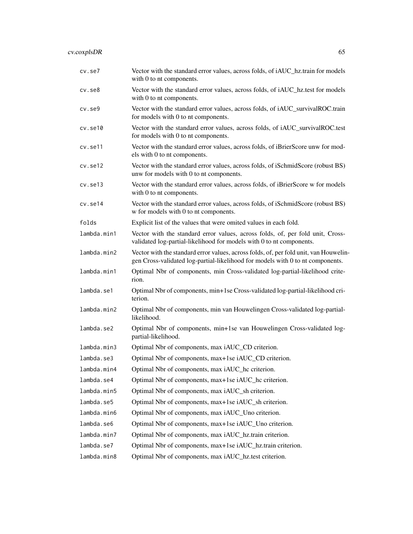# cv.coxplsDR 65

| $cv.$ se $7$ | Vector with the standard error values, across folds, of iAUC_hz.train for models<br>with 0 to nt components.                                                            |
|--------------|-------------------------------------------------------------------------------------------------------------------------------------------------------------------------|
| $cv.$ se $8$ | Vector with the standard error values, across folds, of iAUC_hz.test for models<br>with 0 to nt components.                                                             |
| $cv.$ se $9$ | Vector with the standard error values, across folds, of iAUC_survivalROC.train<br>for models with 0 to nt components.                                                   |
| cv.set10     | Vector with the standard error values, across folds, of iAUC_survivalROC.test<br>for models with 0 to nt components.                                                    |
| cv.se11      | Vector with the standard error values, across folds, of iBrierScore unw for mod-<br>els with 0 to nt components.                                                        |
| cv.set12     | Vector with the standard error values, across folds, of iSchmidScore (robust BS)<br>unw for models with 0 to nt components.                                             |
| cv.set13     | Vector with the standard error values, across folds, of iBrierScore w for models<br>with 0 to nt components.                                                            |
| cv.se14      | Vector with the standard error values, across folds, of iSchmidScore (robust BS)<br>w for models with 0 to nt components.                                               |
| folds        | Explicit list of the values that were omited values in each fold.                                                                                                       |
| lambda.min1  | Vector with the standard error values, across folds, of, per fold unit, Cross-<br>validated log-partial-likelihood for models with 0 to nt components.                  |
| lambda.min2  | Vector with the standard error values, across folds, of, per fold unit, van Houwelin-<br>gen Cross-validated log-partial-likelihood for models with 0 to nt components. |
| lambda.min1  | Optimal Nbr of components, min Cross-validated log-partial-likelihood crite-<br>rion.                                                                                   |
| lambda.se1   | Optimal Nbr of components, min+1se Cross-validated log-partial-likelihood cri-<br>terion.                                                                               |
| lambda.min2  | Optimal Nbr of components, min van Houwelingen Cross-validated log-partial-<br>likelihood.                                                                              |
| lambda.se2   | Optimal Nbr of components, min+1se van Houwelingen Cross-validated log-<br>partial-likelihood.                                                                          |
| lambda.min3  | Optimal Nbr of components, max iAUC_CD criterion.                                                                                                                       |
| lambda.se3   | Optimal Nbr of components, max+1se iAUC_CD criterion.                                                                                                                   |
| lambda.min4  | Optimal Nbr of components, max iAUC_hc criterion.                                                                                                                       |
| lambda.se4   | Optimal Nbr of components, max+1se iAUC_hc criterion.                                                                                                                   |
| lambda.min5  | Optimal Nbr of components, max iAUC_sh criterion.                                                                                                                       |
| lambda.se5   | Optimal Nbr of components, max+1se iAUC_sh criterion.                                                                                                                   |
| lambda.min6  | Optimal Nbr of components, max iAUC_Uno criterion.                                                                                                                      |
| lambda.se6   | Optimal Nbr of components, max+1se iAUC_Uno criterion.                                                                                                                  |
| lambda.min7  | Optimal Nbr of components, max iAUC_hz.train criterion.                                                                                                                 |
| lambda.se7   | Optimal Nbr of components, max+1se iAUC_hz.train criterion.                                                                                                             |
| lambda.min8  | Optimal Nbr of components, max iAUC_hz.test criterion.                                                                                                                  |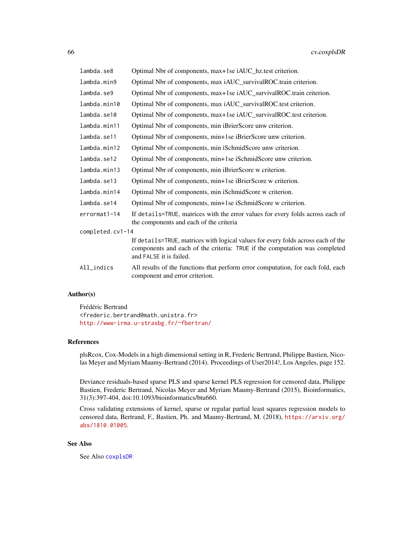| lambda.se8       | Optimal Nbr of components, max+1se iAUC_hz.test criterion.                                                                                                                                |
|------------------|-------------------------------------------------------------------------------------------------------------------------------------------------------------------------------------------|
| lambda.min9      | Optimal Nbr of components, max iAUC_survivalROC.train criterion.                                                                                                                          |
| lambda.se9       | Optimal Nbr of components, max+1se iAUC_survivalROC.train criterion.                                                                                                                      |
| lambda.min10     | Optimal Nbr of components, max iAUC_survivalROC.test criterion.                                                                                                                           |
| lambda.se10      | Optimal Nbr of components, max+1se iAUC_survivalROC.test criterion.                                                                                                                       |
| lambda.min11     | Optimal Nbr of components, min iBrierScore unw criterion.                                                                                                                                 |
| lambda.se11      | Optimal Nbr of components, min+1se iBrierScore unw criterion.                                                                                                                             |
| lambda.min12     | Optimal Nbr of components, min iSchmidScore unw criterion.                                                                                                                                |
| lambda.se12      | Optimal Nbr of components, min+1se iSchmidScore unw criterion.                                                                                                                            |
| lambda.min13     | Optimal Nbr of components, min iBrierScore w criterion.                                                                                                                                   |
| lambda.se13      | Optimal Nbr of components, min+1se iBrierScore w criterion.                                                                                                                               |
| lambda.min14     | Optimal Nbr of components, min iSchmidScore w criterion.                                                                                                                                  |
| lambda.se14      | Optimal Nbr of components, min+1se iSchmidScore w criterion.                                                                                                                              |
| errormat1-14     | If details=TRUE, matrices with the error values for every folds across each of<br>the components and each of the criteria                                                                 |
| completed.cv1-14 |                                                                                                                                                                                           |
|                  | If details=TRUE, matrices with logical values for every folds across each of the<br>components and each of the criteria: TRUE if the computation was completed<br>and FALSE it is failed. |
| All_indics       | All results of the functions that perform error computation, for each fold, each<br>component and error criterion.                                                                        |

## Author(s)

Frédéric Bertrand <frederic.bertrand@math.unistra.fr> <http://www-irma.u-strasbg.fr/~fbertran/>

## References

plsRcox, Cox-Models in a high dimensional setting in R, Frederic Bertrand, Philippe Bastien, Nicolas Meyer and Myriam Maumy-Bertrand (2014). Proceedings of User2014!, Los Angeles, page 152.

Deviance residuals-based sparse PLS and sparse kernel PLS regression for censored data, Philippe Bastien, Frederic Bertrand, Nicolas Meyer and Myriam Maumy-Bertrand (2015), Bioinformatics, 31(3):397-404, doi:10.1093/bioinformatics/btu660.

Cross validating extensions of kernel, sparse or regular partial least squares regression models to censored data, Bertrand, F., Bastien, Ph. and Maumy-Bertrand, M. (2018), [https://arxiv.org/](https://arxiv.org/abs/1810.01005) [abs/1810.01005](https://arxiv.org/abs/1810.01005).

## See Also

See Also [coxplsDR](#page-35-0)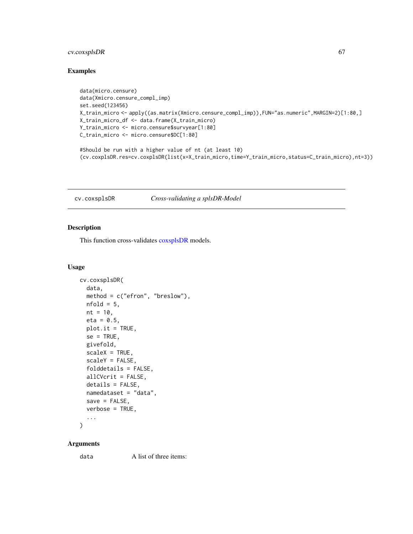## cv.coxsplsDR 67

## Examples

```
data(micro.censure)
data(Xmicro.censure_compl_imp)
set.seed(123456)
X_train_micro <- apply((as.matrix(Xmicro.censure_compl_imp)),FUN="as.numeric",MARGIN=2)[1:80,]
X_train_micro_df <- data.frame(X_train_micro)
Y_train_micro <- micro.censure$survyear[1:80]
C_train_micro <- micro.censure$DC[1:80]
#Should be run with a higher value of nt (at least 10)
(cv.coxplsDR.res=cv.coxplsDR(list(x=X_train_micro,time=Y_train_micro,status=C_train_micro),nt=3))
```
#### cv.coxsplsDR *Cross-validating a splsDR-Model*

#### Description

This function cross-validates [coxsplsDR](#page-39-0) models.

### Usage

```
cv.coxsplsDR(
  data,
  method = c("efron", "breslow"),
 nfold = 5,
 nt = 10,eta = 0.5,
 plot.it = TRUE,se = TRUE,givefold,
  scaleX = TRUE,scaleY = FALSE,
  folddetails = FALSE,
  allCVcrit = FALSE,
  details = FALSE,
  namedataset = "data",
  save = FALSE,
  verbose = TRUE,
  ...
```
)

#### Arguments

data A list of three items: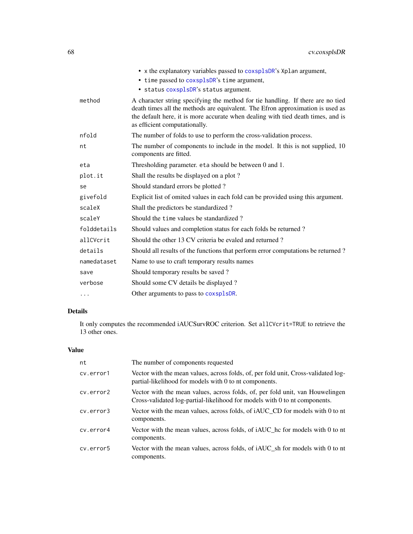|             | • x the explanatory variables passed to coxsplsDR's Xplan argument,                                                                                                                                                                                                                    |
|-------------|----------------------------------------------------------------------------------------------------------------------------------------------------------------------------------------------------------------------------------------------------------------------------------------|
|             | • time passed to coxsplsDR's time argument,                                                                                                                                                                                                                                            |
|             | · status coxsplsDR's status argument.                                                                                                                                                                                                                                                  |
| method      | A character string specifying the method for tie handling. If there are no tied<br>death times all the methods are equivalent. The Efron approximation is used as<br>the default here, it is more accurate when dealing with tied death times, and is<br>as efficient computationally. |
| nfold       | The number of folds to use to perform the cross-validation process.                                                                                                                                                                                                                    |
| nt          | The number of components to include in the model. It this is not supplied, 10<br>components are fitted.                                                                                                                                                                                |
| eta         | Thresholding parameter. eta should be between 0 and 1.                                                                                                                                                                                                                                 |
| plot.it     | Shall the results be displayed on a plot?                                                                                                                                                                                                                                              |
| se          | Should standard errors be plotted?                                                                                                                                                                                                                                                     |
| givefold    | Explicit list of omited values in each fold can be provided using this argument.                                                                                                                                                                                                       |
| scaleX      | Shall the predictors be standardized?                                                                                                                                                                                                                                                  |
| scaleY      | Should the time values be standardized?                                                                                                                                                                                                                                                |
| folddetails | Should values and completion status for each folds be returned?                                                                                                                                                                                                                        |
| allCVcrit   | Should the other 13 CV criteria be evaled and returned?                                                                                                                                                                                                                                |
| details     | Should all results of the functions that perform error computations be returned?                                                                                                                                                                                                       |
| namedataset | Name to use to craft temporary results names                                                                                                                                                                                                                                           |
| save        | Should temporary results be saved?                                                                                                                                                                                                                                                     |
| verbose     | Should some CV details be displayed?                                                                                                                                                                                                                                                   |
| .           | Other arguments to pass to coxsplsDR.                                                                                                                                                                                                                                                  |

## Details

It only computes the recommended iAUCSurvROC criterion. Set allCVcrit=TRUE to retrieve the 13 other ones.

## Value

| nt        | The number of components requested                                                                                                                          |
|-----------|-------------------------------------------------------------------------------------------------------------------------------------------------------------|
| cv.error1 | Vector with the mean values, across folds, of, per fold unit, Cross-validated log-<br>partial-likelihood for models with 0 to nt components.                |
| cv.error2 | Vector with the mean values, across folds, of, per fold unit, van Houwelingen<br>Cross-validated log-partial-likelihood for models with 0 to nt components. |
| cy.error3 | Vector with the mean values, across folds, of iAUC_CD for models with 0 to nt<br>components.                                                                |
| cv.error4 | Vector with the mean values, across folds, of <i>iAUC</i> hc for models with 0 to nt<br>components.                                                         |
| cv.error5 | Vector with the mean values, across folds, of iAUC_sh for models with 0 to nt<br>components.                                                                |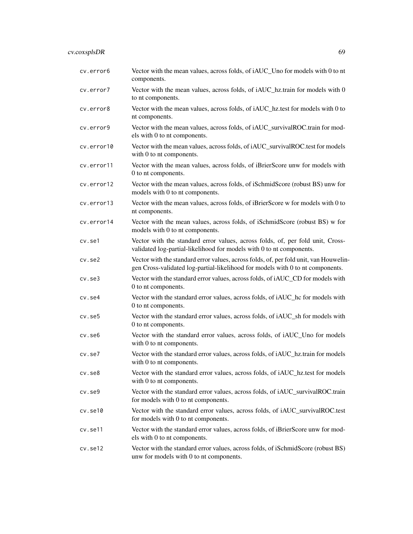### cv.coxsplsDR 69

cv.error6 Vector with the mean values, across folds, of iAUC\_Uno for models with 0 to nt components. cv.error7 Vector with the mean values, across folds, of iAUC\_hz.train for models with 0 to nt components. cv.error8 Vector with the mean values, across folds, of iAUC\_hz.test for models with 0 to nt components. cv.error9 Vector with the mean values, across folds, of iAUC\_survivalROC.train for models with 0 to nt components. cv.error10 Vector with the mean values, across folds, of iAUC\_survivalROC.test for models with 0 to nt components. cv.error11 Vector with the mean values, across folds, of iBrierScore unw for models with 0 to nt components. cv.error12 Vector with the mean values, across folds, of iSchmidScore (robust BS) unw for models with 0 to nt components. cv.error13 Vector with the mean values, across folds, of iBrierScore w for models with 0 to nt components. cv.error14 Vector with the mean values, across folds, of iSchmidScore (robust BS) w for models with 0 to nt components. cv.se1 Vector with the standard error values, across folds, of, per fold unit, Crossvalidated log-partial-likelihood for models with 0 to nt components. cv.se2 Vector with the standard error values, across folds, of, per fold unit, van Houwelingen Cross-validated log-partial-likelihood for models with 0 to nt components. cv.se3 Vector with the standard error values, across folds, of iAUC\_CD for models with 0 to nt components. cv.se4 Vector with the standard error values, across folds, of iAUC\_hc for models with 0 to nt components. cv.se5 Vector with the standard error values, across folds, of iAUC\_sh for models with 0 to nt components. cv.se6 Vector with the standard error values, across folds, of iAUC\_Uno for models with 0 to nt components. cv.se7 Vector with the standard error values, across folds, of iAUC\_hz.train for models with 0 to nt components. cv.se8 Vector with the standard error values, across folds, of iAUC\_hz.test for models with 0 to nt components. cv.se9 Vector with the standard error values, across folds, of iAUC\_survivalROC.train for models with 0 to nt components. cv.se10 Vector with the standard error values, across folds, of iAUC\_survivalROC.test for models with 0 to nt components. cv.se11 Vector with the standard error values, across folds, of iBrierScore unw for models with 0 to nt components. cv.se12 Vector with the standard error values, across folds, of iSchmidScore (robust BS) unw for models with 0 to nt components.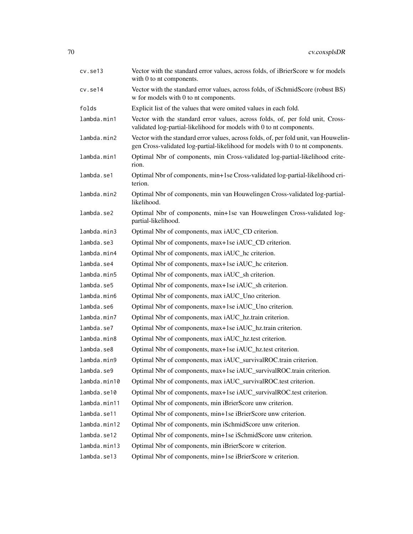| cv.se13      | Vector with the standard error values, across folds, of iBrierScore w for models<br>with 0 to nt components.                                                            |
|--------------|-------------------------------------------------------------------------------------------------------------------------------------------------------------------------|
| cv.set14     | Vector with the standard error values, across folds, of iSchmidScore (robust BS)<br>w for models with 0 to nt components.                                               |
| folds        | Explicit list of the values that were omited values in each fold.                                                                                                       |
| lambda.min1  | Vector with the standard error values, across folds, of, per fold unit, Cross-<br>validated log-partial-likelihood for models with 0 to nt components.                  |
| lambda.min2  | Vector with the standard error values, across folds, of, per fold unit, van Houwelin-<br>gen Cross-validated log-partial-likelihood for models with 0 to nt components. |
| lambda.min1  | Optimal Nbr of components, min Cross-validated log-partial-likelihood crite-<br>rion.                                                                                   |
| lambda.se1   | Optimal Nbr of components, min+1se Cross-validated log-partial-likelihood cri-<br>terion.                                                                               |
| lambda.min2  | Optimal Nbr of components, min van Houwelingen Cross-validated log-partial-<br>likelihood.                                                                              |
| lambda.se2   | Optimal Nbr of components, min+1se van Houwelingen Cross-validated log-<br>partial-likelihood.                                                                          |
| lambda.min3  | Optimal Nbr of components, max iAUC_CD criterion.                                                                                                                       |
| lambda.se3   | Optimal Nbr of components, max+1se iAUC_CD criterion.                                                                                                                   |
| lambda.min4  | Optimal Nbr of components, max iAUC_hc criterion.                                                                                                                       |
| lambda.se4   | Optimal Nbr of components, max+1se iAUC_hc criterion.                                                                                                                   |
| lambda.min5  | Optimal Nbr of components, max iAUC_sh criterion.                                                                                                                       |
| lambda.se5   | Optimal Nbr of components, max+1se iAUC_sh criterion.                                                                                                                   |
| lambda.min6  | Optimal Nbr of components, max iAUC_Uno criterion.                                                                                                                      |
| lambda.se6   | Optimal Nbr of components, max+1se iAUC_Uno criterion.                                                                                                                  |
| lambda.min7  | Optimal Nbr of components, max iAUC_hz.train criterion.                                                                                                                 |
| lambda.se7   | Optimal Nbr of components, max+1se iAUC_hz.train criterion.                                                                                                             |
| lambda.min8  | Optimal Nbr of components, max iAUC_hz.test criterion.                                                                                                                  |
| lambda.se8   | Optimal Nbr of components, max+1se iAUC_hz.test criterion.                                                                                                              |
| lambda.min9  | Optimal Nbr of components, max iAUC_survivalROC.train criterion.                                                                                                        |
| lambda.se9   | Optimal Nbr of components, max+1se iAUC_survivalROC.train criterion.                                                                                                    |
| lambda.min10 | Optimal Nbr of components, max iAUC_survivalROC.test criterion.                                                                                                         |
| lambda.se10  | Optimal Nbr of components, max+1se iAUC_survivalROC.test criterion.                                                                                                     |
| lambda.min11 | Optimal Nbr of components, min iBrierScore unw criterion.                                                                                                               |
| lambda.se11  | Optimal Nbr of components, min+1se iBrierScore unw criterion.                                                                                                           |
| lambda.min12 | Optimal Nbr of components, min iSchmidScore unw criterion.                                                                                                              |
| lambda.se12  | Optimal Nbr of components, min+1se iSchmidScore unw criterion.                                                                                                          |
| lambda.min13 | Optimal Nbr of components, min iBrierScore w criterion.                                                                                                                 |
| lambda.se13  | Optimal Nbr of components, min+1se iBrierScore w criterion.                                                                                                             |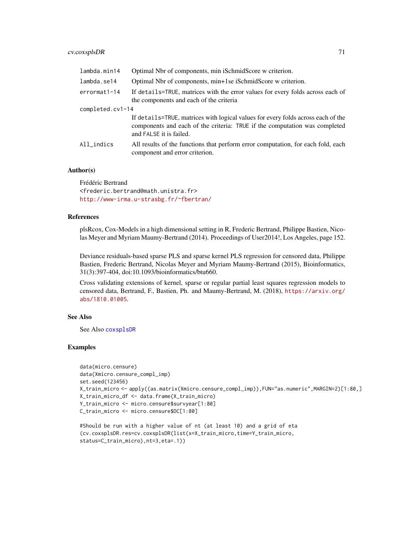### cv.coxsplsDR 71

| lambda.min14     | Optimal Nbr of components, min iSchmidScore w criterion.                                                                                                                                  |
|------------------|-------------------------------------------------------------------------------------------------------------------------------------------------------------------------------------------|
| lambda.se14      | Optimal Nbr of components, min+1se iSchmidScore w criterion.                                                                                                                              |
| $errormat1-14$   | If details=TRUE, matrices with the error values for every folds across each of<br>the components and each of the criteria                                                                 |
| completed.cv1-14 |                                                                                                                                                                                           |
|                  | If details=TRUE, matrices with logical values for every folds across each of the<br>components and each of the criteria: TRUE if the computation was completed<br>and FALSE it is failed. |
| All_indics       | All results of the functions that perform error computation, for each fold, each<br>component and error criterion.                                                                        |

## Author(s)

Frédéric Bertrand <frederic.bertrand@math.unistra.fr> <http://www-irma.u-strasbg.fr/~fbertran/>

#### References

plsRcox, Cox-Models in a high dimensional setting in R, Frederic Bertrand, Philippe Bastien, Nicolas Meyer and Myriam Maumy-Bertrand (2014). Proceedings of User2014!, Los Angeles, page 152.

Deviance residuals-based sparse PLS and sparse kernel PLS regression for censored data, Philippe Bastien, Frederic Bertrand, Nicolas Meyer and Myriam Maumy-Bertrand (2015), Bioinformatics, 31(3):397-404, doi:10.1093/bioinformatics/btu660.

Cross validating extensions of kernel, sparse or regular partial least squares regression models to censored data, Bertrand, F., Bastien, Ph. and Maumy-Bertrand, M. (2018), [https://arxiv.org/](https://arxiv.org/abs/1810.01005) [abs/1810.01005](https://arxiv.org/abs/1810.01005).

#### See Also

See Also [coxsplsDR](#page-39-0)

#### Examples

```
data(micro.censure)
data(Xmicro.censure_compl_imp)
set.seed(123456)
X_train_micro <- apply((as.matrix(Xmicro.censure_compl_imp)),FUN="as.numeric",MARGIN=2)[1:80,]
X_train_micro_df <- data.frame(X_train_micro)
Y_train_micro <- micro.censure$survyear[1:80]
C_train_micro <- micro.censure$DC[1:80]
```

```
#Should be run with a higher value of nt (at least 10) and a grid of eta
(cv.coxsplsDR.res=cv.coxsplsDR(list(x=X_train_micro,time=Y_train_micro,
status=C_train_micro),nt=3,eta=.1))
```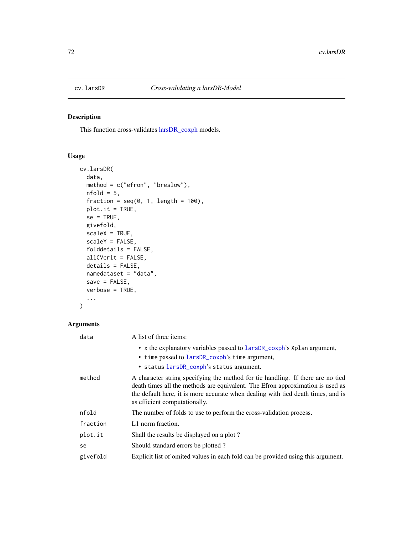## Description

This function cross-validates [larsDR\\_coxph](#page-87-0) models.

## Usage

```
cv.larsDR(
  data,
  method = c("efron", "breslow"),
  nfold = 5,
  fraction = seq(0, 1, length = 100),
  plot.it = TRUE,
  se = TRUE,givefold,
  scaleX = TRUE,
  scaleY = FALSE,
  folddetails = FALSE,
  allCVcrit = FALSE,
  details = FALSE,
  namedataset = "data",
  save = FALSE,
  verbose = TRUE,
  ...
)
```
## Arguments

| data     | A list of three items:                                                                                                                                                                                                                                                                 |
|----------|----------------------------------------------------------------------------------------------------------------------------------------------------------------------------------------------------------------------------------------------------------------------------------------|
|          | • x the explanatory variables passed to larsDR_coxph's Xplan argument,                                                                                                                                                                                                                 |
|          | • time passed to larsDR_coxph's time argument,                                                                                                                                                                                                                                         |
|          | • status larsDR_coxph's status argument.                                                                                                                                                                                                                                               |
| method   | A character string specifying the method for tie handling. If there are no tied<br>death times all the methods are equivalent. The Efron approximation is used as<br>the default here, it is more accurate when dealing with tied death times, and is<br>as efficient computationally. |
| nfold    | The number of folds to use to perform the cross-validation process.                                                                                                                                                                                                                    |
| fraction | L1 norm fraction.                                                                                                                                                                                                                                                                      |
| plot.it  | Shall the results be displayed on a plot?                                                                                                                                                                                                                                              |
| se       | Should standard errors be plotted?                                                                                                                                                                                                                                                     |
| givefold | Explicit list of omited values in each fold can be provided using this argument.                                                                                                                                                                                                       |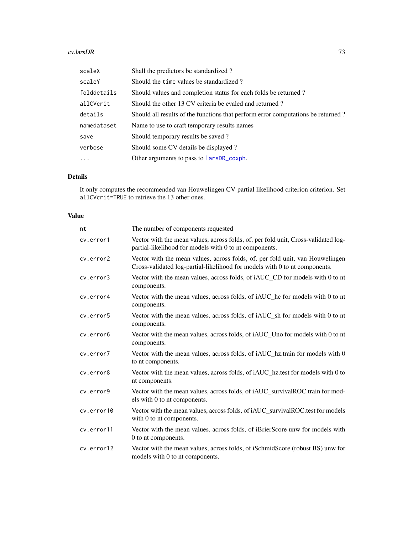### <span id="page-72-0"></span>cv.larsDR 73

| scaleX      | Shall the predictors be standardized?                                            |
|-------------|----------------------------------------------------------------------------------|
| scaleY      | Should the time values be standardized?                                          |
| folddetails | Should values and completion status for each folds be returned?                  |
| allCVcrit   | Should the other 13 CV criteria be evaled and returned?                          |
| details     | Should all results of the functions that perform error computations be returned? |
| namedataset | Name to use to craft temporary results names                                     |
| save        | Should temporary results be saved?                                               |
| verbose     | Should some CV details be displayed?                                             |
| $\ddotsc$   | Other arguments to pass to larsDR_coxph.                                         |

# Details

It only computes the recommended van Houwelingen CV partial likelihood criterion criterion. Set allCVcrit=TRUE to retrieve the 13 other ones.

# Value

| nt         | The number of components requested                                                                                                                          |
|------------|-------------------------------------------------------------------------------------------------------------------------------------------------------------|
| cv.error1  | Vector with the mean values, across folds, of, per fold unit, Cross-validated log-<br>partial-likelihood for models with 0 to nt components.                |
| cv.error2  | Vector with the mean values, across folds, of, per fold unit, van Houwelingen<br>Cross-validated log-partial-likelihood for models with 0 to nt components. |
| cv.error3  | Vector with the mean values, across folds, of iAUC_CD for models with 0 to nt<br>components.                                                                |
| cv.error4  | Vector with the mean values, across folds, of iAUC_hc for models with 0 to nt<br>components.                                                                |
| cv.error5  | Vector with the mean values, across folds, of iAUC_sh for models with 0 to nt<br>components.                                                                |
| cv.error6  | Vector with the mean values, across folds, of iAUC_Uno for models with 0 to nt<br>components.                                                               |
| cv.error7  | Vector with the mean values, across folds, of iAUC_hz.train for models with 0<br>to nt components.                                                          |
| cv.error8  | Vector with the mean values, across folds, of iAUC_hz.test for models with 0 to<br>nt components.                                                           |
| cv.error9  | Vector with the mean values, across folds, of iAUC_survivalROC.train for mod-<br>els with 0 to nt components.                                               |
| cv.error10 | Vector with the mean values, across folds, of iAUC_survivalROC.test for models<br>with 0 to nt components.                                                  |
| cv.error11 | Vector with the mean values, across folds, of iBrierScore unw for models with<br>0 to nt components.                                                        |
| cv.error12 | Vector with the mean values, across folds, of iSchmidScore (robust BS) unw for<br>models with 0 to nt components.                                           |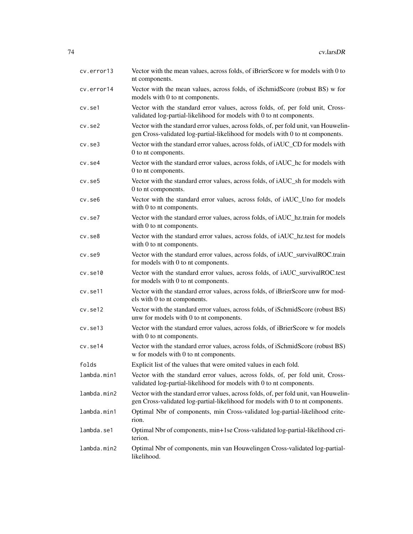| cv.error13   | Vector with the mean values, across folds, of iBrierScore w for models with 0 to<br>nt components.                                                                      |
|--------------|-------------------------------------------------------------------------------------------------------------------------------------------------------------------------|
| cv.error14   | Vector with the mean values, across folds, of iSchmidScore (robust BS) w for<br>models with 0 to nt components.                                                         |
| cv.set1      | Vector with the standard error values, across folds, of, per fold unit, Cross-<br>validated log-partial-likelihood for models with 0 to nt components.                  |
| $cv.$ se $2$ | Vector with the standard error values, across folds, of, per fold unit, van Houwelin-<br>gen Cross-validated log-partial-likelihood for models with 0 to nt components. |
| $cv.$ se $3$ | Vector with the standard error values, across folds, of iAUC_CD for models with<br>0 to nt components.                                                                  |
| cv.se4       | Vector with the standard error values, across folds, of iAUC_hc for models with<br>0 to nt components.                                                                  |
| cv.se5       | Vector with the standard error values, across folds, of iAUC_sh for models with<br>0 to nt components.                                                                  |
| cv.se6       | Vector with the standard error values, across folds, of iAUC_Uno for models<br>with 0 to nt components.                                                                 |
| cv.se7       | Vector with the standard error values, across folds, of iAUC_hz.train for models<br>with 0 to nt components.                                                            |
| $cv.$ se $8$ | Vector with the standard error values, across folds, of iAUC_hz.test for models<br>with 0 to nt components.                                                             |
| $cv.$ se $9$ | Vector with the standard error values, across folds, of iAUC_survivalROC.train<br>for models with 0 to nt components.                                                   |
| cv.set10     | Vector with the standard error values, across folds, of iAUC_survivalROC.test<br>for models with 0 to nt components.                                                    |
| cv.se11      | Vector with the standard error values, across folds, of iBrierScore unw for mod-<br>els with 0 to nt components.                                                        |
| cv.set12     | Vector with the standard error values, across folds, of iSchmidScore (robust BS)<br>unw for models with 0 to nt components.                                             |
| cv.se13      | Vector with the standard error values, across folds, of iBrierScore w for models<br>with 0 to nt components.                                                            |
| cv.se14      | Vector with the standard error values, across folds, of iSchmidScore (robust BS)<br>w for models with 0 to nt components.                                               |
| folds        | Explicit list of the values that were omited values in each fold.                                                                                                       |
| lambda.min1  | Vector with the standard error values, across folds, of, per fold unit, Cross-<br>validated log-partial-likelihood for models with 0 to nt components.                  |
| lambda.min2  | Vector with the standard error values, across folds, of, per fold unit, van Houwelin-<br>gen Cross-validated log-partial-likelihood for models with 0 to nt components. |
| lambda.min1  | Optimal Nbr of components, min Cross-validated log-partial-likelihood crite-<br>rion.                                                                                   |
| lambda.se1   | Optimal Nbr of components, min+1se Cross-validated log-partial-likelihood cri-<br>terion.                                                                               |
| lambda.min2  | Optimal Nbr of components, min van Houwelingen Cross-validated log-partial-<br>likelihood.                                                                              |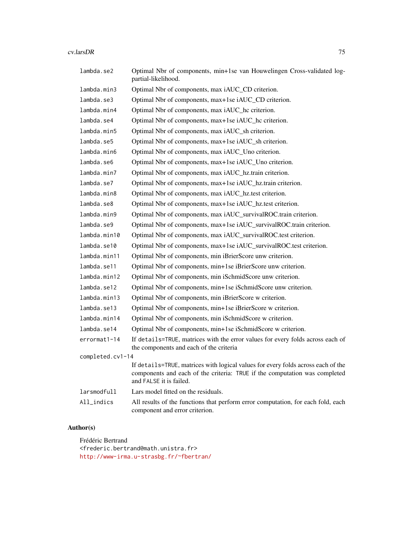### cv.larsDR 75

| lambda.se2       | Optimal Nbr of components, min+1se van Houwelingen Cross-validated log-<br>partial-likelihood.                                                                                            |
|------------------|-------------------------------------------------------------------------------------------------------------------------------------------------------------------------------------------|
| lambda.min3      | Optimal Nbr of components, max iAUC_CD criterion.                                                                                                                                         |
| lambda.se3       | Optimal Nbr of components, max+1se iAUC_CD criterion.                                                                                                                                     |
| lambda.min4      | Optimal Nbr of components, max iAUC_hc criterion.                                                                                                                                         |
| lambda.se4       | Optimal Nbr of components, max+1se iAUC_hc criterion.                                                                                                                                     |
| lambda.min5      | Optimal Nbr of components, max iAUC_sh criterion.                                                                                                                                         |
| lambda.se5       | Optimal Nbr of components, max+1se iAUC_sh criterion.                                                                                                                                     |
| lambda.min6      | Optimal Nbr of components, max iAUC_Uno criterion.                                                                                                                                        |
| lambda.se6       | Optimal Nbr of components, max+1se iAUC_Uno criterion.                                                                                                                                    |
| lambda.min7      | Optimal Nbr of components, max iAUC_hz.train criterion.                                                                                                                                   |
| lambda.se7       | Optimal Nbr of components, max+1se iAUC_hz.train criterion.                                                                                                                               |
| lambda.min8      | Optimal Nbr of components, max iAUC_hz.test criterion.                                                                                                                                    |
| lambda.se8       | Optimal Nbr of components, max+1se iAUC_hz.test criterion.                                                                                                                                |
| lambda.min9      | Optimal Nbr of components, max iAUC_survivalROC.train criterion.                                                                                                                          |
| lambda.se9       | Optimal Nbr of components, max+1se iAUC_survivalROC.train criterion.                                                                                                                      |
| lambda.min10     | Optimal Nbr of components, max iAUC_survivalROC.test criterion.                                                                                                                           |
| lambda.se10      | Optimal Nbr of components, max+1se iAUC_survivalROC.test criterion.                                                                                                                       |
| lambda.min11     | Optimal Nbr of components, min iBrierScore unw criterion.                                                                                                                                 |
| lambda.se11      | Optimal Nbr of components, min+1se iBrierScore unw criterion.                                                                                                                             |
| lambda.min12     | Optimal Nbr of components, min iSchmidScore unw criterion.                                                                                                                                |
| lambda.se12      | Optimal Nbr of components, min+1se iSchmidScore unw criterion.                                                                                                                            |
| lambda.min13     | Optimal Nbr of components, min iBrierScore w criterion.                                                                                                                                   |
| lambda.se13      | Optimal Nbr of components, min+1se iBrierScore w criterion.                                                                                                                               |
| lambda.min14     | Optimal Nbr of components, min iSchmidScore w criterion.                                                                                                                                  |
| lambda.se14      | Optimal Nbr of components, min+1se iSchmidScore w criterion.                                                                                                                              |
| $errormat1-14$   | If details=TRUE, matrices with the error values for every folds across each of<br>the components and each of the criteria                                                                 |
| completed.cv1-14 |                                                                                                                                                                                           |
|                  | If details=TRUE, matrices with logical values for every folds across each of the<br>components and each of the criteria: TRUE if the computation was completed<br>and FALSE it is failed. |
| larsmodfull      | Lars model fitted on the residuals.                                                                                                                                                       |
| $All_$ indics    | All results of the functions that perform error computation, for each fold, each<br>component and error criterion.                                                                        |

# Author(s)

Frédéric Bertrand <frederic.bertrand@math.unistra.fr> <http://www-irma.u-strasbg.fr/~fbertran/>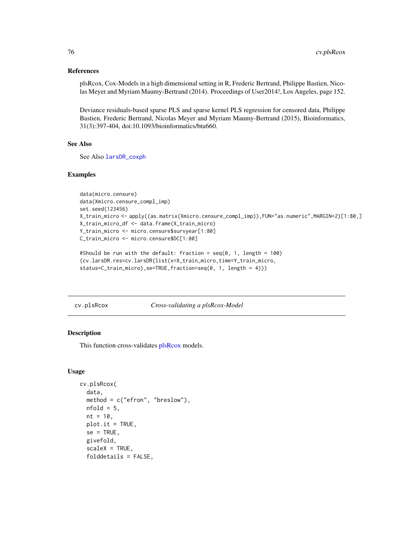### References

plsRcox, Cox-Models in a high dimensional setting in R, Frederic Bertrand, Philippe Bastien, Nicolas Meyer and Myriam Maumy-Bertrand (2014). Proceedings of User2014!, Los Angeles, page 152.

Deviance residuals-based sparse PLS and sparse kernel PLS regression for censored data, Philippe Bastien, Frederic Bertrand, Nicolas Meyer and Myriam Maumy-Bertrand (2015), Bioinformatics, 31(3):397-404, doi:10.1093/bioinformatics/btu660.

### See Also

See Also [larsDR\\_coxph](#page-87-0)

# Examples

```
data(micro.censure)
data(Xmicro.censure_compl_imp)
set.seed(123456)
X_train_micro <- apply((as.matrix(Xmicro.censure_compl_imp)),FUN="as.numeric",MARGIN=2)[1:80,]
X_train_micro_df <- data.frame(X_train_micro)
Y_train_micro <- micro.censure$survyear[1:80]
C_train_micro <- micro.censure$DC[1:80]
```

```
#Should be run with the default: fraction = seq(0, 1, length = 100)
(cv.larsDR.res=cv.larsDR(list(x=X_train_micro,time=Y_train_micro,
status=C_train_micro),se=TRUE,fraction=seq(0, 1, length = 4)))
```
cv.plsRcox *Cross-validating a plsRcox-Model*

# Description

This function cross-validates [plsRcox](#page-93-0) models.

# Usage

```
cv.plsRcox(
  data,
  method = c("efron", "breslow"),
  nfold = 5,
  nt = 10.
  plot.it = TRUE,
  se = TRUE,
  givefold,
  scaleX = TRUE,folddetails = FALSE,
```
<span id="page-75-0"></span>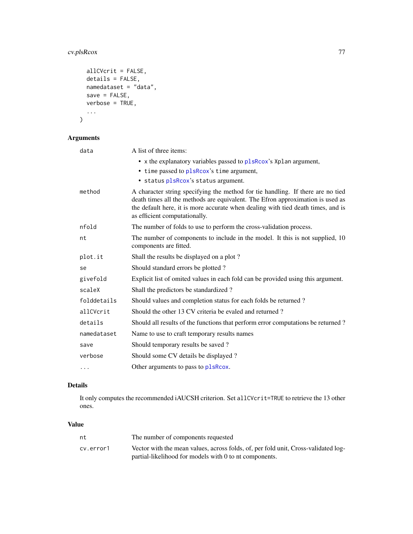# <span id="page-76-0"></span>cv.plsRcox 77

```
allCVcrit = FALSE,
  details = FALSE,
  namedataset = "data",
  save = FALSE,verbose = TRUE,
  ...
\mathcal{L}
```
# Arguments

| data        | A list of three items:                                                                                                                                                                                                                                                                 |
|-------------|----------------------------------------------------------------------------------------------------------------------------------------------------------------------------------------------------------------------------------------------------------------------------------------|
|             | • x the explanatory variables passed to plsRcox's Xplan argument,<br>• time passed to plsRcox's time argument,                                                                                                                                                                         |
|             | · status plsRcox's status argument.                                                                                                                                                                                                                                                    |
| method      | A character string specifying the method for tie handling. If there are no tied<br>death times all the methods are equivalent. The Efron approximation is used as<br>the default here, it is more accurate when dealing with tied death times, and is<br>as efficient computationally. |
| nfold       | The number of folds to use to perform the cross-validation process.                                                                                                                                                                                                                    |
| nt          | The number of components to include in the model. It this is not supplied, 10<br>components are fitted.                                                                                                                                                                                |
| plot.it     | Shall the results be displayed on a plot?                                                                                                                                                                                                                                              |
| se          | Should standard errors be plotted?                                                                                                                                                                                                                                                     |
| givefold    | Explicit list of omited values in each fold can be provided using this argument.                                                                                                                                                                                                       |
| scaleX      | Shall the predictors be standardized?                                                                                                                                                                                                                                                  |
| folddetails | Should values and completion status for each folds be returned?                                                                                                                                                                                                                        |
| allCVcrit   | Should the other 13 CV criteria be evaled and returned?                                                                                                                                                                                                                                |
| details     | Should all results of the functions that perform error computations be returned?                                                                                                                                                                                                       |
| namedataset | Name to use to craft temporary results names                                                                                                                                                                                                                                           |
| save        | Should temporary results be saved?                                                                                                                                                                                                                                                     |
| verbose     | Should some CV details be displayed?                                                                                                                                                                                                                                                   |
| .           | Other arguments to pass to plsRcox.                                                                                                                                                                                                                                                    |

# Details

It only computes the recommended iAUCSH criterion. Set allCVcrit=TRUE to retrieve the 13 other ones.

# Value

| nt        | The number of components requested                                                 |
|-----------|------------------------------------------------------------------------------------|
| cv.error1 | Vector with the mean values, across folds, of, per fold unit, Cross-validated log- |
|           | partial-likelihood for models with 0 to nt components.                             |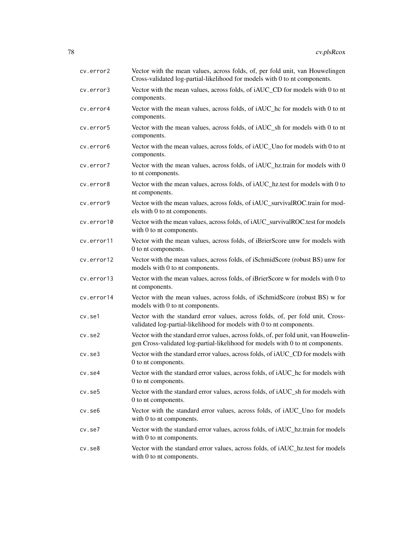| cv.error2    | Vector with the mean values, across folds, of, per fold unit, van Houwelingen<br>Cross-validated log-partial-likelihood for models with 0 to nt components.             |
|--------------|-------------------------------------------------------------------------------------------------------------------------------------------------------------------------|
| cv.error3    | Vector with the mean values, across folds, of iAUC_CD for models with 0 to nt<br>components.                                                                            |
| cv.error4    | Vector with the mean values, across folds, of iAUC_hc for models with 0 to nt<br>components.                                                                            |
| cv.error5    | Vector with the mean values, across folds, of iAUC_sh for models with 0 to nt<br>components.                                                                            |
| cv.error6    | Vector with the mean values, across folds, of iAUC_Uno for models with 0 to nt<br>components.                                                                           |
| cv.error7    | Vector with the mean values, across folds, of iAUC_hz.train for models with 0<br>to nt components.                                                                      |
| cy.error8    | Vector with the mean values, across folds, of iAUC_hz.test for models with 0 to<br>nt components.                                                                       |
| cv.error9    | Vector with the mean values, across folds, of iAUC_survivalROC.train for mod-<br>els with 0 to nt components.                                                           |
| cv.error10   | Vector with the mean values, across folds, of iAUC_survivalROC.test for models<br>with 0 to nt components.                                                              |
| cv.error11   | Vector with the mean values, across folds, of iBrierScore unw for models with<br>0 to nt components.                                                                    |
| cv.error12   | Vector with the mean values, across folds, of iSchmidScore (robust BS) unw for<br>models with 0 to nt components.                                                       |
| cv.error13   | Vector with the mean values, across folds, of iBrierScore w for models with 0 to<br>nt components.                                                                      |
| cv.error14   | Vector with the mean values, across folds, of iSchmidScore (robust BS) w for<br>models with 0 to nt components.                                                         |
| cv.se1       | Vector with the standard error values, across folds, of, per fold unit, Cross-<br>validated log-partial-likelihood for models with 0 to nt components.                  |
| $cv.$ se $2$ | Vector with the standard error values, across folds, of, per fold unit, van Houwelin-<br>gen Cross-validated log-partial-likelihood for models with 0 to nt components. |
| $cv.$ se $3$ | Vector with the standard error values, across folds, of iAUC_CD for models with<br>0 to nt components.                                                                  |
| $cv.$ se $4$ | Vector with the standard error values, across folds, of iAUC_hc for models with<br>0 to nt components.                                                                  |
| cv.se5       | Vector with the standard error values, across folds, of iAUC_sh for models with<br>0 to nt components.                                                                  |
| cv.se6       | Vector with the standard error values, across folds, of iAUC_Uno for models<br>with 0 to nt components.                                                                 |
| cv.se7       | Vector with the standard error values, across folds, of iAUC_hz.train for models<br>with 0 to nt components.                                                            |
| $cv.$ se $8$ | Vector with the standard error values, across folds, of iAUC_hz.test for models<br>with 0 to nt components.                                                             |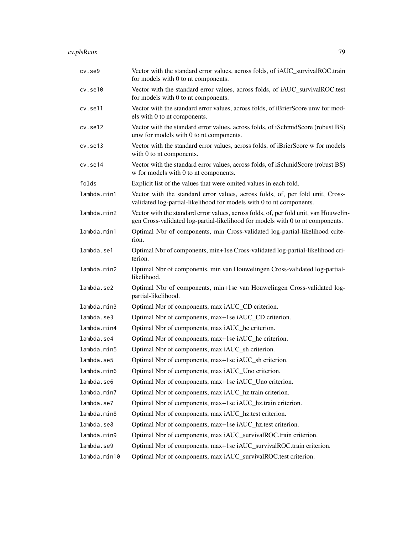# cv.plsRcox 79

| cv.se9       | Vector with the standard error values, across folds, of iAUC_survivalROC.train<br>for models with 0 to nt components.                                                   |
|--------------|-------------------------------------------------------------------------------------------------------------------------------------------------------------------------|
| cv.set10     | Vector with the standard error values, across folds, of iAUC_survivalROC.test<br>for models with 0 to nt components.                                                    |
| cv.se11      | Vector with the standard error values, across folds, of iBrierScore unw for mod-<br>els with 0 to nt components.                                                        |
| cv.set12     | Vector with the standard error values, across folds, of iSchmidScore (robust BS)<br>unw for models with 0 to nt components.                                             |
| cv.set13     | Vector with the standard error values, across folds, of iBrierScore w for models<br>with 0 to nt components.                                                            |
| cv.se14      | Vector with the standard error values, across folds, of iSchmidScore (robust BS)<br>w for models with 0 to nt components.                                               |
| folds        | Explicit list of the values that were omited values in each fold.                                                                                                       |
| lambda.min1  | Vector with the standard error values, across folds, of, per fold unit, Cross-<br>validated log-partial-likelihood for models with 0 to nt components.                  |
| lambda.min2  | Vector with the standard error values, across folds, of, per fold unit, van Houwelin-<br>gen Cross-validated log-partial-likelihood for models with 0 to nt components. |
| lambda.min1  | Optimal Nbr of components, min Cross-validated log-partial-likelihood crite-<br>rion.                                                                                   |
| lambda.se1   | Optimal Nbr of components, min+1se Cross-validated log-partial-likelihood cri-<br>terion.                                                                               |
| lambda.min2  | Optimal Nbr of components, min van Houwelingen Cross-validated log-partial-<br>likelihood.                                                                              |
| lambda.se2   | Optimal Nbr of components, min+1se van Houwelingen Cross-validated log-<br>partial-likelihood.                                                                          |
| lambda.min3  | Optimal Nbr of components, max iAUC_CD criterion.                                                                                                                       |
| lambda.se3   | Optimal Nbr of components, max+1se iAUC_CD criterion.                                                                                                                   |
| lambda.min4  | Optimal Nbr of components, max iAUC_hc criterion.                                                                                                                       |
| lambda.se4   | Optimal Nbr of components, max+1se iAUC_hc criterion.                                                                                                                   |
| lambda.min5  | Optimal Nbr of components, max iAUC_sh criterion.                                                                                                                       |
| lambda.se5   | Optimal Nbr of components, max+1se iAUC_sh criterion.                                                                                                                   |
| lambda.min6  | Optimal Nbr of components, max iAUC_Uno criterion.                                                                                                                      |
| lambda.se6   | Optimal Nbr of components, max+1se iAUC_Uno criterion.                                                                                                                  |
| lambda.min7  | Optimal Nbr of components, max iAUC_hz.train criterion.                                                                                                                 |
| lambda.se7   | Optimal Nbr of components, max+1se iAUC_hz.train criterion.                                                                                                             |
| lambda.min8  | Optimal Nbr of components, max iAUC_hz.test criterion.                                                                                                                  |
| lambda.se8   | Optimal Nbr of components, max+1se iAUC_hz.test criterion.                                                                                                              |
| lambda.min9  | Optimal Nbr of components, max iAUC_survivalROC.train criterion.                                                                                                        |
| lambda.se9   | Optimal Nbr of components, max+1se iAUC_survivalROC.train criterion.                                                                                                    |
| lambda.min10 | Optimal Nbr of components, max iAUC_survivalROC.test criterion.                                                                                                         |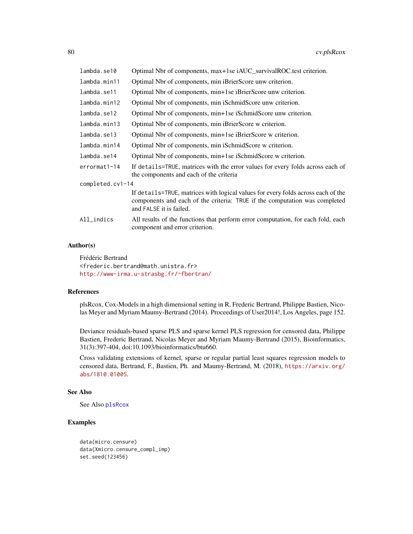<span id="page-79-0"></span>

| lambda.se10      | Optimal Nbr of components, max+1se iAUC_survivalROC.test criterion.                                                                                                                       |  |
|------------------|-------------------------------------------------------------------------------------------------------------------------------------------------------------------------------------------|--|
| lambda.min11     | Optimal Nbr of components, min iBrierScore unw criterion.                                                                                                                                 |  |
| lambda.se11      | Optimal Nbr of components, min+1se iBrierScore unw criterion.                                                                                                                             |  |
| lambda.min12     | Optimal Nbr of components, min iSchmidScore unw criterion.                                                                                                                                |  |
| lambda.se12      | Optimal Nbr of components, min+1se iSchmidScore unw criterion.                                                                                                                            |  |
| lambda.min13     | Optimal Nbr of components, min iBrierScore w criterion.                                                                                                                                   |  |
| lambda.se13      | Optimal Nbr of components, min+1se iBrierScore w criterion.                                                                                                                               |  |
| lambda.min14     | Optimal Nbr of components, min iSchmidScore w criterion.                                                                                                                                  |  |
| lambda.se14      | Optimal Nbr of components, min+1se iSchmidScore w criterion.                                                                                                                              |  |
| errormat1-14     | If details=TRUE, matrices with the error values for every folds across each of<br>the components and each of the criteria                                                                 |  |
| completed.cv1-14 |                                                                                                                                                                                           |  |
|                  | If details=TRUE, matrices with logical values for every folds across each of the<br>components and each of the criteria: TRUE if the computation was completed<br>and FALSE it is failed. |  |
| $All_$ indics    | All results of the functions that perform error computation, for each fold, each<br>component and error criterion.                                                                        |  |

# Author(s)

Frédéric Bertrand <frederic.bertrand@math.unistra.fr> <http://www-irma.u-strasbg.fr/~fbertran/>

#### References

plsRcox, Cox-Models in a high dimensional setting in R, Frederic Bertrand, Philippe Bastien, Nicolas Meyer and Myriam Maumy-Bertrand (2014). Proceedings of User2014!, Los Angeles, page 152.

Deviance residuals-based sparse PLS and sparse kernel PLS regression for censored data, Philippe Bastien, Frederic Bertrand, Nicolas Meyer and Myriam Maumy-Bertrand (2015), Bioinformatics, 31(3):397-404, doi:10.1093/bioinformatics/btu660.

Cross validating extensions of kernel, sparse or regular partial least squares regression models to censored data, Bertrand, F., Bastien, Ph. and Maumy-Bertrand, M. (2018), [https://arxiv.org/](https://arxiv.org/abs/1810.01005) [abs/1810.01005](https://arxiv.org/abs/1810.01005).

### See Also

See Also [plsRcox](#page-93-0)

# Examples

```
data(micro.censure)
data(Xmicro.censure_compl_imp)
set.seed(123456)
```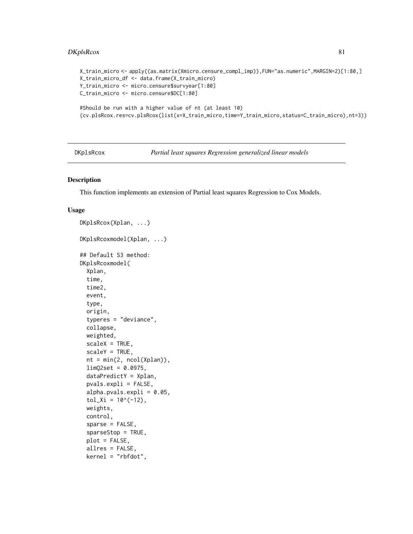# <span id="page-80-0"></span>DKplsRcox 81

```
X_train_micro <- apply((as.matrix(Xmicro.censure_compl_imp)),FUN="as.numeric",MARGIN=2)[1:80,]
X_train_micro_df <- data.frame(X_train_micro)
Y_train_micro <- micro.censure$survyear[1:80]
C_train_micro <- micro.censure$DC[1:80]
#Should be run with a higher value of nt (at least 10)
(cv.plsRcox.res=cv.plsRcox(list(x=X_train_micro,time=Y_train_micro,status=C_train_micro),nt=3))
```
DKplsRcox *Partial least squares Regression generalized linear models*

# Description

This function implements an extension of Partial least squares Regression to Cox Models.

### Usage

```
DKplsRcox(Xplan, ...)
DKplsRcoxmodel(Xplan, ...)
## Default S3 method:
DKplsRcoxmodel(
 Xplan,
  time,
  time2,
  event,
  type,
  origin,
  typeres = "deviance",
  collapse,
 weighted,
  scaleX = TRUE,scaleY = TRUE,
  nt = min(2, ncol(Xplan)),limQ2set = 0.0975,
  dataPredictY = Xplan,
  pvals.expli = FALSE,
  alpha.pvals.cxpli = 0.05,
  tol_x = 10^(-12),
  weights,
  control,
  sparse = FALSE,
  sparseStop = TRUE,
  plot = FALSE,
  allres = FALSE,
  kernel = "rbfdot",
```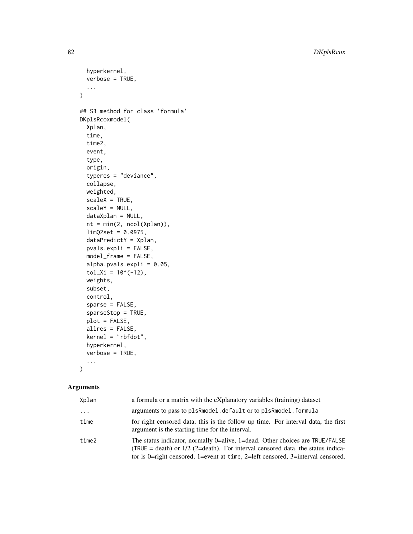82 DKplsRcox

```
hyperkernel,
  verbose = TRUE,
  ...
\mathcal{L}## S3 method for class 'formula'
DKplsRcoxmodel(
  Xplan,
  time,
  time2,
  event,
  type,
  origin,
  typeres = "deviance",
  collapse,
  weighted,
  scaleX = TRUE,
  scaleY = NULL,
 dataXplan = NULL,
 nt = min(2, ncol(Xplan)),
  limQ2set = 0.0975,
  dataPredictY = Xplan,
 pvals.expli = FALSE,
 model_frame = FALSE,
  alpha.pvals.expli = 0.05,
  tol_x = 10^(-12),
 weights,
  subset,
  control,
  sparse = FALSE,
  sparseStop = TRUE,
 plot = FALSE,
  allres = FALSE,
  kernel = "rbfdot",
  hyperkernel,
  verbose = TRUE,
  ...
\mathcal{L}
```
# Arguments

| Xplan    | a formula or a matrix with the eXplanatory variables (training) dataset                                                                                                                                                                              |
|----------|------------------------------------------------------------------------------------------------------------------------------------------------------------------------------------------------------------------------------------------------------|
| $\cdots$ | arguments to pass to plsRmodel. default or to plsRmodel. formula                                                                                                                                                                                     |
| time     | for right censored data, this is the follow up time. For interval data, the first<br>argument is the starting time for the interval.                                                                                                                 |
| time2    | The status indicator, normally 0=alive, 1=dead. Other choices are TRUE/FALSE<br>(TRUE = death) or $1/2$ (2=death). For interval censored data, the status indica-<br>tor is 0=right censored, 1=event at time, 2=left censored, 3=interval censored. |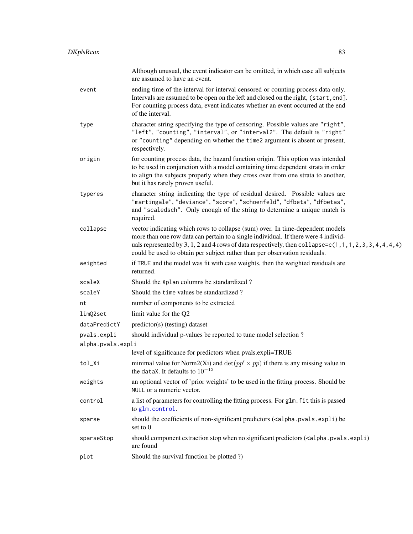<span id="page-82-0"></span>

|                   | Although unusual, the event indicator can be omitted, in which case all subjects<br>are assumed to have an event.                                                                                                                                                                                                                                                   |
|-------------------|---------------------------------------------------------------------------------------------------------------------------------------------------------------------------------------------------------------------------------------------------------------------------------------------------------------------------------------------------------------------|
| event             | ending time of the interval for interval censored or counting process data only.<br>Intervals are assumed to be open on the left and closed on the right, (start, end].<br>For counting process data, event indicates whether an event occurred at the end<br>of the interval.                                                                                      |
| type              | character string specifying the type of censoring. Possible values are "right",<br>"left", "counting", "interval", or "interval2". The default is "right"<br>or "counting" depending on whether the time2 argument is absent or present,<br>respectively.                                                                                                           |
| origin            | for counting process data, the hazard function origin. This option was intended<br>to be used in conjunction with a model containing time dependent strata in order<br>to align the subjects properly when they cross over from one strata to another,<br>but it has rarely proven useful.                                                                          |
| typeres           | character string indicating the type of residual desired. Possible values are<br>"martingale", "deviance", "score", "schoenfeld", "dfbeta", "dfbetas",<br>and "scaledsch". Only enough of the string to determine a unique match is<br>required.                                                                                                                    |
| collapse          | vector indicating which rows to collapse (sum) over. In time-dependent models<br>more than one row data can pertain to a single individual. If there were 4 individ-<br>uals represented by 3, 1, 2 and 4 rows of data respectively, then collapse= $c(1, 1, 1, 2, 3, 3, 4, 4, 4, 4)$<br>could be used to obtain per subject rather than per observation residuals. |
| weighted          | if TRUE and the model was fit with case weights, then the weighted residuals are<br>returned.                                                                                                                                                                                                                                                                       |
| scaleX            | Should the Xplan columns be standardized?                                                                                                                                                                                                                                                                                                                           |
| scaleY            | Should the time values be standardized?                                                                                                                                                                                                                                                                                                                             |
| nt                | number of components to be extracted                                                                                                                                                                                                                                                                                                                                |
| limQ2set          | limit value for the Q2                                                                                                                                                                                                                                                                                                                                              |
| dataPredictY      | predictor(s) (testing) dataset                                                                                                                                                                                                                                                                                                                                      |
| pvals.expli       | should individual p-values be reported to tune model selection?                                                                                                                                                                                                                                                                                                     |
| alpha.pvals.expli |                                                                                                                                                                                                                                                                                                                                                                     |
|                   | level of significance for predictors when pvals.expli=TRUE                                                                                                                                                                                                                                                                                                          |
| tol_Xi            | minimal value for Norm2(Xi) and $\det(pp' \times pp)$ if there is any missing value in<br>the dataX. It defaults to $10^{-12}$                                                                                                                                                                                                                                      |
| weights           | an optional vector of 'prior weights' to be used in the fitting process. Should be<br>NULL or a numeric vector.                                                                                                                                                                                                                                                     |
| control           | a list of parameters for controlling the fitting process. For glm. fit this is passed<br>to glm.control.                                                                                                                                                                                                                                                            |
| sparse            | should the coefficients of non-significant predictors ( <alpha.pvals.expli) be<br="">set to 0</alpha.pvals.expli)>                                                                                                                                                                                                                                                  |
| sparseStop        | should component extraction stop when no significant predictors ( <alpha.pvals.expli)<br>are found</alpha.pvals.expli)<br>                                                                                                                                                                                                                                          |
| plot              | Should the survival function be plotted ?)                                                                                                                                                                                                                                                                                                                          |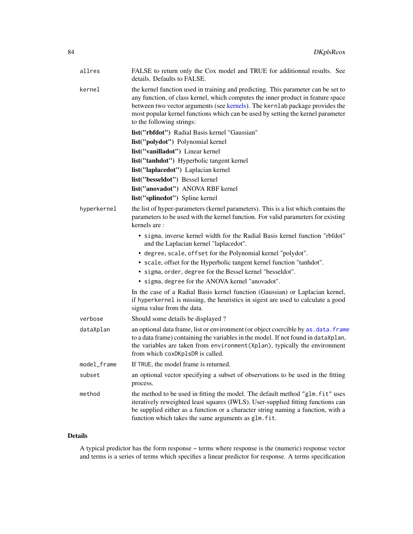<span id="page-83-0"></span>

| allres      | FALSE to return only the Cox model and TRUE for additionnal results. See<br>details. Defaults to FALSE.                                                                                                                                                                                                                                                               |
|-------------|-----------------------------------------------------------------------------------------------------------------------------------------------------------------------------------------------------------------------------------------------------------------------------------------------------------------------------------------------------------------------|
| kernel      | the kernel function used in training and predicting. This parameter can be set to<br>any function, of class kernel, which computes the inner product in feature space<br>between two vector arguments (see kernels). The kernlab package provides the<br>most popular kernel functions which can be used by setting the kernel parameter<br>to the following strings: |
|             | list("rbfdot") Radial Basis kernel "Gaussian"                                                                                                                                                                                                                                                                                                                         |
|             | list("polydot") Polynomial kernel                                                                                                                                                                                                                                                                                                                                     |
|             | list("vanilladot") Linear kernel                                                                                                                                                                                                                                                                                                                                      |
|             | list("tanhdot") Hyperbolic tangent kernel                                                                                                                                                                                                                                                                                                                             |
|             | list("laplacedot") Laplacian kernel                                                                                                                                                                                                                                                                                                                                   |
|             | list("besseldot") Bessel kernel                                                                                                                                                                                                                                                                                                                                       |
|             | list("anovadot") ANOVA RBF kernel                                                                                                                                                                                                                                                                                                                                     |
|             | list("splinedot") Spline kernel                                                                                                                                                                                                                                                                                                                                       |
| hyperkernel | the list of hyper-parameters (kernel parameters). This is a list which contains the<br>parameters to be used with the kernel function. For valid parameters for existing<br>kernels are:                                                                                                                                                                              |
|             | • sigma, inverse kernel width for the Radial Basis kernel function "rbfdot"<br>and the Laplacian kernel "laplacedot".                                                                                                                                                                                                                                                 |
|             | • degree, scale, offset for the Polynomial kernel "polydot".                                                                                                                                                                                                                                                                                                          |
|             | • scale, offset for the Hyperbolic tangent kernel function "tanhdot".                                                                                                                                                                                                                                                                                                 |
|             | • sigma, order, degree for the Bessel kernel "besseldot".                                                                                                                                                                                                                                                                                                             |
|             | • sigma, degree for the ANOVA kernel "anovadot".                                                                                                                                                                                                                                                                                                                      |
|             | In the case of a Radial Basis kernel function (Gaussian) or Laplacian kernel,<br>if hyperkernel is missing, the heuristics in sigest are used to calculate a good<br>sigma value from the data.                                                                                                                                                                       |
| verbose     | Should some details be displayed?                                                                                                                                                                                                                                                                                                                                     |
| dataXplan   | an optional data frame, list or environment (or object coercible by as . data. frame<br>to a data frame) containing the variables in the model. If not found in dataXplan,<br>the variables are taken from environment (Xplan), typically the environment<br>from which coxDKp1sDR is called.                                                                         |
| model_frame | If TRUE, the model frame is returned.                                                                                                                                                                                                                                                                                                                                 |
| subset      | an optional vector specifying a subset of observations to be used in the fitting<br>process.                                                                                                                                                                                                                                                                          |
| method      | the method to be used in fitting the model. The default method "glm. fit" uses<br>iteratively reweighted least squares (IWLS). User-supplied fitting functions can<br>be supplied either as a function or a character string naming a function, with a<br>function which takes the same arguments as glm. fit.                                                        |

# Details

A typical predictor has the form response ~ terms where response is the (numeric) response vector and terms is a series of terms which specifies a linear predictor for response. A terms specification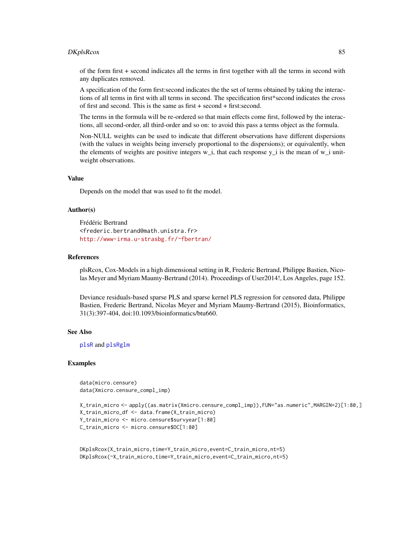### <span id="page-84-0"></span>DKplsRcox 85

of the form first + second indicates all the terms in first together with all the terms in second with any duplicates removed.

A specification of the form first:second indicates the the set of terms obtained by taking the interactions of all terms in first with all terms in second. The specification first\*second indicates the cross of first and second. This is the same as first + second + first:second.

The terms in the formula will be re-ordered so that main effects come first, followed by the interactions, all second-order, all third-order and so on: to avoid this pass a terms object as the formula.

Non-NULL weights can be used to indicate that different observations have different dispersions (with the values in weights being inversely proportional to the dispersions); or equivalently, when the elements of weights are positive integers  $w_i$ , that each response  $y_i$  is the mean of  $w_i$  unitweight observations.

# Value

Depends on the model that was used to fit the model.

#### Author(s)

Frédéric Bertrand <frederic.bertrand@math.unistra.fr> <http://www-irma.u-strasbg.fr/~fbertran/>

### References

plsRcox, Cox-Models in a high dimensional setting in R, Frederic Bertrand, Philippe Bastien, Nicolas Meyer and Myriam Maumy-Bertrand (2014). Proceedings of User2014!, Los Angeles, page 152.

Deviance residuals-based sparse PLS and sparse kernel PLS regression for censored data, Philippe Bastien, Frederic Bertrand, Nicolas Meyer and Myriam Maumy-Bertrand (2015), Bioinformatics, 31(3):397-404, doi:10.1093/bioinformatics/btu660.

### See Also

[plsR](#page-0-0) and [plsRglm](#page-0-0)

### Examples

data(micro.censure) data(Xmicro.censure\_compl\_imp)

```
X_train_micro <- apply((as.matrix(Xmicro.censure_compl_imp)),FUN="as.numeric",MARGIN=2)[1:80,]
X_train_micro_df <- data.frame(X_train_micro)
Y_train_micro <- micro.censure$survyear[1:80]
C_train_micro <- micro.censure$DC[1:80]
```

```
DKplsRcox(X_train_micro,time=Y_train_micro,event=C_train_micro,nt=5)
DKplsRcox(~X_train_micro,time=Y_train_micro,event=C_train_micro,nt=5)
```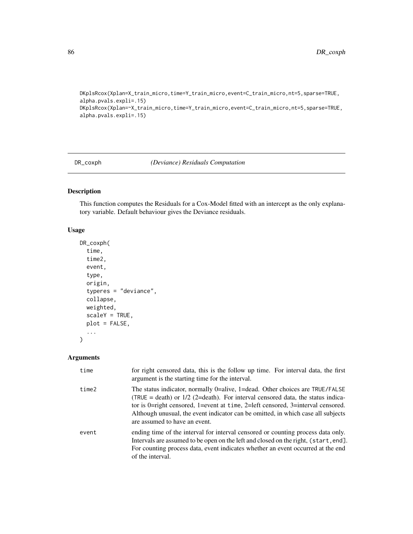```
DKplsRcox(Xplan=X_train_micro,time=Y_train_micro,event=C_train_micro,nt=5,sparse=TRUE,
alpha.pvals.expli=.15)
DKplsRcox(Xplan=~X_train_micro,time=Y_train_micro,event=C_train_micro,nt=5,sparse=TRUE,
alpha.pvals.expli=.15)
```
DR\_coxph *(Deviance) Residuals Computation*

# Description

This function computes the Residuals for a Cox-Model fitted with an intercept as the only explanatory variable. Default behaviour gives the Deviance residuals.

# Usage

```
DR_coxph(
  time,
  time2,
  event,
  type,
  origin,
  typeres = "deviance",
  collapse,
 weighted,
  scaleY = TRUE,
 plot = FALSE,
  ...
)
```
# Arguments

| time  | for right censored data, this is the follow up time. For interval data, the first<br>argument is the starting time for the interval.                                                                                                                                                                                                                                        |
|-------|-----------------------------------------------------------------------------------------------------------------------------------------------------------------------------------------------------------------------------------------------------------------------------------------------------------------------------------------------------------------------------|
| time2 | The status indicator, normally 0=alive, 1=dead. Other choices are TRUE/FALSE<br>$(TRUE = death)$ or $1/2$ (2=death). For interval censored data, the status indica-<br>tor is 0=right censored, 1=event at time, 2=left censored, 3=interval censored.<br>Although unusual, the event indicator can be omitted, in which case all subjects<br>are assumed to have an event. |
| event | ending time of the interval for interval censored or counting process data only.<br>Intervals are assumed to be open on the left and closed on the right, (start, end).<br>For counting process data, event indicates whether an event occurred at the end<br>of the interval.                                                                                              |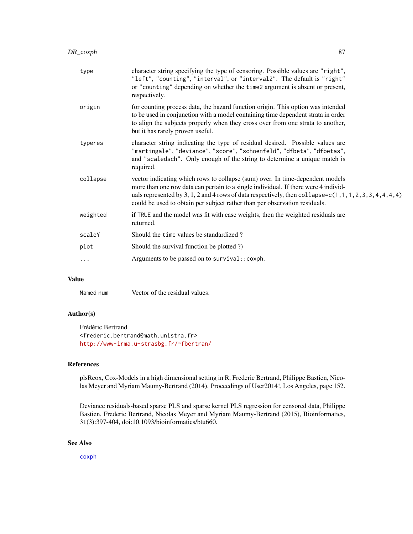<span id="page-86-0"></span>

| type     | character string specifying the type of censoring. Possible values are "right",<br>"left", "counting", "interval", or "interval2". The default is "right"<br>or "counting" depending on whether the time2 argument is absent or present,<br>respectively.                                                                                                  |
|----------|------------------------------------------------------------------------------------------------------------------------------------------------------------------------------------------------------------------------------------------------------------------------------------------------------------------------------------------------------------|
| origin   | for counting process data, the hazard function origin. This option was intended<br>to be used in conjunction with a model containing time dependent strata in order<br>to align the subjects properly when they cross over from one strata to another,<br>but it has rarely proven useful.                                                                 |
| typeres  | character string indicating the type of residual desired. Possible values are<br>"martingale", "deviance", "score", "schoenfeld", "dfbeta", "dfbetas",<br>and "scaledsch". Only enough of the string to determine a unique match is<br>required.                                                                                                           |
| collapse | vector indicating which rows to collapse (sum) over. In time-dependent models<br>more than one row data can pertain to a single individual. If there were 4 individ-<br>uals represented by 3, 1, 2 and 4 rows of data respectively, then collapse= $c(1,1,1,2,3,3,4,4,4,4)$<br>could be used to obtain per subject rather than per observation residuals. |
| weighted | if TRUE and the model was fit with case weights, then the weighted residuals are<br>returned.                                                                                                                                                                                                                                                              |
| scaleY   | Should the time values be standardized?                                                                                                                                                                                                                                                                                                                    |
| plot     | Should the survival function be plotted ?)                                                                                                                                                                                                                                                                                                                 |
| $\cdots$ | Arguments to be passed on to survival:: coxph.                                                                                                                                                                                                                                                                                                             |

# Value

Named num Vector of the residual values.

# Author(s)

Frédéric Bertrand <frederic.bertrand@math.unistra.fr> <http://www-irma.u-strasbg.fr/~fbertran/>

# References

plsRcox, Cox-Models in a high dimensional setting in R, Frederic Bertrand, Philippe Bastien, Nicolas Meyer and Myriam Maumy-Bertrand (2014). Proceedings of User2014!, Los Angeles, page 152.

Deviance residuals-based sparse PLS and sparse kernel PLS regression for censored data, Philippe Bastien, Frederic Bertrand, Nicolas Meyer and Myriam Maumy-Bertrand (2015), Bioinformatics, 31(3):397-404, doi:10.1093/bioinformatics/btu660.

# See Also

[coxph](#page-0-0)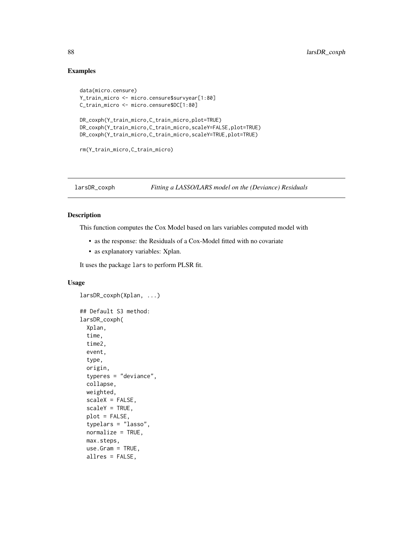# Examples

```
data(micro.censure)
Y_train_micro <- micro.censure$survyear[1:80]
C_train_micro <- micro.censure$DC[1:80]
DR_coxph(Y_train_micro,C_train_micro,plot=TRUE)
DR_coxph(Y_train_micro,C_train_micro,scaleY=FALSE,plot=TRUE)
DR_coxph(Y_train_micro,C_train_micro,scaleY=TRUE,plot=TRUE)
rm(Y_train_micro,C_train_micro)
```
<span id="page-87-0"></span>

# larsDR\_coxph *Fitting a LASSO/LARS model on the (Deviance) Residuals*

### Description

This function computes the Cox Model based on lars variables computed model with

- as the response: the Residuals of a Cox-Model fitted with no covariate
- as explanatory variables: Xplan.

It uses the package lars to perform PLSR fit.

# Usage

```
larsDR_coxph(Xplan, ...)
## Default S3 method:
larsDR_coxph(
  Xplan,
  time,
  time2,
  event,
  type,
  origin,
  typeres = "deviance",
  collapse,
 weighted,
  scaleX = FALSE,
  scaleY = TRUE,
 plot = FALSE,
  typelars = "lasso",
  normalize = TRUE,
 max.steps,
 use.Gram = TRUE,
  allres = FALSE,
```
<span id="page-87-1"></span>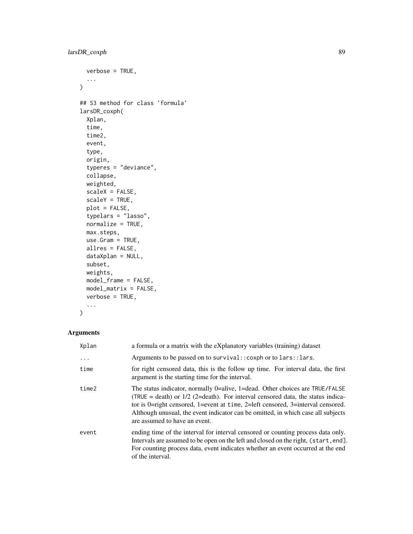```
verbose = TRUE,
  ...
\mathcal{L}## S3 method for class 'formula'
larsDR_coxph(
 Xplan,
  time,
  time2,
 event,
  type,
  origin,
  typeres = "deviance",
 collapse,
 weighted,
  scaleX = FALSE,
  scaleY = TRUE,
 plot = FALSE,
  typelars = "lasso",
  normalize = TRUE,
 max.steps,
 use.Gram = TRUE,allres = FALSE,
 dataXplan = NULL,
  subset,
 weights,
 model_frame = FALSE,
 model_matrix = FALSE,
 verbose = TRUE,
  ...
```

```
\mathcal{L}
```
# Arguments

| Xplan    | a formula or a matrix with the eXplanatory variables (training) dataset                                                                                                                                                                                                                                                                                                   |
|----------|---------------------------------------------------------------------------------------------------------------------------------------------------------------------------------------------------------------------------------------------------------------------------------------------------------------------------------------------------------------------------|
| $\cdots$ | Arguments to be passed on to survival:: coxph or to lars:: lars.                                                                                                                                                                                                                                                                                                          |
| time     | for right censored data, this is the follow up time. For interval data, the first<br>argument is the starting time for the interval.                                                                                                                                                                                                                                      |
| time2    | The status indicator, normally 0=alive, 1=dead. Other choices are TRUE/FALSE<br>(TRUE = death) or $1/2$ (2=death). For interval censored data, the status indica-<br>tor is 0=right censored, 1=event at time, 2=left censored, 3=interval censored.<br>Although unusual, the event indicator can be omitted, in which case all subjects<br>are assumed to have an event. |
| event    | ending time of the interval for interval censored or counting process data only.<br>Intervals are assumed to be open on the left and closed on the right, (start, end).<br>For counting process data, event indicates whether an event occurred at the end<br>of the interval.                                                                                            |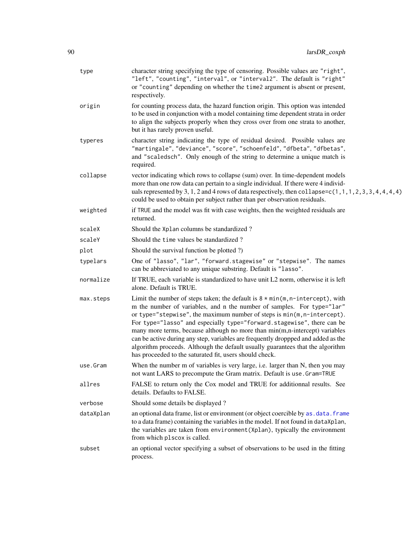<span id="page-89-0"></span>

| type      | character string specifying the type of censoring. Possible values are "right",<br>"left", "counting", "interval", or "interval2". The default is "right"<br>or "counting" depending on whether the time2 argument is absent or present,<br>respectively.                                                                                                                                                                                                                                                                                                                                                                        |
|-----------|----------------------------------------------------------------------------------------------------------------------------------------------------------------------------------------------------------------------------------------------------------------------------------------------------------------------------------------------------------------------------------------------------------------------------------------------------------------------------------------------------------------------------------------------------------------------------------------------------------------------------------|
| origin    | for counting process data, the hazard function origin. This option was intended<br>to be used in conjunction with a model containing time dependent strata in order<br>to align the subjects properly when they cross over from one strata to another,<br>but it has rarely proven useful.                                                                                                                                                                                                                                                                                                                                       |
| typeres   | character string indicating the type of residual desired. Possible values are<br>"martingale", "deviance", "score", "schoenfeld", "dfbeta", "dfbetas",<br>and "scaledsch". Only enough of the string to determine a unique match is<br>required.                                                                                                                                                                                                                                                                                                                                                                                 |
| collapse  | vector indicating which rows to collapse (sum) over. In time-dependent models<br>more than one row data can pertain to a single individual. If there were 4 individ-<br>uals represented by 3, 1, 2 and 4 rows of data respectively, then collapse= $c(1, 1, 1, 2, 3, 3, 4, 4, 4, 4)$<br>could be used to obtain per subject rather than per observation residuals.                                                                                                                                                                                                                                                              |
| weighted  | if TRUE and the model was fit with case weights, then the weighted residuals are<br>returned.                                                                                                                                                                                                                                                                                                                                                                                                                                                                                                                                    |
| scaleX    | Should the Xplan columns be standardized?                                                                                                                                                                                                                                                                                                                                                                                                                                                                                                                                                                                        |
| scaleY    | Should the time values be standardized?                                                                                                                                                                                                                                                                                                                                                                                                                                                                                                                                                                                          |
| plot      | Should the survival function be plotted ?)                                                                                                                                                                                                                                                                                                                                                                                                                                                                                                                                                                                       |
| typelars  | One of "lasso", "lar", "forward.stagewise" or "stepwise". The names<br>can be abbreviated to any unique substring. Default is "lasso".                                                                                                                                                                                                                                                                                                                                                                                                                                                                                           |
| normalize | If TRUE, each variable is standardized to have unit L2 norm, otherwise it is left<br>alone. Default is TRUE.                                                                                                                                                                                                                                                                                                                                                                                                                                                                                                                     |
| max.steps | Limit the number of steps taken; the default is $8 * min(m, n-intercept)$ , with<br>m the number of variables, and n the number of samples. For type="lar"<br>or type="stepwise", the maximum number of steps is min(m, n-intercept).<br>For type="lasso" and especially type="forward.stagewise", there can be<br>many more terms, because although no more than min(m,n-intercept) variables<br>can be active during any step, variables are frequently droppped and added as the<br>algorithm proceeds. Although the default usually guarantees that the algorithm<br>has proceeded to the saturated fit, users should check. |
| use.Gram  | When the number m of variables is very large, i.e. larger than N, then you may<br>not want LARS to precompute the Gram matrix. Default is use. Gram=TRUE                                                                                                                                                                                                                                                                                                                                                                                                                                                                         |
| allres    | FALSE to return only the Cox model and TRUE for additionnal results. See<br>details. Defaults to FALSE.                                                                                                                                                                                                                                                                                                                                                                                                                                                                                                                          |
| verbose   | Should some details be displayed?                                                                                                                                                                                                                                                                                                                                                                                                                                                                                                                                                                                                |
| dataXplan | an optional data frame, list or environment (or object coercible by as . data. frame<br>to a data frame) containing the variables in the model. If not found in dataXplan,<br>the variables are taken from environment (Xplan), typically the environment<br>from which plscox is called.                                                                                                                                                                                                                                                                                                                                        |
| subset    | an optional vector specifying a subset of observations to be used in the fitting<br>process.                                                                                                                                                                                                                                                                                                                                                                                                                                                                                                                                     |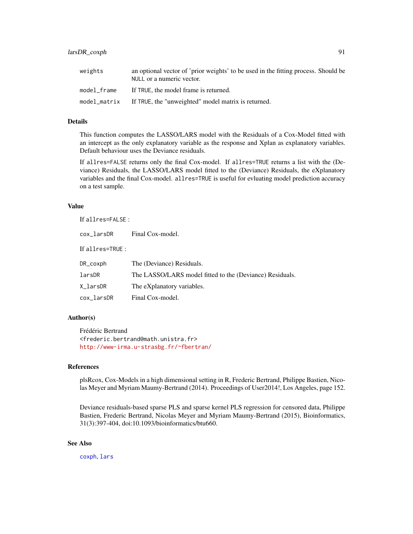# <span id="page-90-0"></span>larsDR\_coxph 91

| weights      | an optional vector of 'prior weights' to be used in the fitting process. Should be<br>NULL or a numeric vector. |
|--------------|-----------------------------------------------------------------------------------------------------------------|
| model frame  | If TRUE, the model frame is returned.                                                                           |
| model_matrix | If TRUE, the "unweighted" model matrix is returned.                                                             |

# Details

This function computes the LASSO/LARS model with the Residuals of a Cox-Model fitted with an intercept as the only explanatory variable as the response and Xplan as explanatory variables. Default behaviour uses the Deviance residuals.

If allres=FALSE returns only the final Cox-model. If allres=TRUE returns a list with the (Deviance) Residuals, the LASSO/LARS model fitted to the (Deviance) Residuals, the eXplanatory variables and the final Cox-model. allres=TRUE is useful for evluating model prediction accuracy on a test sample.

### Value

If allres=FALSE :

| cox_larsDR       | Final Cox-model.                                         |
|------------------|----------------------------------------------------------|
| If allres=TRUE : |                                                          |
| DR_coxph         | The (Deviance) Residuals.                                |
| larsDR           | The LASSO/LARS model fitted to the (Deviance) Residuals. |
| X_larsDR         | The eXplanatory variables.                               |
| cox_larsDR       | Final Cox-model.                                         |

# Author(s)

Frédéric Bertrand <frederic.bertrand@math.unistra.fr> <http://www-irma.u-strasbg.fr/~fbertran/>

### References

plsRcox, Cox-Models in a high dimensional setting in R, Frederic Bertrand, Philippe Bastien, Nicolas Meyer and Myriam Maumy-Bertrand (2014). Proceedings of User2014!, Los Angeles, page 152.

Deviance residuals-based sparse PLS and sparse kernel PLS regression for censored data, Philippe Bastien, Frederic Bertrand, Nicolas Meyer and Myriam Maumy-Bertrand (2015), Bioinformatics, 31(3):397-404, doi:10.1093/bioinformatics/btu660.

# See Also

[coxph](#page-0-0), [lars](#page-0-0)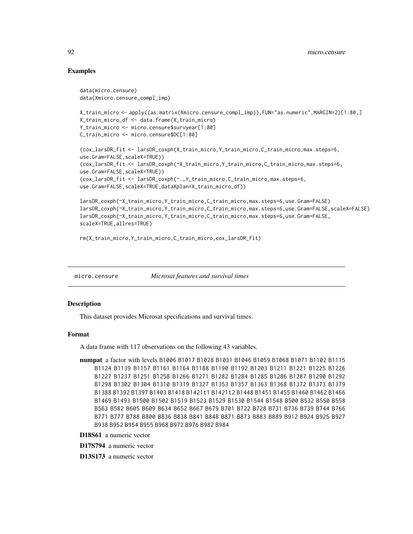# Examples

```
data(micro.censure)
data(Xmicro.censure_compl_imp)
X_train_micro <- apply((as.matrix(Xmicro.censure_compl_imp)),FUN="as.numeric",MARGIN=2)[1:80,]
X_train_micro_df <- data.frame(X_train_micro)
Y_train_micro <- micro.censure$survyear[1:80]
C_train_micro <- micro.censure$DC[1:80]
(cox_larsDR_fit <- larsDR_coxph(X_train_micro,Y_train_micro,C_train_micro,max.steps=6,
use.Gram=FALSE,scaleX=TRUE))
(cox_larsDR_fit <- larsDR_coxph(~X_train_micro,Y_train_micro,C_train_micro,max.steps=6,
use.Gram=FALSE,scaleX=TRUE))
(cox_larsDR_fit <- larsDR_coxph(~.,Y_train_micro,C_train_micro,max.steps=6,
use.Gram=FALSE,scaleX=TRUE,dataXplan=X_train_micro_df))
larsDR_coxph(~X_train_micro,Y_train_micro,C_train_micro,max.steps=6,use.Gram=FALSE)
larsDR_coxph(~X_train_micro,Y_train_micro,C_train_micro,max.steps=6,use.Gram=FALSE,scaleX=FALSE)
larsDR_coxph(~X_train_micro,Y_train_micro,C_train_micro,max.steps=6,use.Gram=FALSE,
scaleX=TRUE,allres=TRUE)
```

```
rm(X_train_micro,Y_train_micro,C_train_micro,cox_larsDR_fit)
```
micro.censure *Microsat features and survival times*

# **Description**

This dataset provides Microsat specifications and survival times.

#### Format

A data frame with 117 observations on the following 43 variables.

```
numpat a factor with levels B1006 B1017 B1028 B1031 B1046 B1059 B1068 B1071 B1102 B1115
    B1124 B1139 B1157 B1161 B1164 B1188 B1190 B1192 B1203 B1211 B1221 B1225 B1226
    B1227 B1237 B1251 B1258 B1266 B1271 B1282 B1284 B1285 B1286 B1287 B1290 B1292
    B1298 B1302 B1304 B1310 B1319 B1327 B1353 B1357 B1363 B1368 B1372 B1373 B1379
    B1388 B1392 B1397 B1403 B1418 B1421t1 B1421t2 B1448 B1451 B1455 B1460 B1462 B1466
    B1469 B1493 B1500 B1502 B1519 B1523 B1529 B1530 B1544 B1548 B500 B532 B550 B558
    B563 B582 B605 B609 B634 B652 B667 B679 B701 B722 B728 B731 B736 B739 B744 B766
    B771 B777 B788 B800 B836 B838 B841 B848 B871 B873 B883 B889 B912 B924 B925 B927
    B938 B952 B954 B955 B968 B972 B976 B982 B984
```
- D18S61 a numeric vector
- D17S794 a numeric vector

D13S173 a numeric vector

<span id="page-91-0"></span>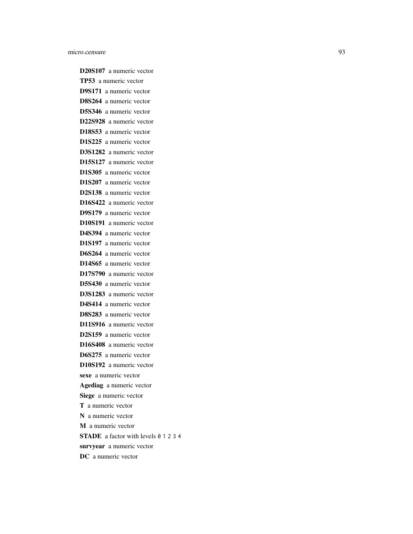D20S107 a numeric vector TP53 a numeric vector D9S171 a numeric vector D8S264 a numeric vector D5S346 a numeric vector D22S928 a numeric vector D18S53 a numeric vector D1S225 a numeric vector D3S1282 a numeric vector D15S127 a numeric vector D1S305 a numeric vector D1S207 a numeric vector D2S138 a numeric vector D16S422 a numeric vector D9S179 a numeric vector D10S191 a numeric vector D4S394 a numeric vector D1S197 a numeric vector D6S264 a numeric vector D14S65 a numeric vector D17S790 a numeric vector D5S430 a numeric vector D3S1283 a numeric vector D4S414 a numeric vector D8S283 a numeric vector D11S916 a numeric vector D2S159 a numeric vector D16S408 a numeric vector D6S275 a numeric vector D10S192 a numeric vector sexe a numeric vector Agediag a numeric vector Siege a numeric vector T a numeric vector N a numeric vector M a numeric vector STADE a factor with levels 0 1 2 3 4 survyear a numeric vector DC a numeric vector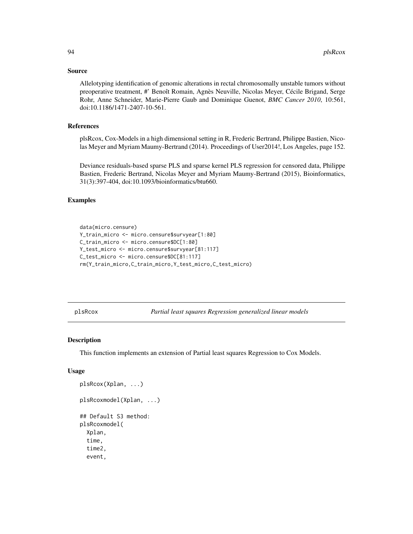# <span id="page-93-1"></span>Source

Allelotyping identification of genomic alterations in rectal chromosomally unstable tumors without preoperative treatment, #' Benoît Romain, Agnès Neuville, Nicolas Meyer, Cécile Brigand, Serge Rohr, Anne Schneider, Marie-Pierre Gaub and Dominique Guenot, *BMC Cancer 2010*, 10:561, doi:10.1186/1471-2407-10-561.

### References

plsRcox, Cox-Models in a high dimensional setting in R, Frederic Bertrand, Philippe Bastien, Nicolas Meyer and Myriam Maumy-Bertrand (2014). Proceedings of User2014!, Los Angeles, page 152.

Deviance residuals-based sparse PLS and sparse kernel PLS regression for censored data, Philippe Bastien, Frederic Bertrand, Nicolas Meyer and Myriam Maumy-Bertrand (2015), Bioinformatics, 31(3):397-404, doi:10.1093/bioinformatics/btu660.

# Examples

```
data(micro.censure)
Y_train_micro <- micro.censure$survyear[1:80]
C_train_micro <- micro.censure$DC[1:80]
Y_test_micro <- micro.censure$survyear[81:117]
C_test_micro <- micro.censure$DC[81:117]
rm(Y_train_micro,C_train_micro,Y_test_micro,C_test_micro)
```
<span id="page-93-0"></span>plsRcox *Partial least squares Regression generalized linear models*

### Description

This function implements an extension of Partial least squares Regression to Cox Models.

# Usage

```
plsRcox(Xplan, ...)
plsRcoxmodel(Xplan, ...)
## Default S3 method:
plsRcoxmodel(
  Xplan,
  time,
  time2,
  event,
```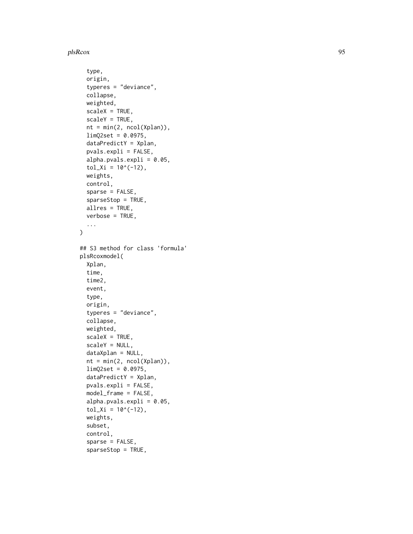### plsRcox 95

```
type,
  origin,
  typeres = "deviance",
  collapse,
  weighted,
  scaleX = TRUE,
  scaleY = TRUE,nt = min(2, ncol(Xplan)),
  limQ2set = 0.0975,dataPredictY = Xplan,
 pvals.expli = FALSE,
  alpha.pvals.expli = 0.05,
  tol_Xi = 10^(-12),
 weights,
  control,
  sparse = FALSE,sparseStop = TRUE,
  allres = TRUE,
 verbose = TRUE,
  ...
\mathcal{L}## S3 method for class 'formula'
plsRcoxmodel(
  Xplan,
  time,
  time2,
  event,
  type,
  origin,
  typeres = "deviance",
  collapse,
  weighted,
  scaleX = TRUE,scaleY = NULL,
  dataXplan = NULL,
  nt = min(2, ncol(Xplan)),limQ2set = 0.0975,dataPredictY = Xplan,
  pvals.expli = FALSE,
  model_frame = FALSE,
  alpha.pvals.expli = 0.05,
  tol_x = 10^(-12),
  weights,
  subset,
  control,
  sparse = FALSE,
  sparseStop = TRUE,
```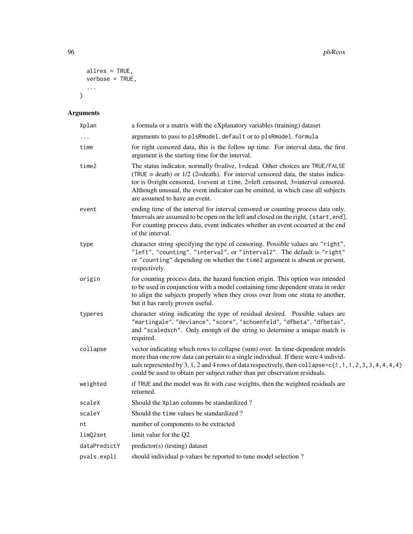```
allres = TRUE,
  verbose = TRUE,
  ...
\lambda
```
# Arguments

| Xplan        | a formula or a matrix with the eXplanatory variables (training) dataset                                                                                                                                                                                                                                                                                                   |
|--------------|---------------------------------------------------------------------------------------------------------------------------------------------------------------------------------------------------------------------------------------------------------------------------------------------------------------------------------------------------------------------------|
| $\ddots$ .   | arguments to pass to plsRmodel.default or to plsRmodel.formula                                                                                                                                                                                                                                                                                                            |
| time         | for right censored data, this is the follow up time. For interval data, the first<br>argument is the starting time for the interval.                                                                                                                                                                                                                                      |
| time2        | The status indicator, normally 0=alive, 1=dead. Other choices are TRUE/FALSE<br>(TRUE = death) or $1/2$ (2=death). For interval censored data, the status indica-<br>tor is 0=right censored, 1=event at time, 2=left censored, 3=interval censored.<br>Although unusual, the event indicator can be omitted, in which case all subjects<br>are assumed to have an event. |
| event        | ending time of the interval for interval censored or counting process data only.<br>Intervals are assumed to be open on the left and closed on the right, (start, end].<br>For counting process data, event indicates whether an event occurred at the end<br>of the interval.                                                                                            |
| type         | character string specifying the type of censoring. Possible values are "right",<br>"left", "counting", "interval", or "interval2". The default is "right"<br>or "counting" depending on whether the time2 argument is absent or present,<br>respectively.                                                                                                                 |
| origin       | for counting process data, the hazard function origin. This option was intended<br>to be used in conjunction with a model containing time dependent strata in order<br>to align the subjects properly when they cross over from one strata to another,<br>but it has rarely proven useful.                                                                                |
| typeres      | character string indicating the type of residual desired. Possible values are<br>"martingale", "deviance", "score", "schoenfeld", "dfbeta", "dfbetas",<br>and "scaledsch". Only enough of the string to determine a unique match is<br>required.                                                                                                                          |
| collapse     | vector indicating which rows to collapse (sum) over. In time-dependent models<br>more than one row data can pertain to a single individual. If there were 4 individ-<br>uals represented by 3, 1, 2 and 4 rows of data respectively, then collapse= $c(1, 1, 1, 2, 3, 3, 4, 4, 4, 4)$<br>could be used to obtain per subject rather than per observation residuals.       |
| weighted     | if TRUE and the model was fit with case weights, then the weighted residuals are<br>returned.                                                                                                                                                                                                                                                                             |
| scaleX       | Should the Xplan columns be standardized?                                                                                                                                                                                                                                                                                                                                 |
| scaleY       | Should the time values be standardized?                                                                                                                                                                                                                                                                                                                                   |
| nt           | number of components to be extracted                                                                                                                                                                                                                                                                                                                                      |
| limQ2set     | limit value for the Q2                                                                                                                                                                                                                                                                                                                                                    |
| dataPredictY | predictor(s) (testing) dataset                                                                                                                                                                                                                                                                                                                                            |
| pvals.expli  | should individual p-values be reported to tune model selection?                                                                                                                                                                                                                                                                                                           |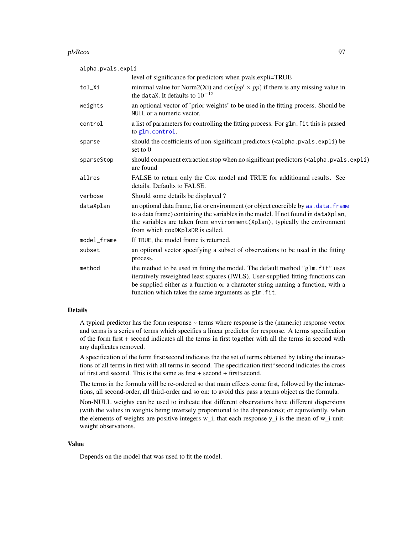### <span id="page-96-0"></span>plsRcox 97

| alpha.pvals.expli |                                                                                                                                                                                                                                                                                                                |  |
|-------------------|----------------------------------------------------------------------------------------------------------------------------------------------------------------------------------------------------------------------------------------------------------------------------------------------------------------|--|
|                   | level of significance for predictors when pvals.expli=TRUE                                                                                                                                                                                                                                                     |  |
| tol_Xi            | minimal value for Norm2(Xi) and $\det(pp' \times pp)$ if there is any missing value in<br>the dataX. It defaults to $10^{-12}$                                                                                                                                                                                 |  |
| weights           | an optional vector of 'prior weights' to be used in the fitting process. Should be<br>NULL or a numeric vector.                                                                                                                                                                                                |  |
| control           | a list of parameters for controlling the fitting process. For glm. fit this is passed<br>to glm.control.                                                                                                                                                                                                       |  |
| sparse            | should the coefficients of non-significant predictors ( <alpha.pvals.expli) be<br="">set to <math>0</math></alpha.pvals.expli)>                                                                                                                                                                                |  |
| sparseStop        | should component extraction stop when no significant predictors ( <alpha.pvals.expli)<br>are found</alpha.pvals.expli)<br>                                                                                                                                                                                     |  |
| allres            | FALSE to return only the Cox model and TRUE for additionnal results. See<br>details. Defaults to FALSE.                                                                                                                                                                                                        |  |
| verbose           | Should some details be displayed?                                                                                                                                                                                                                                                                              |  |
| dataXplan         | an optional data frame, list or environment (or object coercible by as . data. frame<br>to a data frame) containing the variables in the model. If not found in dataXplan,<br>the variables are taken from environment (Xplan), typically the environment<br>from which coxDKp1sDR is called.                  |  |
| model_frame       | If TRUE, the model frame is returned.                                                                                                                                                                                                                                                                          |  |
| subset            | an optional vector specifying a subset of observations to be used in the fitting<br>process.                                                                                                                                                                                                                   |  |
| method            | the method to be used in fitting the model. The default method "glm. fit" uses<br>iteratively reweighted least squares (IWLS). User-supplied fitting functions can<br>be supplied either as a function or a character string naming a function, with a<br>function which takes the same arguments as glm. fit. |  |

### Details

A typical predictor has the form response ~ terms where response is the (numeric) response vector and terms is a series of terms which specifies a linear predictor for response. A terms specification of the form first + second indicates all the terms in first together with all the terms in second with any duplicates removed.

A specification of the form first:second indicates the the set of terms obtained by taking the interactions of all terms in first with all terms in second. The specification first\*second indicates the cross of first and second. This is the same as first + second + first:second.

The terms in the formula will be re-ordered so that main effects come first, followed by the interactions, all second-order, all third-order and so on: to avoid this pass a terms object as the formula.

Non-NULL weights can be used to indicate that different observations have different dispersions (with the values in weights being inversely proportional to the dispersions); or equivalently, when the elements of weights are positive integers w\_i, that each response y\_i is the mean of w\_i unitweight observations.

### Value

Depends on the model that was used to fit the model.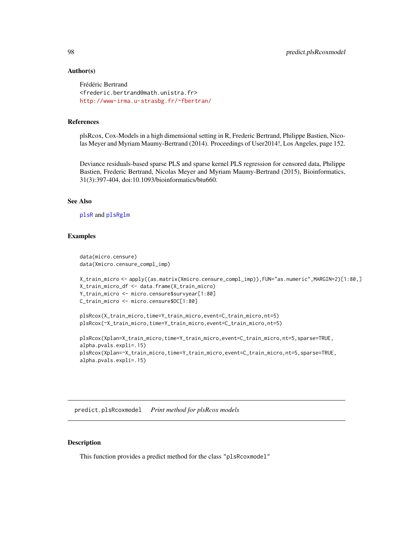# Author(s)

```
Frédéric Bertrand
<frederic.bertrand@math.unistra.fr>
http://www-irma.u-strasbg.fr/~fbertran/
```
# References

plsRcox, Cox-Models in a high dimensional setting in R, Frederic Bertrand, Philippe Bastien, Nicolas Meyer and Myriam Maumy-Bertrand (2014). Proceedings of User2014!, Los Angeles, page 152.

Deviance residuals-based sparse PLS and sparse kernel PLS regression for censored data, Philippe Bastien, Frederic Bertrand, Nicolas Meyer and Myriam Maumy-Bertrand (2015), Bioinformatics, 31(3):397-404, doi:10.1093/bioinformatics/btu660.

#### See Also

```
plsR and plsRglm
```
# Examples

```
data(micro.censure)
data(Xmicro.censure_compl_imp)
X_train_micro <- apply((as.matrix(Xmicro.censure_compl_imp)),FUN="as.numeric",MARGIN=2)[1:80,]
X_train_micro_df <- data.frame(X_train_micro)
Y_train_micro <- micro.censure$survyear[1:80]
C_train_micro <- micro.censure$DC[1:80]
plsRcox(X_train_micro,time=Y_train_micro,event=C_train_micro,nt=5)
plsRcox(~X_train_micro,time=Y_train_micro,event=C_train_micro,nt=5)
plsRcox(Xplan=X_train_micro,time=Y_train_micro,event=C_train_micro,nt=5,sparse=TRUE,
alpha.pvals.expli=.15)
plsRcox(Xplan=~X_train_micro,time=Y_train_micro,event=C_train_micro,nt=5,sparse=TRUE,
alpha.pvals.expli=.15)
```
predict.plsRcoxmodel *Print method for plsRcox models*

# **Description**

This function provides a predict method for the class "plsRcoxmodel"

<span id="page-97-0"></span>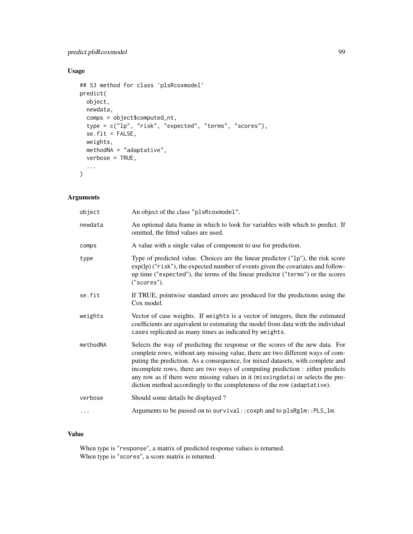# predict.plsRcoxmodel 99

# Usage

```
## S3 method for class 'plsRcoxmodel'
predict(
 object,
 newdata,
  comps = object$computed_nt,
  type = c("lp", "risk", "expected", "terms", "scores"),
  se.fit = FALSE,weights,
 methodNA = "adaptative",
 verbose = TRUE,
  ...
\mathcal{L}
```
# Arguments

| object   | An object of the class "plsRcoxmodel".                                                                                                                                                                                                                                                                                                                                                                                                                                                           |
|----------|--------------------------------------------------------------------------------------------------------------------------------------------------------------------------------------------------------------------------------------------------------------------------------------------------------------------------------------------------------------------------------------------------------------------------------------------------------------------------------------------------|
| newdata  | An optional data frame in which to look for variables with which to predict. If<br>omitted, the fitted values are used.                                                                                                                                                                                                                                                                                                                                                                          |
| comps    | A value with a single value of component to use for prediction.                                                                                                                                                                                                                                                                                                                                                                                                                                  |
| type     | Type of predicted value. Choices are the linear predictor ("1p"), the risk score<br>up time ("expected"), the terms of the linear predictor ("terms") or the scores<br>("scores").                                                                                                                                                                                                                                                                                                               |
| se.fit   | If TRUE, pointwise standard errors are produced for the predictions using the<br>Cox model.                                                                                                                                                                                                                                                                                                                                                                                                      |
| weights  | Vector of case weights. If weights is a vector of integers, then the estimated<br>coefficients are equivalent to estimating the model from data with the individual<br>cases replicated as many times as indicated by weights.                                                                                                                                                                                                                                                                   |
| methodNA | Selects the way of predicting the response or the scores of the new data. For<br>complete rows, without any missing value, there are two different ways of com-<br>puting the prediction. As a consequence, for mixed datasets, with complete and<br>incomplete rows, there are two ways of computing prediction : either predicts<br>any row as if there were missing values in it (missingdata) or selects the pre-<br>diction method accordingly to the completeness of the row (adaptative). |
| verbose  | Should some details be displayed?                                                                                                                                                                                                                                                                                                                                                                                                                                                                |
|          | Arguments to be passed on to survival:: coxph and to plsRglm:: PLS_lm.                                                                                                                                                                                                                                                                                                                                                                                                                           |
|          |                                                                                                                                                                                                                                                                                                                                                                                                                                                                                                  |

# Value

When type is "response", a matrix of predicted response values is returned. When type is "scores", a score matrix is returned.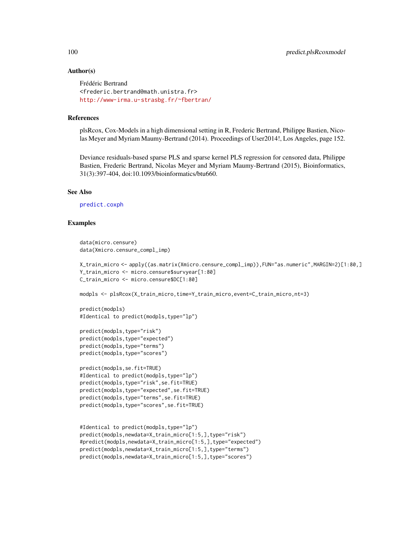# Author(s)

```
Frédéric Bertrand
<frederic.bertrand@math.unistra.fr>
http://www-irma.u-strasbg.fr/~fbertran/
```
### References

plsRcox, Cox-Models in a high dimensional setting in R, Frederic Bertrand, Philippe Bastien, Nicolas Meyer and Myriam Maumy-Bertrand (2014). Proceedings of User2014!, Los Angeles, page 152.

Deviance residuals-based sparse PLS and sparse kernel PLS regression for censored data, Philippe Bastien, Frederic Bertrand, Nicolas Meyer and Myriam Maumy-Bertrand (2015), Bioinformatics, 31(3):397-404, doi:10.1093/bioinformatics/btu660.

### See Also

[predict.coxph](#page-0-0)

# Examples

```
data(micro.censure)
data(Xmicro.censure_compl_imp)
```

```
X_train_micro <- apply((as.matrix(Xmicro.censure_compl_imp)),FUN="as.numeric",MARGIN=2)[1:80,]
Y_train_micro <- micro.censure$survyear[1:80]
C_train_micro <- micro.censure$DC[1:80]
```

```
modpls <- plsRcox(X_train_micro,time=Y_train_micro,event=C_train_micro,nt=3)
```

```
predict(modpls)
#Identical to predict(modpls,type="lp")
```

```
predict(modpls,type="risk")
predict(modpls,type="expected")
predict(modpls,type="terms")
predict(modpls,type="scores")
```

```
predict(modpls,se.fit=TRUE)
#Identical to predict(modpls,type="lp")
predict(modpls,type="risk",se.fit=TRUE)
predict(modpls,type="expected",se.fit=TRUE)
predict(modpls,type="terms",se.fit=TRUE)
predict(modpls,type="scores",se.fit=TRUE)
```

```
#Identical to predict(modpls,type="lp")
predict(modpls,newdata=X_train_micro[1:5,],type="risk")
#predict(modpls,newdata=X_train_micro[1:5,],type="expected")
predict(modpls,newdata=X_train_micro[1:5,],type="terms")
predict(modpls,newdata=X_train_micro[1:5,],type="scores")
```
<span id="page-99-0"></span>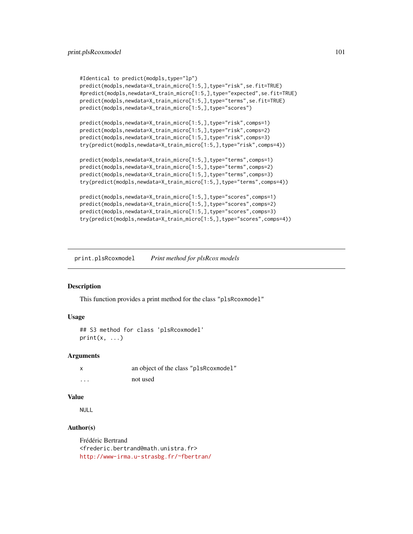```
#Identical to predict(modpls,type="lp")
predict(modpls,newdata=X_train_micro[1:5,],type="risk",se.fit=TRUE)
#predict(modpls,newdata=X_train_micro[1:5,],type="expected",se.fit=TRUE)
predict(modpls,newdata=X_train_micro[1:5,],type="terms",se.fit=TRUE)
predict(modpls,newdata=X_train_micro[1:5,],type="scores")
predict(modpls,newdata=X_train_micro[1:5,],type="risk",comps=1)
predict(modpls,newdata=X_train_micro[1:5,],type="risk",comps=2)
predict(modpls,newdata=X_train_micro[1:5,],type="risk",comps=3)
try(predict(modpls,newdata=X_train_micro[1:5,],type="risk",comps=4))
predict(modpls,newdata=X_train_micro[1:5,],type="terms",comps=1)
predict(modpls,newdata=X_train_micro[1:5,],type="terms",comps=2)
predict(modpls,newdata=X_train_micro[1:5,],type="terms",comps=3)
try(predict(modpls,newdata=X_train_micro[1:5,],type="terms",comps=4))
predict(modpls,newdata=X_train_micro[1:5,],type="scores",comps=1)
predict(modpls,newdata=X_train_micro[1:5,],type="scores",comps=2)
predict(modpls,newdata=X_train_micro[1:5,],type="scores",comps=3)
```
try(predict(modpls,newdata=X\_train\_micro[1:5,],type="scores",comps=4))

print.plsRcoxmodel *Print method for plsRcox models*

### Description

This function provides a print method for the class "plsRcoxmodel"

# Usage

```
## S3 method for class 'plsRcoxmodel'
print(x, \ldots)
```
### Arguments

|          | an object of the class "plsRcoxmodel" |
|----------|---------------------------------------|
| $\cdots$ | not used                              |

# Value

NULL

### Author(s)

Frédéric Bertrand <frederic.bertrand@math.unistra.fr> <http://www-irma.u-strasbg.fr/~fbertran/>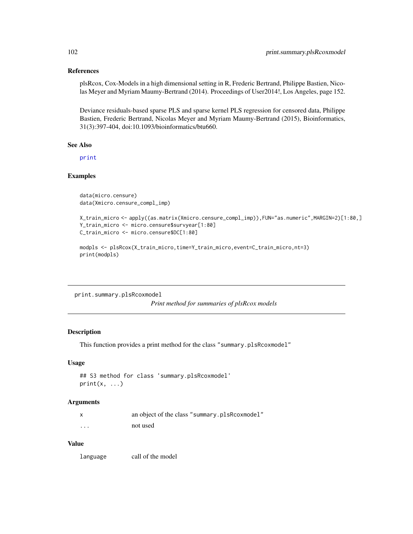# References

plsRcox, Cox-Models in a high dimensional setting in R, Frederic Bertrand, Philippe Bastien, Nicolas Meyer and Myriam Maumy-Bertrand (2014). Proceedings of User2014!, Los Angeles, page 152.

Deviance residuals-based sparse PLS and sparse kernel PLS regression for censored data, Philippe Bastien, Frederic Bertrand, Nicolas Meyer and Myriam Maumy-Bertrand (2015), Bioinformatics, 31(3):397-404, doi:10.1093/bioinformatics/btu660.

# See Also

[print](#page-0-0)

### Examples

```
data(micro.censure)
data(Xmicro.censure_compl_imp)
```

```
X_train_micro <- apply((as.matrix(Xmicro.censure_compl_imp)),FUN="as.numeric",MARGIN=2)[1:80,]
Y_train_micro <- micro.censure$survyear[1:80]
C_train_micro <- micro.censure$DC[1:80]
modpls <- plsRcox(X_train_micro,time=Y_train_micro,event=C_train_micro,nt=3)
```

```
print(modpls)
```
print.summary.plsRcoxmodel

*Print method for summaries of plsRcox models*

# Description

This function provides a print method for the class "summary.plsRcoxmodel"

# Usage

```
## S3 method for class 'summary.plsRcoxmodel'
print(x, \ldots)
```
### Arguments

| $\boldsymbol{\mathsf{x}}$ | an object of the class "summary.plsRcoxmodel" |
|---------------------------|-----------------------------------------------|
| $\cdots$                  | not used                                      |

### Value

language call of the model

<span id="page-101-0"></span>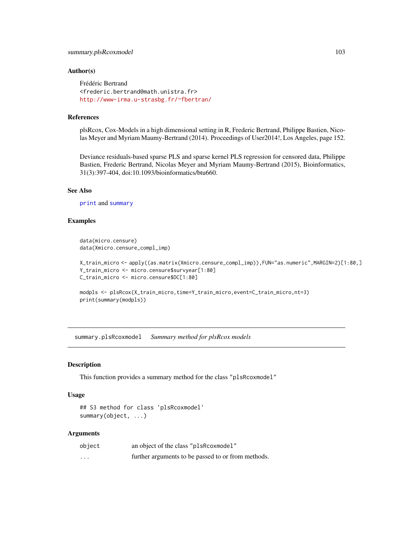# <span id="page-102-0"></span>summary.plsRcoxmodel 103

### Author(s)

Frédéric Bertrand <frederic.bertrand@math.unistra.fr> <http://www-irma.u-strasbg.fr/~fbertran/>

# References

plsRcox, Cox-Models in a high dimensional setting in R, Frederic Bertrand, Philippe Bastien, Nicolas Meyer and Myriam Maumy-Bertrand (2014). Proceedings of User2014!, Los Angeles, page 152.

Deviance residuals-based sparse PLS and sparse kernel PLS regression for censored data, Philippe Bastien, Frederic Bertrand, Nicolas Meyer and Myriam Maumy-Bertrand (2015), Bioinformatics, 31(3):397-404, doi:10.1093/bioinformatics/btu660.

### See Also

[print](#page-0-0) and [summary](#page-0-0)

### Examples

```
data(micro.censure)
data(Xmicro.censure_compl_imp)
```

```
X_train_micro <- apply((as.matrix(Xmicro.censure_compl_imp)),FUN="as.numeric",MARGIN=2)[1:80,]
Y_train_micro <- micro.censure$survyear[1:80]
C_train_micro <- micro.censure$DC[1:80]
```

```
modpls <- plsRcox(X_train_micro,time=Y_train_micro,event=C_train_micro,nt=3)
print(summary(modpls))
```
summary.plsRcoxmodel *Summary method for plsRcox models*

#### Description

This function provides a summary method for the class "plsRcoxmodel"

#### Usage

```
## S3 method for class 'plsRcoxmodel'
summary(object, ...)
```
# Arguments

| object                  | an object of the class "plsRcoxmodel"              |
|-------------------------|----------------------------------------------------|
| $\cdot$ $\cdot$ $\cdot$ | further arguments to be passed to or from methods. |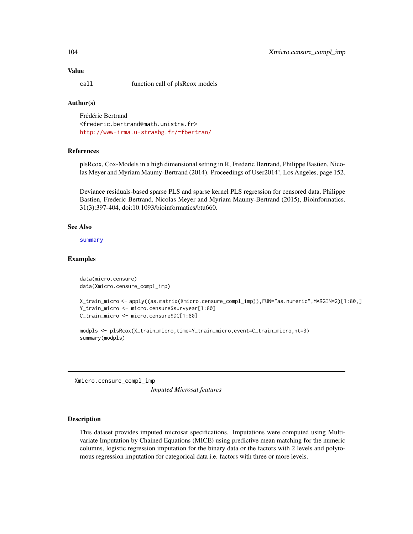# <span id="page-103-0"></span>Value

call function call of plsRcox models

# Author(s)

Frédéric Bertrand <frederic.bertrand@math.unistra.fr> <http://www-irma.u-strasbg.fr/~fbertran/>

### References

plsRcox, Cox-Models in a high dimensional setting in R, Frederic Bertrand, Philippe Bastien, Nicolas Meyer and Myriam Maumy-Bertrand (2014). Proceedings of User2014!, Los Angeles, page 152.

Deviance residuals-based sparse PLS and sparse kernel PLS regression for censored data, Philippe Bastien, Frederic Bertrand, Nicolas Meyer and Myriam Maumy-Bertrand (2015), Bioinformatics, 31(3):397-404, doi:10.1093/bioinformatics/btu660.

# See Also

[summary](#page-0-0)

# Examples

```
data(micro.censure)
data(Xmicro.censure_compl_imp)
```

```
X_train_micro <- apply((as.matrix(Xmicro.censure_compl_imp)),FUN="as.numeric",MARGIN=2)[1:80,]
Y_train_micro <- micro.censure$survyear[1:80]
C_train_micro <- micro.censure$DC[1:80]
```
modpls <- plsRcox(X\_train\_micro,time=Y\_train\_micro,event=C\_train\_micro,nt=3) summary(modpls)

Xmicro.censure\_compl\_imp *Imputed Microsat features*

### Description

This dataset provides imputed microsat specifications. Imputations were computed using Multivariate Imputation by Chained Equations (MICE) using predictive mean matching for the numeric columns, logistic regression imputation for the binary data or the factors with 2 levels and polytomous regression imputation for categorical data i.e. factors with three or more levels.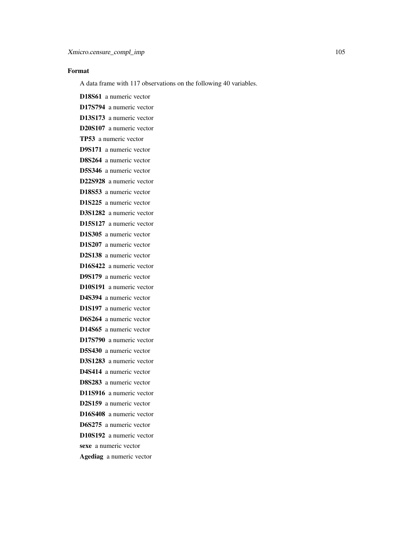# Format

A data frame with 117 observations on the following 40 variables.

D18S61 a numeric vector D17S794 a numeric vector D13S173 a numeric vector D20S107 a numeric vector TP53 a numeric vector D9S171 a numeric vector D8S264 a numeric vector D5S346 a numeric vector D22S928 a numeric vector D18S53 a numeric vector D1S225 a numeric vector D3S1282 a numeric vector D15S127 a numeric vector D1S305 a numeric vector D1S207 a numeric vector D2S138 a numeric vector D16S422 a numeric vector D9S179 a numeric vector D10S191 a numeric vector D4S394 a numeric vector D1S197 a numeric vector D6S264 a numeric vector D14S65 a numeric vector D17S790 a numeric vector D5S430 a numeric vector D3S1283 a numeric vector D4S414 a numeric vector D8S283 a numeric vector D11S916 a numeric vector D2S159 a numeric vector D16S408 a numeric vector D6S275 a numeric vector D10S192 a numeric vector sexe a numeric vector Agediag a numeric vector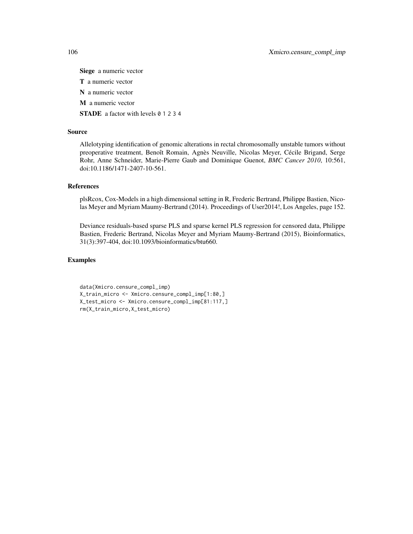Siege a numeric vector T a numeric vector N a numeric vector M a numeric vector STADE a factor with levels 0 1 2 3 4

# Source

Allelotyping identification of genomic alterations in rectal chromosomally unstable tumors without preoperative treatment, Benoît Romain, Agnès Neuville, Nicolas Meyer, Cécile Brigand, Serge Rohr, Anne Schneider, Marie-Pierre Gaub and Dominique Guenot, *BMC Cancer 2010*, 10:561, doi:10.1186/1471-2407-10-561.

#### References

plsRcox, Cox-Models in a high dimensional setting in R, Frederic Bertrand, Philippe Bastien, Nicolas Meyer and Myriam Maumy-Bertrand (2014). Proceedings of User2014!, Los Angeles, page 152.

Deviance residuals-based sparse PLS and sparse kernel PLS regression for censored data, Philippe Bastien, Frederic Bertrand, Nicolas Meyer and Myriam Maumy-Bertrand (2015), Bioinformatics, 31(3):397-404, doi:10.1093/bioinformatics/btu660.

# Examples

```
data(Xmicro.censure_compl_imp)
X_train_micro <- Xmicro.censure_compl_imp[1:80,]
X_test_micro <- Xmicro.censure_compl_imp[81:117,]
rm(X_train_micro,X_test_micro)
```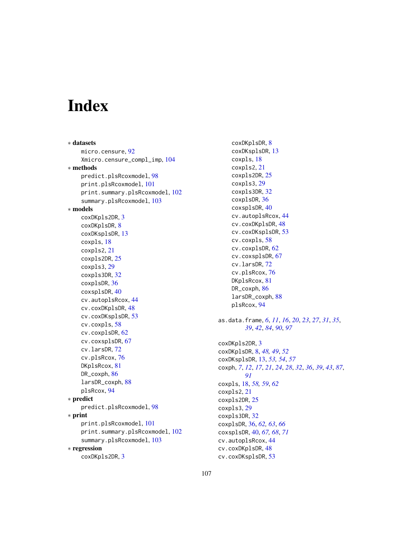# Index

∗ datasets micro.censure, [92](#page-91-0) Xmicro.censure\_compl\_imp, [104](#page-103-0) ∗ methods predict.plsRcoxmodel, [98](#page-97-0) print.plsRcoxmodel, [101](#page-100-0) print.summary.plsRcoxmodel, [102](#page-101-0) summary.plsRcoxmodel, [103](#page-102-0) ∗ models coxDKpls2DR, [3](#page-2-0) coxDKplsDR, [8](#page-7-0) coxDKsplsDR, [13](#page-12-0) coxpls, [18](#page-17-0) coxpls2, [21](#page-20-0) coxpls2DR, [25](#page-24-0) coxpls3, [29](#page-28-0) coxpls3DR, [32](#page-31-0) coxplsDR, [36](#page-35-0) coxsplsDR, [40](#page-39-0) cv.autoplsRcox, [44](#page-43-0) cv.coxDKplsDR, [48](#page-47-0) cv.coxDKsplsDR, [53](#page-52-0) cv.coxpls, [58](#page-57-0) cv.coxplsDR, [62](#page-61-0) cv.coxsplsDR, [67](#page-66-0) cv.larsDR, [72](#page-71-0) cv.plsRcox, [76](#page-75-0) DKplsRcox, [81](#page-80-0) DR\_coxph, [86](#page-85-0) larsDR\_coxph, [88](#page-87-1) plsRcox, [94](#page-93-1) ∗ predict predict.plsRcoxmodel, [98](#page-97-0) ∗ print print.plsRcoxmodel, [101](#page-100-0) print.summary.plsRcoxmodel, [102](#page-101-0) summary.plsRcoxmodel, [103](#page-102-0) ∗ regression coxDKpls2DR, [3](#page-2-0)

coxDKplsDR, [8](#page-7-0) coxDKsplsDR, [13](#page-12-0) coxpls, [18](#page-17-0) coxpls2, [21](#page-20-0) coxpls2DR, [25](#page-24-0) coxpls3, [29](#page-28-0) coxpls3DR, [32](#page-31-0) coxplsDR, [36](#page-35-0) coxsplsDR, [40](#page-39-0) cv.autoplsRcox, [44](#page-43-0) cv.coxDKplsDR, [48](#page-47-0) cv.coxDKsplsDR, [53](#page-52-0) cv.coxpls, [58](#page-57-0) cv.coxplsDR, [62](#page-61-0) cv.coxsplsDR, [67](#page-66-0) cv.larsDR, [72](#page-71-0) cv.plsRcox, [76](#page-75-0) DKplsRcox, [81](#page-80-0) DR\_coxph, [86](#page-85-0) larsDR\_coxph, [88](#page-87-1) plsRcox, [94](#page-93-1) as.data.frame, *[6](#page-5-0)*, *[11](#page-10-0)*, *[16](#page-15-0)*, *[20](#page-19-0)*, *[23](#page-22-0)*, *[27](#page-26-0)*, *[31](#page-30-0)*, *[35](#page-34-0)*, *[39](#page-38-0)*, *[42](#page-41-0)*, *[84](#page-83-0)*, *[90](#page-89-0)*, *[97](#page-96-0)* coxDKpls2DR, [3](#page-2-0) coxDKplsDR, [8,](#page-7-0) *[48,](#page-47-0) [49](#page-48-0)*, *[52](#page-51-0)* coxDKsplsDR, [13,](#page-12-0) *[53,](#page-52-0) [54](#page-53-0)*, *[57](#page-56-0)* coxph, *[7](#page-6-0)*, *[12](#page-11-0)*, *[17](#page-16-0)*, *[21](#page-20-0)*, *[24](#page-23-0)*, *[28](#page-27-0)*, *[32](#page-31-0)*, *[36](#page-35-0)*, *[39](#page-38-0)*, *[43](#page-42-0)*, *[87](#page-86-0)*, *[91](#page-90-0)* coxpls, [18,](#page-17-0) *[58,](#page-57-0) [59](#page-58-0)*, *[62](#page-61-0)* coxpls2, [21](#page-20-0) coxpls2DR, [25](#page-24-0) coxpls3, [29](#page-28-0) coxpls3DR, [32](#page-31-0) coxplsDR, [36,](#page-35-0) *[62,](#page-61-0) [63](#page-62-0)*, *[66](#page-65-0)* coxsplsDR, [40,](#page-39-0) *[67,](#page-66-0) [68](#page-67-0)*, *[71](#page-70-0)* cv.autoplsRcox, [44](#page-43-0) cv.coxDKplsDR, [48](#page-47-0) cv.coxDKsplsDR, [53](#page-52-0)